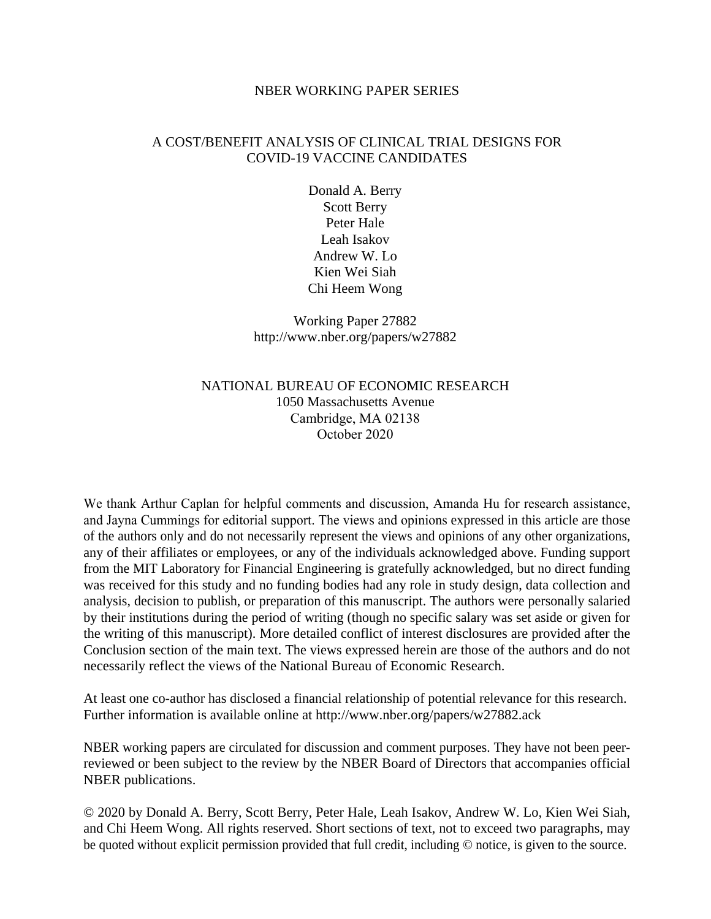#### NBER WORKING PAPER SERIES

### A COST/BENEFIT ANALYSIS OF CLINICAL TRIAL DESIGNS FOR COVID-19 VACCINE CANDIDATES

Donald A. Berry Scott Berry Peter Hale Leah Isakov Andrew W. Lo Kien Wei Siah Chi Heem Wong

Working Paper 27882 http://www.nber.org/papers/w27882

### NATIONAL BUREAU OF ECONOMIC RESEARCH 1050 Massachusetts Avenue Cambridge, MA 02138 October 2020

We thank Arthur Caplan for helpful comments and discussion, Amanda Hu for research assistance, and Jayna Cummings for editorial support. The views and opinions expressed in this article are those of the authors only and do not necessarily represent the views and opinions of any other organizations, any of their affiliates or employees, or any of the individuals acknowledged above. Funding support from the MIT Laboratory for Financial Engineering is gratefully acknowledged, but no direct funding was received for this study and no funding bodies had any role in study design, data collection and analysis, decision to publish, or preparation of this manuscript. The authors were personally salaried by their institutions during the period of writing (though no specific salary was set aside or given for the writing of this manuscript). More detailed conflict of interest disclosures are provided after the Conclusion section of the main text. The views expressed herein are those of the authors and do not necessarily reflect the views of the National Bureau of Economic Research.

At least one co-author has disclosed a financial relationship of potential relevance for this research. Further information is available online at http://www.nber.org/papers/w27882.ack

NBER working papers are circulated for discussion and comment purposes. They have not been peerreviewed or been subject to the review by the NBER Board of Directors that accompanies official NBER publications.

© 2020 by Donald A. Berry, Scott Berry, Peter Hale, Leah Isakov, Andrew W. Lo, Kien Wei Siah, and Chi Heem Wong. All rights reserved. Short sections of text, not to exceed two paragraphs, may be quoted without explicit permission provided that full credit, including © notice, is given to the source.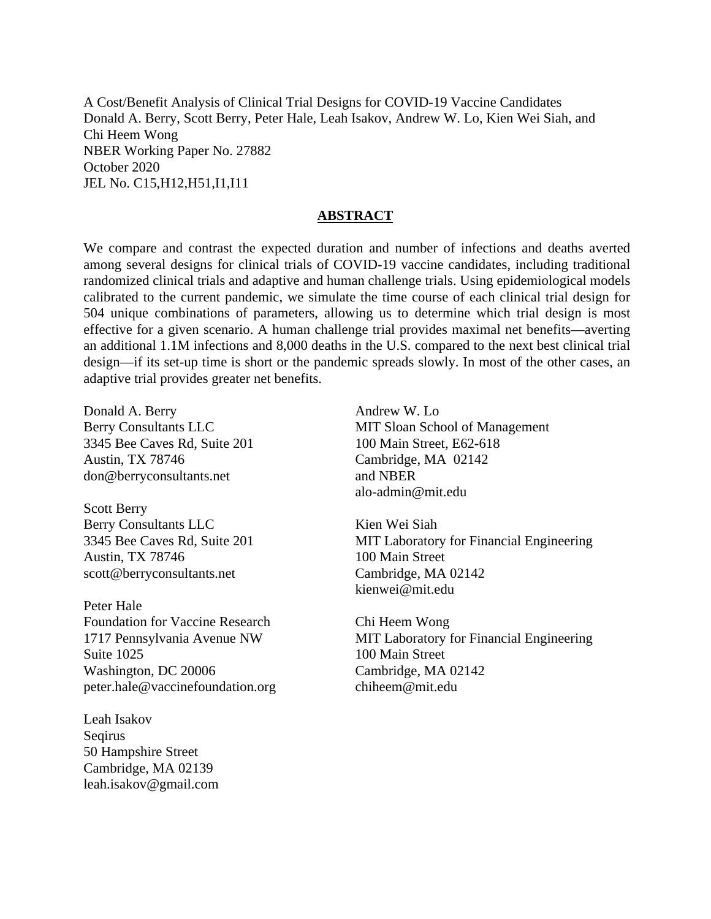A Cost/Benefit Analysis of Clinical Trial Designs for COVID-19 Vaccine Candidates Donald A. Berry, Scott Berry, Peter Hale, Leah Isakov, Andrew W. Lo, Kien Wei Siah, and Chi Heem Wong NBER Working Paper No. 27882 October 2020 JEL No. C15,H12,H51,I1,I11

#### **ABSTRACT**

We compare and contrast the expected duration and number of infections and deaths averted among several designs for clinical trials of COVID-19 vaccine candidates, including traditional randomized clinical trials and adaptive and human challenge trials. Using epidemiological models calibrated to the current pandemic, we simulate the time course of each clinical trial design for 504 unique combinations of parameters, allowing us to determine which trial design is most effective for a given scenario. A human challenge trial provides maximal net benefits—averting an additional 1.1M infections and 8,000 deaths in the U.S. compared to the next best clinical trial design—if its set-up time is short or the pandemic spreads slowly. In most of the other cases, an adaptive trial provides greater net benefits.

Donald A. Berry Berry Consultants LLC 3345 Bee Caves Rd, Suite 201 Austin, TX 78746 don@berryconsultants.net

Scott Berry Berry Consultants LLC 3345 Bee Caves Rd, Suite 201 Austin, TX 78746 scott@berryconsultants.net

Peter Hale Foundation for Vaccine Research 1717 Pennsylvania Avenue NW Suite 1025 Washington, DC 20006 peter.hale@vaccinefoundation.org

Leah Isakov Seqirus 50 Hampshire Street Cambridge, MA 02139 leah.isakov@gmail.com

Andrew W. Lo MIT Sloan School of Management 100 Main Street, E62-618 Cambridge, MA 02142 and NBER alo-admin@mit.edu

Kien Wei Siah MIT Laboratory for Financial Engineering 100 Main Street Cambridge, MA 02142 kienwei@mit.edu

Chi Heem Wong MIT Laboratory for Financial Engineering 100 Main Street Cambridge, MA 02142 chiheem@mit.edu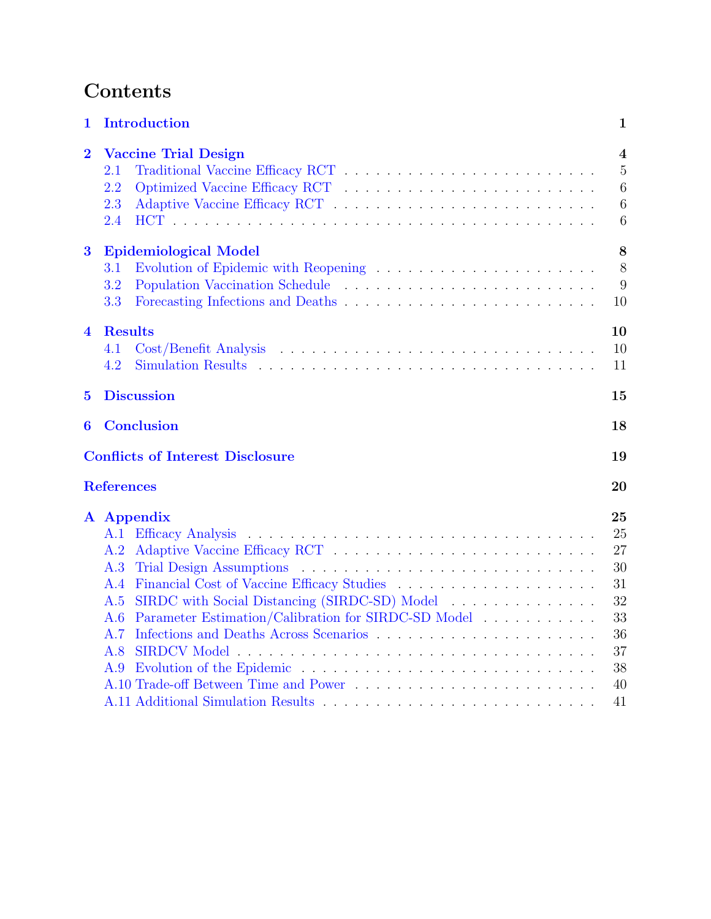# Contents

| $\mathbf 1$             | <b>Introduction</b>                                                                                                                                                               | 1                                                        |
|-------------------------|-----------------------------------------------------------------------------------------------------------------------------------------------------------------------------------|----------------------------------------------------------|
| $\overline{2}$          | <b>Vaccine Trial Design</b><br>2.1<br>2.2<br>2.3<br>2.4                                                                                                                           | $\overline{4}$<br>$\overline{5}$<br>6<br>6<br>6          |
| $\bf{3}$                | <b>Epidemiological Model</b><br>3.1<br>3.2<br>3.3                                                                                                                                 | 8<br>8<br>9<br>10                                        |
| $\overline{\mathbf{4}}$ | <b>Results</b><br>4.1<br>4.2                                                                                                                                                      | 10<br>10<br>11                                           |
| $\overline{5}$          | <b>Discussion</b>                                                                                                                                                                 | 15                                                       |
| 6                       | <b>Conclusion</b>                                                                                                                                                                 | 18                                                       |
|                         | <b>Conflicts of Interest Disclosure</b>                                                                                                                                           | 19                                                       |
|                         | <b>References</b>                                                                                                                                                                 | 20                                                       |
|                         | A Appendix<br>A.1<br>A.2<br>A.3<br>A.4<br>SIRDC with Social Distancing (SIRDC-SD) Model<br>A.5<br>Parameter Estimation/Calibration for SIRDC-SD Model<br>A.6<br>A.7<br>A.8<br>A.9 | 25<br>25<br>27<br>30<br>31<br>32<br>33<br>36<br>37<br>38 |
|                         |                                                                                                                                                                                   | 40                                                       |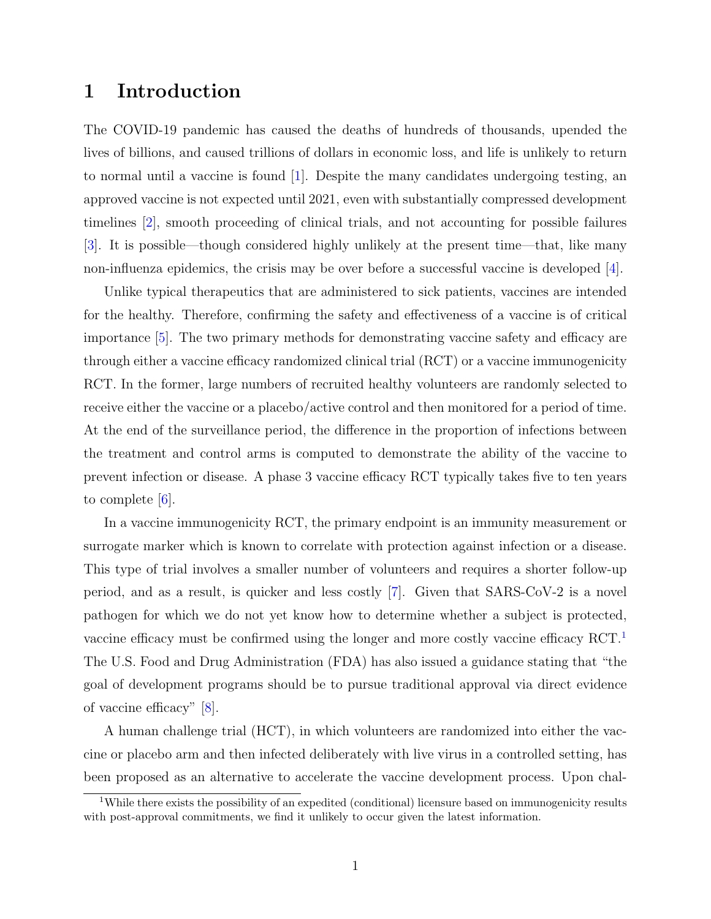## <span id="page-3-0"></span>1 Introduction

The COVID-19 pandemic has caused the deaths of hundreds of thousands, upended the lives of billions, and caused trillions of dollars in economic loss, and life is unlikely to return to normal until a vaccine is found [\[1\]](#page-22-0). Despite the many candidates undergoing testing, an approved vaccine is not expected until 2021, even with substantially compressed development timelines [\[2\]](#page-22-1), smooth proceeding of clinical trials, and not accounting for possible failures [\[3\]](#page-22-2). It is possible—though considered highly unlikely at the present time—that, like many non-influenza epidemics, the crisis may be over before a successful vaccine is developed [\[4\]](#page-22-3).

Unlike typical therapeutics that are administered to sick patients, vaccines are intended for the healthy. Therefore, confirming the safety and effectiveness of a vaccine is of critical importance [\[5\]](#page-22-4). The two primary methods for demonstrating vaccine safety and efficacy are through either a vaccine efficacy randomized clinical trial (RCT) or a vaccine immunogenicity RCT. In the former, large numbers of recruited healthy volunteers are randomly selected to receive either the vaccine or a placebo/active control and then monitored for a period of time. At the end of the surveillance period, the difference in the proportion of infections between the treatment and control arms is computed to demonstrate the ability of the vaccine to prevent infection or disease. A phase 3 vaccine efficacy RCT typically takes five to ten years to complete [\[6\]](#page-22-5).

In a vaccine immunogenicity RCT, the primary endpoint is an immunity measurement or surrogate marker which is known to correlate with protection against infection or a disease. This type of trial involves a smaller number of volunteers and requires a shorter follow-up period, and as a result, is quicker and less costly [\[7\]](#page-22-6). Given that SARS-CoV-2 is a novel pathogen for which we do not yet know how to determine whether a subject is protected, vaccine efficacy must be confirmed using the longer and more costly vaccine efficacy RCT.[1](#page-3-1) The U.S. Food and Drug Administration (FDA) has also issued a guidance stating that "the goal of development programs should be to pursue traditional approval via direct evidence of vaccine efficacy" [\[8\]](#page-22-7).

A human challenge trial (HCT), in which volunteers are randomized into either the vaccine or placebo arm and then infected deliberately with live virus in a controlled setting, has been proposed as an alternative to accelerate the vaccine development process. Upon chal-

<span id="page-3-1"></span><sup>&</sup>lt;sup>1</sup>While there exists the possibility of an expedited (conditional) licensure based on immunogenicity results with post-approval commitments, we find it unlikely to occur given the latest information.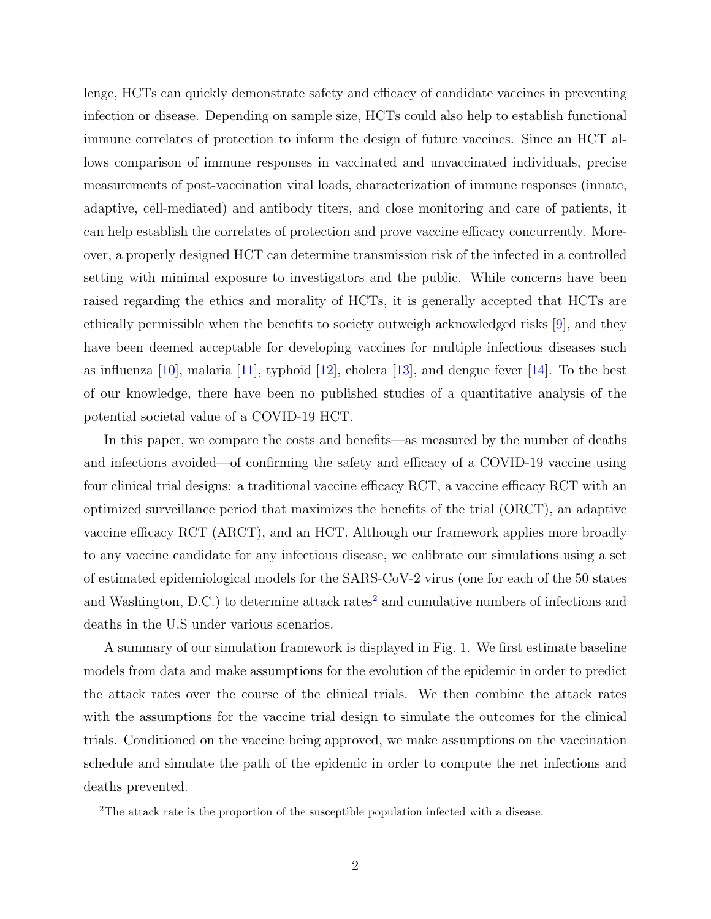lenge, HCTs can quickly demonstrate safety and efficacy of candidate vaccines in preventing infection or disease. Depending on sample size, HCTs could also help to establish functional immune correlates of protection to inform the design of future vaccines. Since an HCT allows comparison of immune responses in vaccinated and unvaccinated individuals, precise measurements of post-vaccination viral loads, characterization of immune responses (innate, adaptive, cell-mediated) and antibody titers, and close monitoring and care of patients, it can help establish the correlates of protection and prove vaccine efficacy concurrently. Moreover, a properly designed HCT can determine transmission risk of the infected in a controlled setting with minimal exposure to investigators and the public. While concerns have been raised regarding the ethics and morality of HCTs, it is generally accepted that HCTs are ethically permissible when the benefits to society outweigh acknowledged risks [\[9\]](#page-22-8), and they have been deemed acceptable for developing vaccines for multiple infectious diseases such as influenza  $[10]$ , malaria  $[11]$ , typhoid  $[12]$ , cholera  $[13]$ , and dengue fever  $[14]$ . To the best of our knowledge, there have been no published studies of a quantitative analysis of the potential societal value of a COVID-19 HCT.

In this paper, we compare the costs and benefits—as measured by the number of deaths and infections avoided—of confirming the safety and efficacy of a COVID-19 vaccine using four clinical trial designs: a traditional vaccine efficacy RCT, a vaccine efficacy RCT with an optimized surveillance period that maximizes the benefits of the trial (ORCT), an adaptive vaccine efficacy RCT (ARCT), and an HCT. Although our framework applies more broadly to any vaccine candidate for any infectious disease, we calibrate our simulations using a set of estimated epidemiological models for the SARS-CoV-2 virus (one for each of the 50 states and Washington, D.C.) to determine attack rates<sup>[2](#page-4-0)</sup> and cumulative numbers of infections and deaths in the U.S under various scenarios.

A summary of our simulation framework is displayed in Fig. [1.](#page-5-0) We first estimate baseline models from data and make assumptions for the evolution of the epidemic in order to predict the attack rates over the course of the clinical trials. We then combine the attack rates with the assumptions for the vaccine trial design to simulate the outcomes for the clinical trials. Conditioned on the vaccine being approved, we make assumptions on the vaccination schedule and simulate the path of the epidemic in order to compute the net infections and deaths prevented.

<span id="page-4-0"></span><sup>2</sup>The attack rate is the proportion of the susceptible population infected with a disease.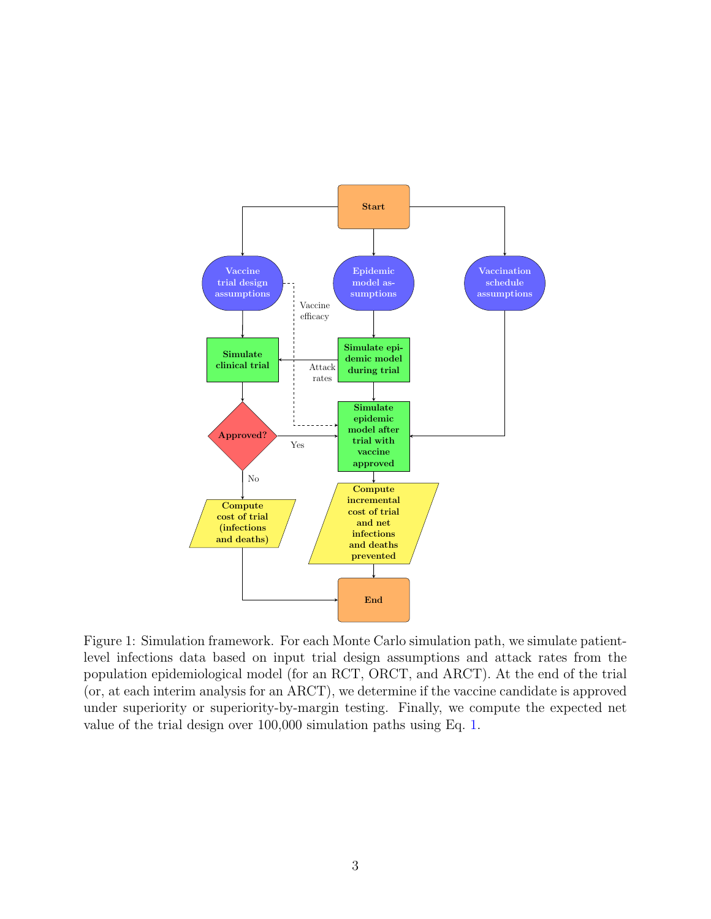<span id="page-5-0"></span>

Figure 1: Simulation framework. For each Monte Carlo simulation path, we simulate patientlevel infections data based on input trial design assumptions and attack rates from the population epidemiological model (for an RCT, ORCT, and ARCT). At the end of the trial (or, at each interim analysis for an ARCT), we determine if the vaccine candidate is approved under superiority or superiority-by-margin testing. Finally, we compute the expected net value of the trial design over 100,000 simulation paths using Eq. [1.](#page-12-3)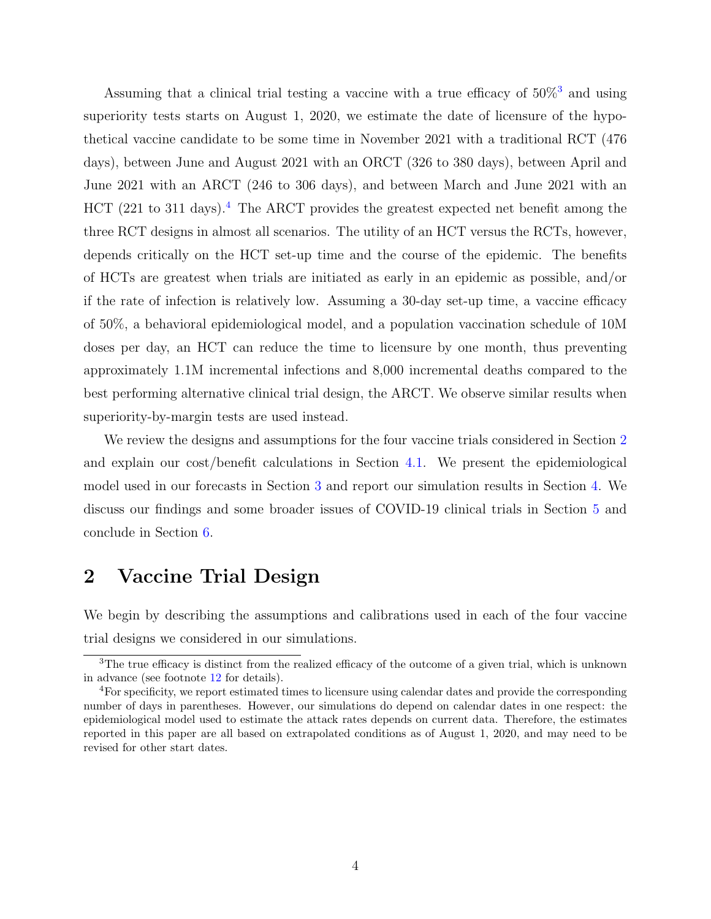Assuming that a clinical trial testing a vaccine with a true efficacy of  $50\%$ <sup>[3](#page-6-1)</sup> and using superiority tests starts on August 1, 2020, we estimate the date of licensure of the hypothetical vaccine candidate to be some time in November 2021 with a traditional RCT (476 days), between June and August 2021 with an ORCT (326 to 380 days), between April and June 2021 with an ARCT (246 to 306 days), and between March and June 2021 with an HCT (221 to 311 days).<sup>[4](#page-6-2)</sup> The ARCT provides the greatest expected net benefit among the three RCT designs in almost all scenarios. The utility of an HCT versus the RCTs, however, depends critically on the HCT set-up time and the course of the epidemic. The benefits of HCTs are greatest when trials are initiated as early in an epidemic as possible, and/or if the rate of infection is relatively low. Assuming a 30-day set-up time, a vaccine efficacy of 50%, a behavioral epidemiological model, and a population vaccination schedule of 10M doses per day, an HCT can reduce the time to licensure by one month, thus preventing approximately 1.1M incremental infections and 8,000 incremental deaths compared to the best performing alternative clinical trial design, the ARCT. We observe similar results when superiority-by-margin tests are used instead.

We review the designs and assumptions for the four vaccine trials considered in Section [2](#page-6-0) and explain our cost/benefit calculations in Section [4.1.](#page-12-2) We present the epidemiological model used in our forecasts in Section [3](#page-10-0) and report our simulation results in Section [4.](#page-12-1) We discuss our findings and some broader issues of COVID-19 clinical trials in Section [5](#page-17-0) and conclude in Section [6.](#page-20-0)

## <span id="page-6-0"></span>2 Vaccine Trial Design

We begin by describing the assumptions and calibrations used in each of the four vaccine trial designs we considered in our simulations.

<span id="page-6-1"></span><sup>&</sup>lt;sup>3</sup>The true efficacy is distinct from the realized efficacy of the outcome of a given trial, which is unknown in advance (see footnote [12](#page-13-1) for details).

<span id="page-6-2"></span><sup>&</sup>lt;sup>4</sup>For specificity, we report estimated times to licensure using calendar dates and provide the corresponding number of days in parentheses. However, our simulations do depend on calendar dates in one respect: the epidemiological model used to estimate the attack rates depends on current data. Therefore, the estimates reported in this paper are all based on extrapolated conditions as of August 1, 2020, and may need to be revised for other start dates.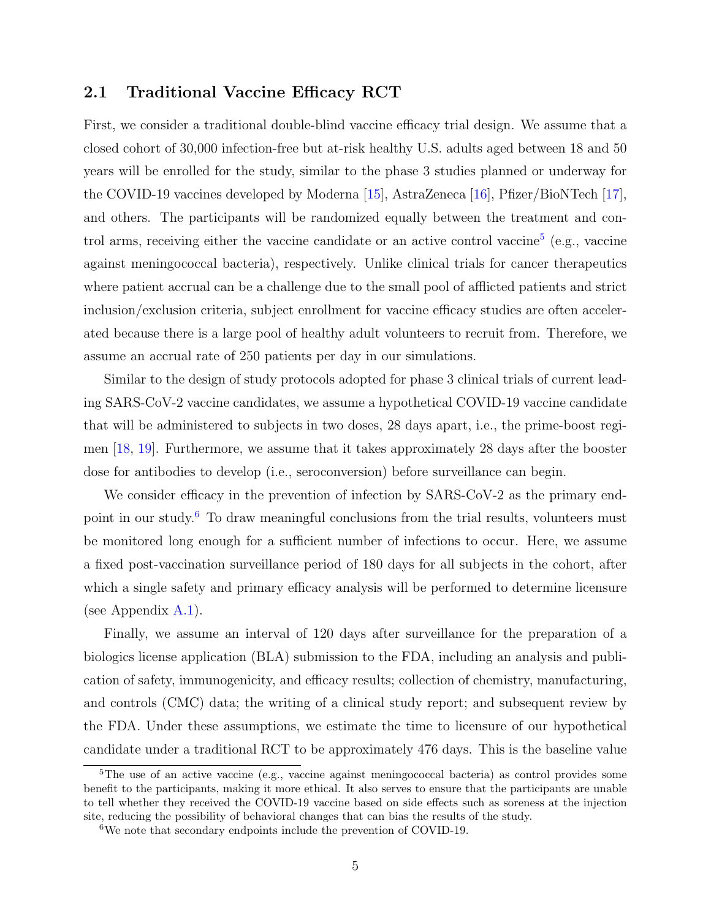### <span id="page-7-0"></span>2.1 Traditional Vaccine Efficacy RCT

First, we consider a traditional double-blind vaccine efficacy trial design. We assume that a closed cohort of 30,000 infection-free but at-risk healthy U.S. adults aged between 18 and 50 years will be enrolled for the study, similar to the phase 3 studies planned or underway for the COVID-19 vaccines developed by Moderna [\[15\]](#page-23-2), AstraZeneca [\[16\]](#page-23-3), Pfizer/BioNTech [\[17\]](#page-23-4), and others. The participants will be randomized equally between the treatment and con-trol arms, receiving either the vaccine candidate or an active control vaccine<sup>[5](#page-7-1)</sup> (e.g., vaccine against meningococcal bacteria), respectively. Unlike clinical trials for cancer therapeutics where patient accrual can be a challenge due to the small pool of afflicted patients and strict inclusion/exclusion criteria, subject enrollment for vaccine efficacy studies are often accelerated because there is a large pool of healthy adult volunteers to recruit from. Therefore, we assume an accrual rate of 250 patients per day in our simulations.

Similar to the design of study protocols adopted for phase 3 clinical trials of current leading SARS-CoV-2 vaccine candidates, we assume a hypothetical COVID-19 vaccine candidate that will be administered to subjects in two doses, 28 days apart, i.e., the prime-boost regimen [\[18,](#page-23-5) [19\]](#page-23-6). Furthermore, we assume that it takes approximately 28 days after the booster dose for antibodies to develop (i.e., seroconversion) before surveillance can begin.

We consider efficacy in the prevention of infection by SARS-CoV-2 as the primary end-point in our study.<sup>[6](#page-7-2)</sup> To draw meaningful conclusions from the trial results, volunteers must be monitored long enough for a sufficient number of infections to occur. Here, we assume a fixed post-vaccination surveillance period of 180 days for all subjects in the cohort, after which a single safety and primary efficacy analysis will be performed to determine licensure (see Appendix  $A.1$ ).

Finally, we assume an interval of 120 days after surveillance for the preparation of a biologics license application (BLA) submission to the FDA, including an analysis and publication of safety, immunogenicity, and efficacy results; collection of chemistry, manufacturing, and controls (CMC) data; the writing of a clinical study report; and subsequent review by the FDA. Under these assumptions, we estimate the time to licensure of our hypothetical candidate under a traditional RCT to be approximately 476 days. This is the baseline value

<span id="page-7-1"></span><sup>&</sup>lt;sup>5</sup>The use of an active vaccine (e.g., vaccine against meningococcal bacteria) as control provides some benefit to the participants, making it more ethical. It also serves to ensure that the participants are unable to tell whether they received the COVID-19 vaccine based on side effects such as soreness at the injection site, reducing the possibility of behavioral changes that can bias the results of the study.

<span id="page-7-2"></span><sup>6</sup>We note that secondary endpoints include the prevention of COVID-19.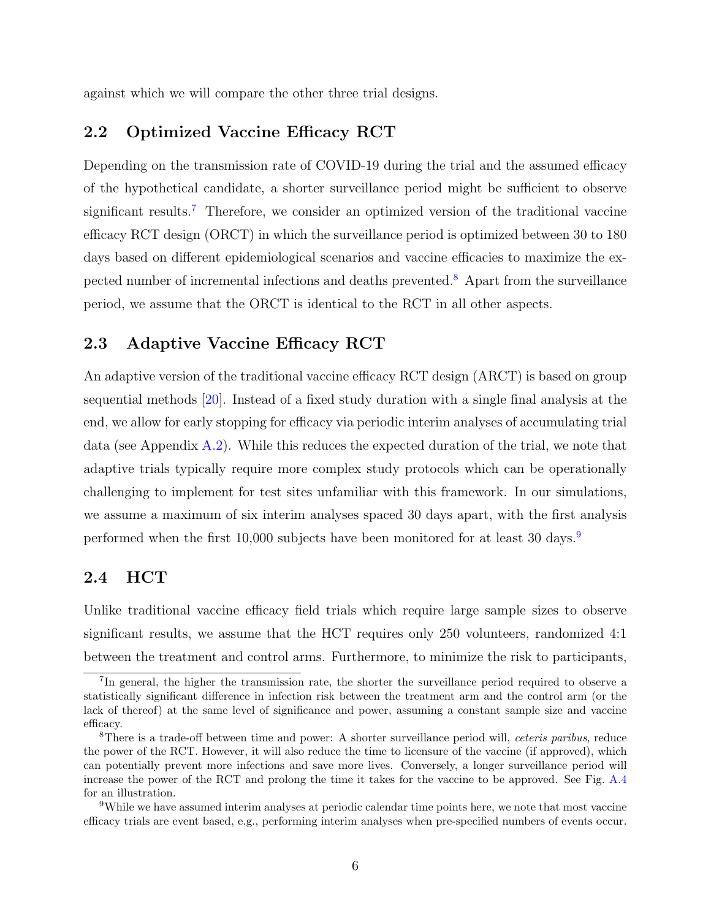against which we will compare the other three trial designs.

### <span id="page-8-0"></span>2.2 Optimized Vaccine Efficacy RCT

Depending on the transmission rate of COVID-19 during the trial and the assumed efficacy of the hypothetical candidate, a shorter surveillance period might be sufficient to observe significant results.<sup>[7](#page-8-3)</sup> Therefore, we consider an optimized version of the traditional vaccine efficacy RCT design (ORCT) in which the surveillance period is optimized between 30 to 180 days based on different epidemiological scenarios and vaccine efficacies to maximize the expected number of incremental infections and deaths prevented.[8](#page-8-4) Apart from the surveillance period, we assume that the ORCT is identical to the RCT in all other aspects.

### <span id="page-8-1"></span>2.3 Adaptive Vaccine Efficacy RCT

An adaptive version of the traditional vaccine efficacy RCT design (ARCT) is based on group sequential methods [\[20\]](#page-23-7). Instead of a fixed study duration with a single final analysis at the end, we allow for early stopping for efficacy via periodic interim analyses of accumulating trial data (see Appendix [A.2\)](#page-29-0). While this reduces the expected duration of the trial, we note that adaptive trials typically require more complex study protocols which can be operationally challenging to implement for test sites unfamiliar with this framework. In our simulations, we assume a maximum of six interim analyses spaced 30 days apart, with the first analysis performed when the first 10,000 subjects have been monitored for at least 30 days.<sup>[9](#page-8-5)</sup>

### <span id="page-8-2"></span>2.4 HCT

Unlike traditional vaccine efficacy field trials which require large sample sizes to observe significant results, we assume that the HCT requires only 250 volunteers, randomized 4:1 between the treatment and control arms. Furthermore, to minimize the risk to participants,

<span id="page-8-3"></span><sup>&</sup>lt;sup>7</sup>In general, the higher the transmission rate, the shorter the surveillance period required to observe a statistically significant difference in infection risk between the treatment arm and the control arm (or the lack of thereof) at the same level of significance and power, assuming a constant sample size and vaccine efficacy.

<span id="page-8-4"></span><sup>&</sup>lt;sup>8</sup>There is a trade-off between time and power: A shorter surveillance period will, *ceteris paribus*, reduce the power of the RCT. However, it will also reduce the time to licensure of the vaccine (if approved), which can potentially prevent more infections and save more lives. Conversely, a longer surveillance period will increase the power of the RCT and prolong the time it takes for the vaccine to be approved. See Fig. [A.4](#page-42-1) for an illustration.

<span id="page-8-5"></span><sup>9</sup>While we have assumed interim analyses at periodic calendar time points here, we note that most vaccine efficacy trials are event based, e.g., performing interim analyses when pre-specified numbers of events occur.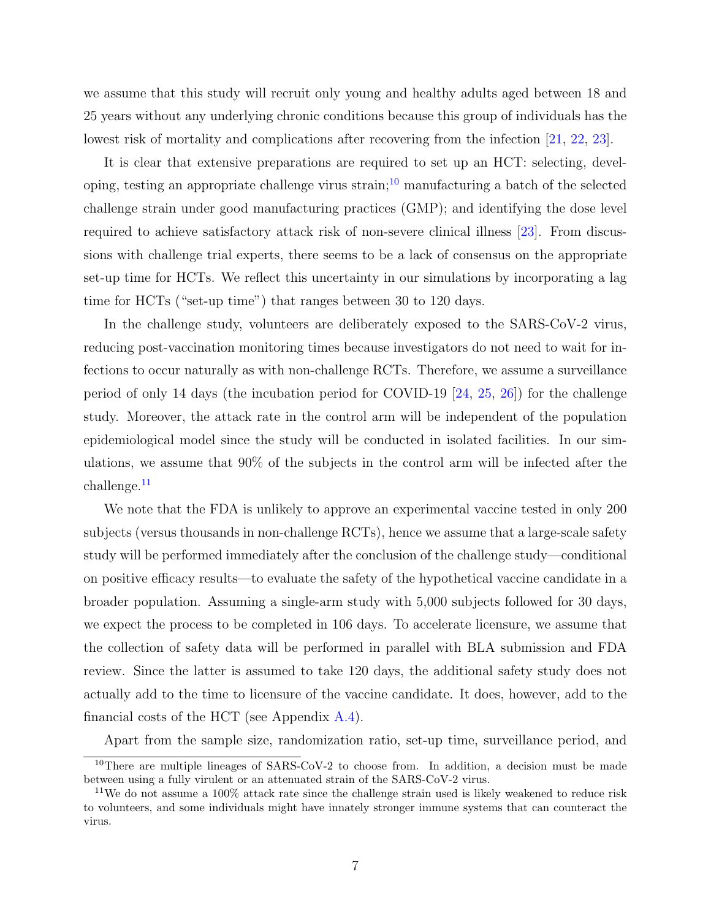we assume that this study will recruit only young and healthy adults aged between 18 and 25 years without any underlying chronic conditions because this group of individuals has the lowest risk of mortality and complications after recovering from the infection [\[21,](#page-23-8) [22,](#page-23-9) [23\]](#page-23-10).

It is clear that extensive preparations are required to set up an HCT: selecting, devel-oping, testing an appropriate challenge virus strain;<sup>[10](#page-9-0)</sup> manufacturing a batch of the selected challenge strain under good manufacturing practices (GMP); and identifying the dose level required to achieve satisfactory attack risk of non-severe clinical illness [\[23\]](#page-23-10). From discussions with challenge trial experts, there seems to be a lack of consensus on the appropriate set-up time for HCTs. We reflect this uncertainty in our simulations by incorporating a lag time for HCTs ("set-up time") that ranges between 30 to 120 days.

In the challenge study, volunteers are deliberately exposed to the SARS-CoV-2 virus, reducing post-vaccination monitoring times because investigators do not need to wait for infections to occur naturally as with non-challenge RCTs. Therefore, we assume a surveillance period of only 14 days (the incubation period for COVID-19 [\[24,](#page-24-0) [25,](#page-24-1) [26\]](#page-24-2)) for the challenge study. Moreover, the attack rate in the control arm will be independent of the population epidemiological model since the study will be conducted in isolated facilities. In our simulations, we assume that 90% of the subjects in the control arm will be infected after the challenge.[11](#page-9-1)

We note that the FDA is unlikely to approve an experimental vaccine tested in only 200 subjects (versus thousands in non-challenge RCTs), hence we assume that a large-scale safety study will be performed immediately after the conclusion of the challenge study—conditional on positive efficacy results—to evaluate the safety of the hypothetical vaccine candidate in a broader population. Assuming a single-arm study with 5,000 subjects followed for 30 days, we expect the process to be completed in 106 days. To accelerate licensure, we assume that the collection of safety data will be performed in parallel with BLA submission and FDA review. Since the latter is assumed to take 120 days, the additional safety study does not actually add to the time to licensure of the vaccine candidate. It does, however, add to the financial costs of the HCT (see Appendix  $A.4$ ).

<span id="page-9-0"></span>Apart from the sample size, randomization ratio, set-up time, surveillance period, and

<sup>&</sup>lt;sup>10</sup>There are multiple lineages of SARS-CoV-2 to choose from. In addition, a decision must be made between using a fully virulent or an attenuated strain of the SARS-CoV-2 virus.

<span id="page-9-1"></span><sup>11</sup>We do not assume a 100% attack rate since the challenge strain used is likely weakened to reduce risk to volunteers, and some individuals might have innately stronger immune systems that can counteract the virus.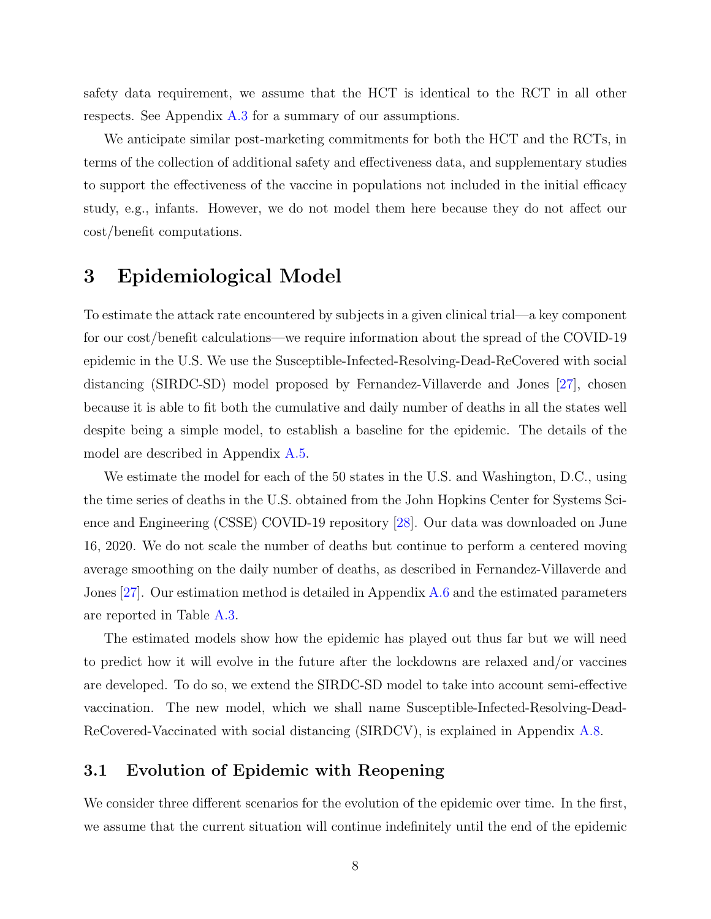safety data requirement, we assume that the HCT is identical to the RCT in all other respects. See Appendix [A.3](#page-32-0) for a summary of our assumptions.

We anticipate similar post-marketing commitments for both the HCT and the RCTs, in terms of the collection of additional safety and effectiveness data, and supplementary studies to support the effectiveness of the vaccine in populations not included in the initial efficacy study, e.g., infants. However, we do not model them here because they do not affect our cost/benefit computations.

### <span id="page-10-0"></span>3 Epidemiological Model

To estimate the attack rate encountered by subjects in a given clinical trial—a key component for our cost/benefit calculations—we require information about the spread of the COVID-19 epidemic in the U.S. We use the Susceptible-Infected-Resolving-Dead-ReCovered with social distancing (SIRDC-SD) model proposed by Fernandez-Villaverde and Jones [\[27\]](#page-24-3), chosen because it is able to fit both the cumulative and daily number of deaths in all the states well despite being a simple model, to establish a baseline for the epidemic. The details of the model are described in Appendix [A.5.](#page-34-0)

We estimate the model for each of the 50 states in the U.S. and Washington, D.C., using the time series of deaths in the U.S. obtained from the John Hopkins Center for Systems Science and Engineering (CSSE) COVID-19 repository [\[28\]](#page-24-4). Our data was downloaded on June 16, 2020. We do not scale the number of deaths but continue to perform a centered moving average smoothing on the daily number of deaths, as described in Fernandez-Villaverde and Jones [\[27\]](#page-24-3). Our estimation method is detailed in Appendix [A.6](#page-35-0) and the estimated parameters are reported in Table [A.3.](#page-35-1)

The estimated models show how the epidemic has played out thus far but we will need to predict how it will evolve in the future after the lockdowns are relaxed and/or vaccines are developed. To do so, we extend the SIRDC-SD model to take into account semi-effective vaccination. The new model, which we shall name Susceptible-Infected-Resolving-Dead-ReCovered-Vaccinated with social distancing (SIRDCV), is explained in Appendix [A.8.](#page-39-0)

### <span id="page-10-1"></span>3.1 Evolution of Epidemic with Reopening

We consider three different scenarios for the evolution of the epidemic over time. In the first, we assume that the current situation will continue indefinitely until the end of the epidemic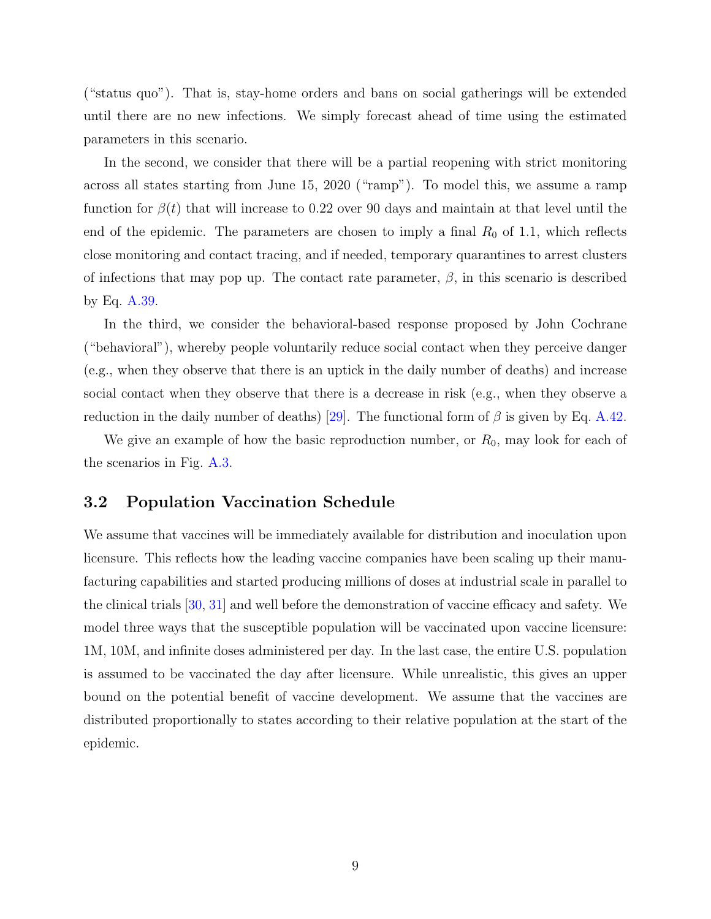("status quo"). That is, stay-home orders and bans on social gatherings will be extended until there are no new infections. We simply forecast ahead of time using the estimated parameters in this scenario.

In the second, we consider that there will be a partial reopening with strict monitoring across all states starting from June 15, 2020 ("ramp"). To model this, we assume a ramp function for  $\beta(t)$  that will increase to 0.22 over 90 days and maintain at that level until the end of the epidemic. The parameters are chosen to imply a final  $R_0$  of 1.1, which reflects close monitoring and contact tracing, and if needed, temporary quarantines to arrest clusters of infections that may pop up. The contact rate parameter,  $\beta$ , in this scenario is described by Eq. [A.39.](#page-40-1)

In the third, we consider the behavioral-based response proposed by John Cochrane ("behavioral"), whereby people voluntarily reduce social contact when they perceive danger (e.g., when they observe that there is an uptick in the daily number of deaths) and increase social contact when they observe that there is a decrease in risk (e.g., when they observe a reduction in the daily number of deaths) [\[29\]](#page-24-5). The functional form of  $\beta$  is given by Eq. [A.42.](#page-41-0)

We give an example of how the basic reproduction number, or  $R_0$ , may look for each of the scenarios in Fig. [A.3.](#page-41-1)

### <span id="page-11-0"></span>3.2 Population Vaccination Schedule

We assume that vaccines will be immediately available for distribution and inoculation upon licensure. This reflects how the leading vaccine companies have been scaling up their manufacturing capabilities and started producing millions of doses at industrial scale in parallel to the clinical trials [\[30,](#page-24-6) [31\]](#page-24-7) and well before the demonstration of vaccine efficacy and safety. We model three ways that the susceptible population will be vaccinated upon vaccine licensure: 1M, 10M, and infinite doses administered per day. In the last case, the entire U.S. population is assumed to be vaccinated the day after licensure. While unrealistic, this gives an upper bound on the potential benefit of vaccine development. We assume that the vaccines are distributed proportionally to states according to their relative population at the start of the epidemic.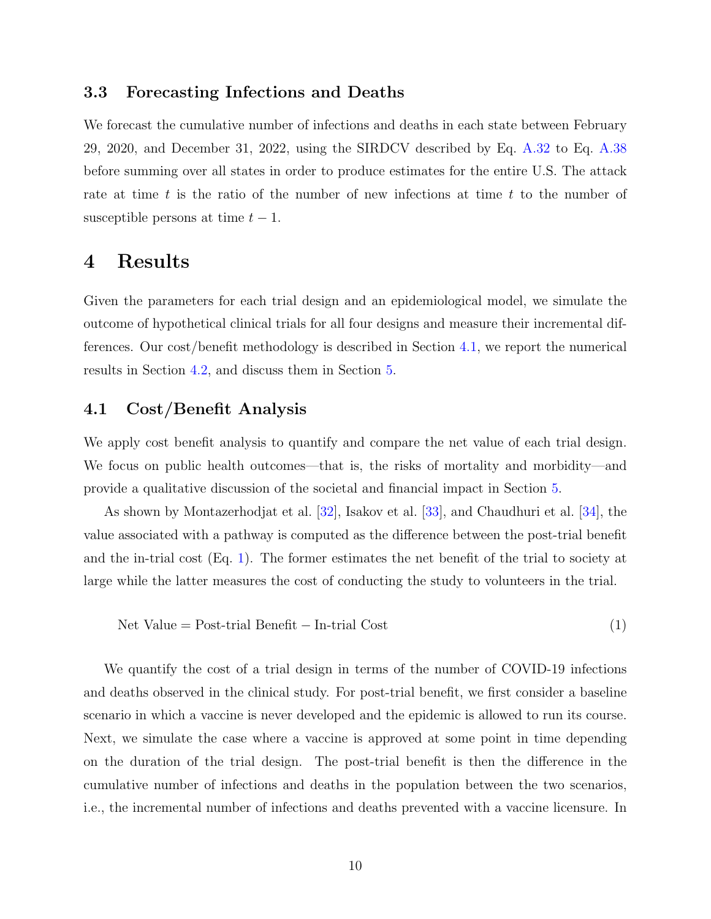### <span id="page-12-0"></span>3.3 Forecasting Infections and Deaths

We forecast the cumulative number of infections and deaths in each state between February 29, 2020, and December 31, 2022, using the SIRDCV described by Eq. [A.32](#page-39-1) to Eq. [A.38](#page-39-2) before summing over all states in order to produce estimates for the entire U.S. The attack rate at time t is the ratio of the number of new infections at time t to the number of susceptible persons at time  $t - 1$ .

### <span id="page-12-1"></span>4 Results

Given the parameters for each trial design and an epidemiological model, we simulate the outcome of hypothetical clinical trials for all four designs and measure their incremental differences. Our cost/benefit methodology is described in Section [4.1,](#page-12-2) we report the numerical results in Section [4.2,](#page-13-0) and discuss them in Section [5.](#page-17-0)

### <span id="page-12-2"></span>4.1 Cost/Benefit Analysis

We apply cost benefit analysis to quantify and compare the net value of each trial design. We focus on public health outcomes—that is, the risks of mortality and morbidity—and provide a qualitative discussion of the societal and financial impact in Section [5.](#page-17-0)

As shown by Montazerhodjat et al. [\[32\]](#page-24-8), Isakov et al. [\[33\]](#page-24-9), and Chaudhuri et al. [\[34\]](#page-24-10), the value associated with a pathway is computed as the difference between the post-trial benefit and the in-trial cost (Eq. [1\)](#page-12-3). The former estimates the net benefit of the trial to society at large while the latter measures the cost of conducting the study to volunteers in the trial.

<span id="page-12-3"></span>
$$
Net Value = Post-trial Benefit - In-trial Cost
$$
\n
$$
(1)
$$

We quantify the cost of a trial design in terms of the number of COVID-19 infections and deaths observed in the clinical study. For post-trial benefit, we first consider a baseline scenario in which a vaccine is never developed and the epidemic is allowed to run its course. Next, we simulate the case where a vaccine is approved at some point in time depending on the duration of the trial design. The post-trial benefit is then the difference in the cumulative number of infections and deaths in the population between the two scenarios, i.e., the incremental number of infections and deaths prevented with a vaccine licensure. In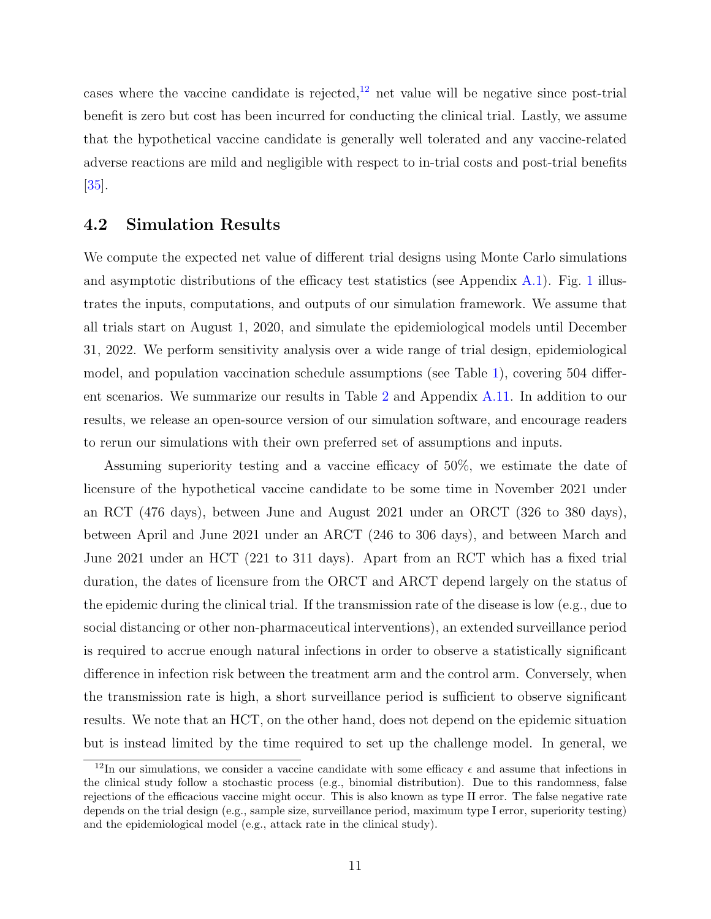cases where the vaccine candidate is rejected, $^{12}$  $^{12}$  $^{12}$  net value will be negative since post-trial benefit is zero but cost has been incurred for conducting the clinical trial. Lastly, we assume that the hypothetical vaccine candidate is generally well tolerated and any vaccine-related adverse reactions are mild and negligible with respect to in-trial costs and post-trial benefits [\[35\]](#page-24-11).

### <span id="page-13-0"></span>4.2 Simulation Results

We compute the expected net value of different trial designs using Monte Carlo simulations and asymptotic distributions of the efficacy test statistics (see Appendix [A.1\)](#page-27-1). Fig. [1](#page-5-0) illustrates the inputs, computations, and outputs of our simulation framework. We assume that all trials start on August 1, 2020, and simulate the epidemiological models until December 31, 2022. We perform sensitivity analysis over a wide range of trial design, epidemiological model, and population vaccination schedule assumptions (see Table [1\)](#page-14-0), covering 504 different scenarios. We summarize our results in Table [2](#page-15-0) and Appendix [A.11.](#page-43-0) In addition to our results, we release an open-source version of our simulation software, and encourage readers to rerun our simulations with their own preferred set of assumptions and inputs.

Assuming superiority testing and a vaccine efficacy of 50%, we estimate the date of licensure of the hypothetical vaccine candidate to be some time in November 2021 under an RCT (476 days), between June and August 2021 under an ORCT (326 to 380 days), between April and June 2021 under an ARCT (246 to 306 days), and between March and June 2021 under an HCT (221 to 311 days). Apart from an RCT which has a fixed trial duration, the dates of licensure from the ORCT and ARCT depend largely on the status of the epidemic during the clinical trial. If the transmission rate of the disease is low (e.g., due to social distancing or other non-pharmaceutical interventions), an extended surveillance period is required to accrue enough natural infections in order to observe a statistically significant difference in infection risk between the treatment arm and the control arm. Conversely, when the transmission rate is high, a short surveillance period is sufficient to observe significant results. We note that an HCT, on the other hand, does not depend on the epidemic situation but is instead limited by the time required to set up the challenge model. In general, we

<span id="page-13-1"></span><sup>&</sup>lt;sup>12</sup>In our simulations, we consider a vaccine candidate with some efficacy  $\epsilon$  and assume that infections in the clinical study follow a stochastic process (e.g., binomial distribution). Due to this randomness, false rejections of the efficacious vaccine might occur. This is also known as type II error. The false negative rate depends on the trial design (e.g., sample size, surveillance period, maximum type I error, superiority testing) and the epidemiological model (e.g., attack rate in the clinical study).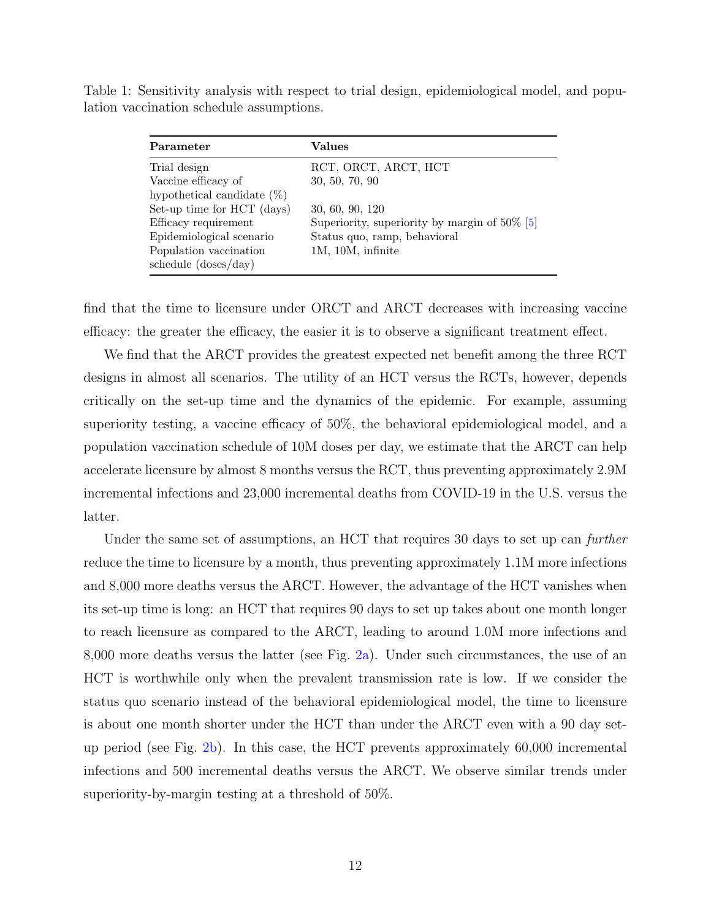<span id="page-14-0"></span>Table 1: Sensitivity analysis with respect to trial design, epidemiological model, and population vaccination schedule assumptions.

| Parameter                     | Values                                           |
|-------------------------------|--------------------------------------------------|
| Trial design                  | RCT, ORCT, ARCT, HCT                             |
| Vaccine efficacy of           | 30, 50, 70, 90                                   |
| hypothetical candidate $(\%)$ |                                                  |
| Set-up time for HCT (days)    | 30, 60, 90, 120                                  |
| Efficacy requirement          | Superiority, superiority by margin of $50\%$ [5] |
| Epidemiological scenario      | Status quo, ramp, behavioral                     |
| Population vaccination        | 1M, 10M, infinite                                |
| schedule (doses/day)          |                                                  |

find that the time to licensure under ORCT and ARCT decreases with increasing vaccine efficacy: the greater the efficacy, the easier it is to observe a significant treatment effect.

We find that the ARCT provides the greatest expected net benefit among the three RCT designs in almost all scenarios. The utility of an HCT versus the RCTs, however, depends critically on the set-up time and the dynamics of the epidemic. For example, assuming superiority testing, a vaccine efficacy of 50%, the behavioral epidemiological model, and a population vaccination schedule of 10M doses per day, we estimate that the ARCT can help accelerate licensure by almost 8 months versus the RCT, thus preventing approximately 2.9M incremental infections and 23,000 incremental deaths from COVID-19 in the U.S. versus the latter.

Under the same set of assumptions, an HCT that requires 30 days to set up can *further* reduce the time to licensure by a month, thus preventing approximately 1.1M more infections and 8,000 more deaths versus the ARCT. However, the advantage of the HCT vanishes when its set-up time is long: an HCT that requires 90 days to set up takes about one month longer to reach licensure as compared to the ARCT, leading to around 1.0M more infections and 8,000 more deaths versus the latter (see Fig. [2a\)](#page-16-0). Under such circumstances, the use of an HCT is worthwhile only when the prevalent transmission rate is low. If we consider the status quo scenario instead of the behavioral epidemiological model, the time to licensure is about one month shorter under the HCT than under the ARCT even with a 90 day setup period (see Fig. [2b\)](#page-16-0). In this case, the HCT prevents approximately 60,000 incremental infections and 500 incremental deaths versus the ARCT. We observe similar trends under superiority-by-margin testing at a threshold of 50%.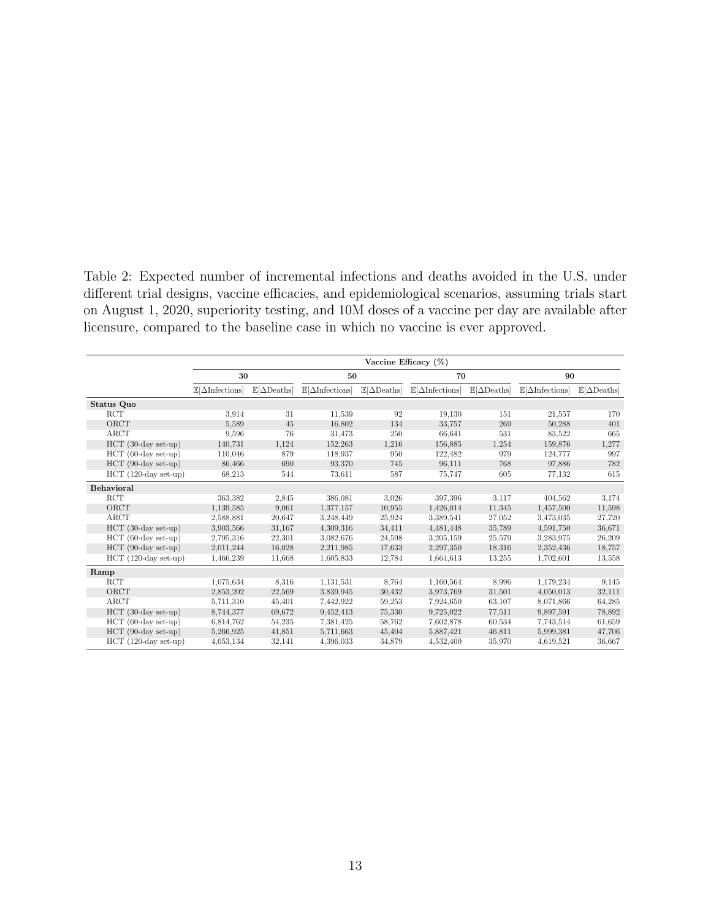<span id="page-15-0"></span>Table 2: Expected number of incremental infections and deaths avoided in the U.S. under different trial designs, vaccine efficacies, and epidemiological scenarios, assuming trials start on August 1, 2020, superiority testing, and 10M doses of a vaccine per day are available after licensure, compared to the baseline case in which no vaccine is ever approved.

|                        | Vaccine Efficacy $(\%)$               |                                    |                                       |                                    |                                       |                                    |                                       |                                    |
|------------------------|---------------------------------------|------------------------------------|---------------------------------------|------------------------------------|---------------------------------------|------------------------------------|---------------------------------------|------------------------------------|
|                        | 30                                    |                                    | 50                                    |                                    | 70                                    |                                    | 90                                    |                                    |
|                        | $\mathbb{E}[\Delta\text{Infections}]$ | $\mathbb{E}[\Delta \text{Deaths}]$ | $\mathbb{E}[\Delta\text{Infections}]$ | $\mathbb{E}[\Delta \text{Deaths}]$ | $\mathbb{E}[\Delta\text{Infections}]$ | $\mathbb{E}[\Delta \text{Deaths}]$ | $\mathbb{E}[\Delta\text{Infections}]$ | $\mathbb{E}[\Delta \text{Deaths}]$ |
| Status Quo             |                                       |                                    |                                       |                                    |                                       |                                    |                                       |                                    |
| RCT                    | 3.914                                 | 31                                 | 11,539                                | 92                                 | 19,130                                | 151                                | 21,557                                | 170                                |
| ORCT                   | 5,589                                 | 45                                 | 16,802                                | 134                                | 33,757                                | 269                                | 50,288                                | 401                                |
| ARCT                   | 9,596                                 | 76                                 | 31,473                                | 250                                | 66,641                                | 531                                | 83,522                                | 665                                |
| $HCT$ (30-day set-up)  | 140,731                               | 1,124                              | 152,263                               | 1,216                              | 156,885                               | 1,254                              | 159,876                               | 1,277                              |
| $HCT$ (60-day set-up)  | 110,046                               | 879                                | 118,937                               | 950                                | 122,482                               | 979                                | 124,777                               | 997                                |
| $HCT$ (90-day set-up)  | 86,466                                | 690                                | 93,370                                | 745                                | 96,111                                | 768                                | 97,886                                | 782                                |
| $HCT$ (120-day set-up) | 68,213                                | 544                                | 73,611                                | 587                                | 75,747                                | 605                                | 77,132                                | 615                                |
| Behavioral             |                                       |                                    |                                       |                                    |                                       |                                    |                                       |                                    |
| <b>RCT</b>             | 363,382                               | 2,845                              | 386,081                               | 3.026                              | 397,396                               | 3.117                              | 404,562                               | 3,174                              |
| ORCT                   | 1,139,585                             | 9,061                              | 1,377,157                             | 10.955                             | 1,426,014                             | 11,345                             | 1,457,500                             | 11,598                             |
| ARCT                   | 2,588,881                             | 20,647                             | 3,248,449                             | 25,924                             | 3.389.541                             | 27,052                             | 3,473,035                             | 27,720                             |
| $HCT$ (30-day set-up)  | 3.903.566                             | 31,167                             | 4,309,316                             | 34,411                             | 4,481,448                             | 35,789                             | 4,591,750                             | 36,671                             |
| $HCT$ (60-day set-up)  | 2,795,316                             | 22,301                             | 3.082,676                             | 24,598                             | 3,205,159                             | 25,579                             | 3,283,975                             | 26,209                             |
| $HCT$ (90-day set-up)  | 2,011,244                             | 16,028                             | 2,211,985                             | 17,633                             | 2,297,350                             | 18,316                             | 2,352,436                             | 18,757                             |
| $HCT$ (120-day set-up) | 1,466,239                             | 11,668                             | 1,605,833                             | 12,784                             | 1,664,613                             | 13,255                             | 1,702,601                             | 13,558                             |
| Ramp                   |                                       |                                    |                                       |                                    |                                       |                                    |                                       |                                    |
| RCT                    | 1,075,634                             | 8,316                              | 1,131,531                             | 8,764                              | 1,160,564                             | 8.996                              | 1,179,234                             | 9,145                              |
| ORCT                   | 2,853,202                             | 22,569                             | 3.839.945                             | 30,432                             | 3.973.769                             | 31,501                             | 4,050,013                             | 32,111                             |
| ARCT                   | 5,711,310                             | 45,401                             | 7,442,922                             | 59,253                             | 7.924,650                             | 63,107                             | 8,071,866                             | 64,285                             |
| $HCT$ (30-day set-up)  | 8,744,377                             | 69,672                             | 9,452,413                             | 75,330                             | 9,725,022                             | 77,511                             | 9,897,591                             | 78,892                             |
| $HCT$ (60-day set-up)  | 6.814.762                             | 54,235                             | 7.381,425                             | 58,762                             | 7.602,878                             | 60,534                             | 7,743,514                             | 61,659                             |
| $HCT$ (90-day set-up)  | 5,266,925                             | 41,851                             | 5,711,663                             | 45,404                             | 5,887,421                             | 46,811                             | 5,999,381                             | 47,706                             |
| $HCT$ (120-day set-up) | 4,053,134                             | 32,141                             | 4,396,033                             | 34,879                             | 4,532,400                             | 35,970                             | 4,619,521                             | 36,667                             |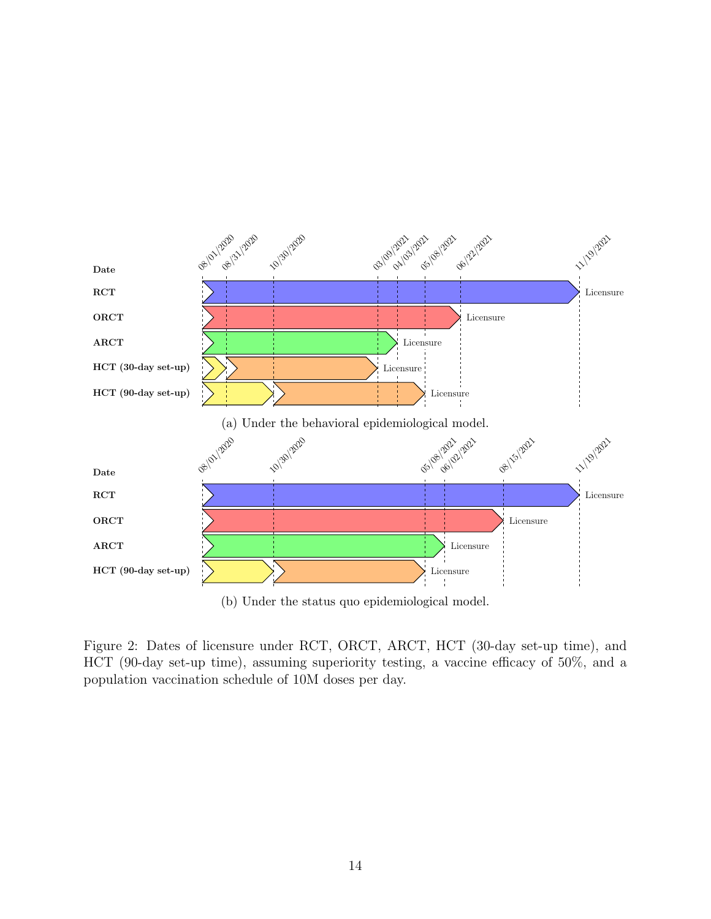<span id="page-16-0"></span>

Figure 2: Dates of licensure under RCT, ORCT, ARCT, HCT (30-day set-up time), and HCT (90-day set-up time), assuming superiority testing, a vaccine efficacy of 50%, and a population vaccination schedule of 10M doses per day.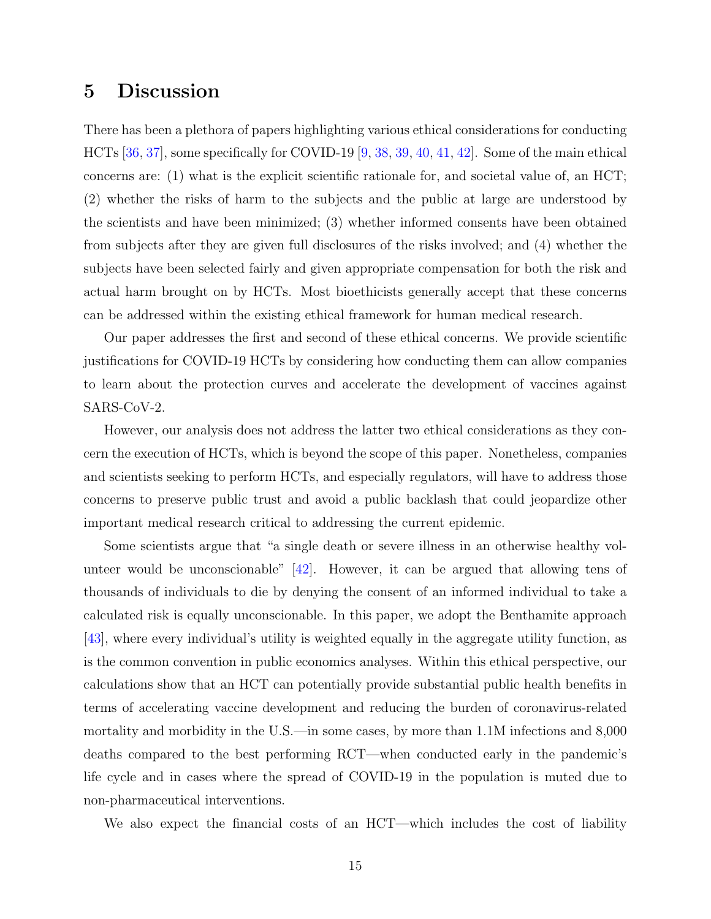## <span id="page-17-0"></span>5 Discussion

There has been a plethora of papers highlighting various ethical considerations for conducting HCTs [\[36,](#page-25-0) [37\]](#page-25-1), some specifically for COVID-19 [\[9,](#page-22-8) [38,](#page-25-2) [39,](#page-25-3) [40,](#page-25-4) [41,](#page-25-5) [42\]](#page-25-6). Some of the main ethical concerns are: (1) what is the explicit scientific rationale for, and societal value of, an HCT; (2) whether the risks of harm to the subjects and the public at large are understood by the scientists and have been minimized; (3) whether informed consents have been obtained from subjects after they are given full disclosures of the risks involved; and (4) whether the subjects have been selected fairly and given appropriate compensation for both the risk and actual harm brought on by HCTs. Most bioethicists generally accept that these concerns can be addressed within the existing ethical framework for human medical research.

Our paper addresses the first and second of these ethical concerns. We provide scientific justifications for COVID-19 HCTs by considering how conducting them can allow companies to learn about the protection curves and accelerate the development of vaccines against SARS-CoV-2.

However, our analysis does not address the latter two ethical considerations as they concern the execution of HCTs, which is beyond the scope of this paper. Nonetheless, companies and scientists seeking to perform HCTs, and especially regulators, will have to address those concerns to preserve public trust and avoid a public backlash that could jeopardize other important medical research critical to addressing the current epidemic.

Some scientists argue that "a single death or severe illness in an otherwise healthy volunteer would be unconscionable" [\[42\]](#page-25-6). However, it can be argued that allowing tens of thousands of individuals to die by denying the consent of an informed individual to take a calculated risk is equally unconscionable. In this paper, we adopt the Benthamite approach [\[43\]](#page-25-7), where every individual's utility is weighted equally in the aggregate utility function, as is the common convention in public economics analyses. Within this ethical perspective, our calculations show that an HCT can potentially provide substantial public health benefits in terms of accelerating vaccine development and reducing the burden of coronavirus-related mortality and morbidity in the U.S.—in some cases, by more than 1.1M infections and 8,000 deaths compared to the best performing RCT—when conducted early in the pandemic's life cycle and in cases where the spread of COVID-19 in the population is muted due to non-pharmaceutical interventions.

We also expect the financial costs of an HCT—which includes the cost of liability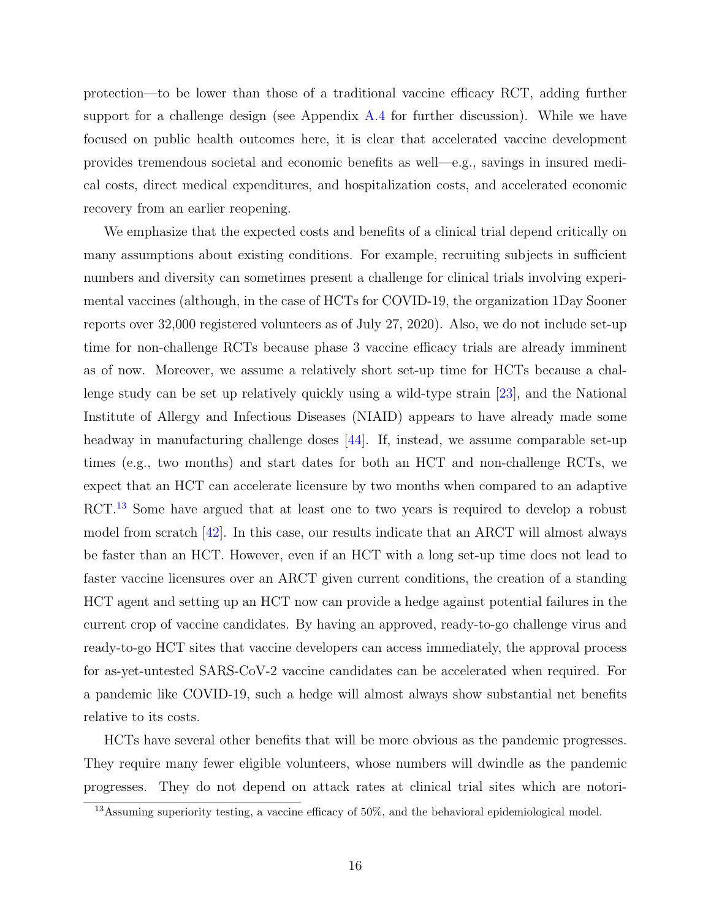protection—to be lower than those of a traditional vaccine efficacy RCT, adding further support for a challenge design (see Appendix [A.4](#page-33-0) for further discussion). While we have focused on public health outcomes here, it is clear that accelerated vaccine development provides tremendous societal and economic benefits as well—e.g., savings in insured medical costs, direct medical expenditures, and hospitalization costs, and accelerated economic recovery from an earlier reopening.

We emphasize that the expected costs and benefits of a clinical trial depend critically on many assumptions about existing conditions. For example, recruiting subjects in sufficient numbers and diversity can sometimes present a challenge for clinical trials involving experimental vaccines (although, in the case of HCTs for COVID-19, the organization 1Day Sooner reports over 32,000 registered volunteers as of July 27, 2020). Also, we do not include set-up time for non-challenge RCTs because phase 3 vaccine efficacy trials are already imminent as of now. Moreover, we assume a relatively short set-up time for HCTs because a challenge study can be set up relatively quickly using a wild-type strain [\[23\]](#page-23-10), and the National Institute of Allergy and Infectious Diseases (NIAID) appears to have already made some headway in manufacturing challenge doses [\[44\]](#page-25-8). If, instead, we assume comparable set-up times (e.g., two months) and start dates for both an HCT and non-challenge RCTs, we expect that an HCT can accelerate licensure by two months when compared to an adaptive RCT.<sup>[13](#page-18-0)</sup> Some have argued that at least one to two years is required to develop a robust model from scratch [\[42\]](#page-25-6). In this case, our results indicate that an ARCT will almost always be faster than an HCT. However, even if an HCT with a long set-up time does not lead to faster vaccine licensures over an ARCT given current conditions, the creation of a standing HCT agent and setting up an HCT now can provide a hedge against potential failures in the current crop of vaccine candidates. By having an approved, ready-to-go challenge virus and ready-to-go HCT sites that vaccine developers can access immediately, the approval process for as-yet-untested SARS-CoV-2 vaccine candidates can be accelerated when required. For a pandemic like COVID-19, such a hedge will almost always show substantial net benefits relative to its costs.

HCTs have several other benefits that will be more obvious as the pandemic progresses. They require many fewer eligible volunteers, whose numbers will dwindle as the pandemic progresses. They do not depend on attack rates at clinical trial sites which are notori-

<span id="page-18-0"></span><sup>&</sup>lt;sup>13</sup>Assuming superiority testing, a vaccine efficacy of 50%, and the behavioral epidemiological model.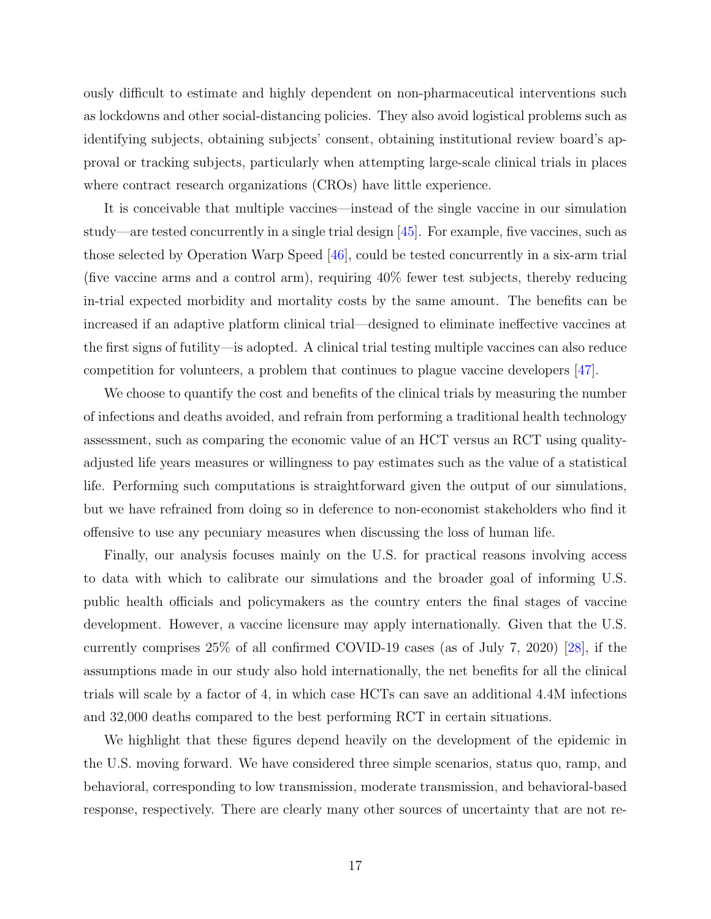ously difficult to estimate and highly dependent on non-pharmaceutical interventions such as lockdowns and other social-distancing policies. They also avoid logistical problems such as identifying subjects, obtaining subjects' consent, obtaining institutional review board's approval or tracking subjects, particularly when attempting large-scale clinical trials in places where contract research organizations (CROs) have little experience.

It is conceivable that multiple vaccines—instead of the single vaccine in our simulation study—are tested concurrently in a single trial design [\[45\]](#page-25-9). For example, five vaccines, such as those selected by Operation Warp Speed [\[46\]](#page-25-10), could be tested concurrently in a six-arm trial (five vaccine arms and a control arm), requiring 40% fewer test subjects, thereby reducing in-trial expected morbidity and mortality costs by the same amount. The benefits can be increased if an adaptive platform clinical trial—designed to eliminate ineffective vaccines at the first signs of futility—is adopted. A clinical trial testing multiple vaccines can also reduce competition for volunteers, a problem that continues to plague vaccine developers [\[47\]](#page-25-11).

We choose to quantify the cost and benefits of the clinical trials by measuring the number of infections and deaths avoided, and refrain from performing a traditional health technology assessment, such as comparing the economic value of an HCT versus an RCT using qualityadjusted life years measures or willingness to pay estimates such as the value of a statistical life. Performing such computations is straightforward given the output of our simulations, but we have refrained from doing so in deference to non-economist stakeholders who find it offensive to use any pecuniary measures when discussing the loss of human life.

Finally, our analysis focuses mainly on the U.S. for practical reasons involving access to data with which to calibrate our simulations and the broader goal of informing U.S. public health officials and policymakers as the country enters the final stages of vaccine development. However, a vaccine licensure may apply internationally. Given that the U.S. currently comprises 25% of all confirmed COVID-19 cases (as of July 7, 2020) [\[28\]](#page-24-4), if the assumptions made in our study also hold internationally, the net benefits for all the clinical trials will scale by a factor of 4, in which case HCTs can save an additional 4.4M infections and 32,000 deaths compared to the best performing RCT in certain situations.

We highlight that these figures depend heavily on the development of the epidemic in the U.S. moving forward. We have considered three simple scenarios, status quo, ramp, and behavioral, corresponding to low transmission, moderate transmission, and behavioral-based response, respectively. There are clearly many other sources of uncertainty that are not re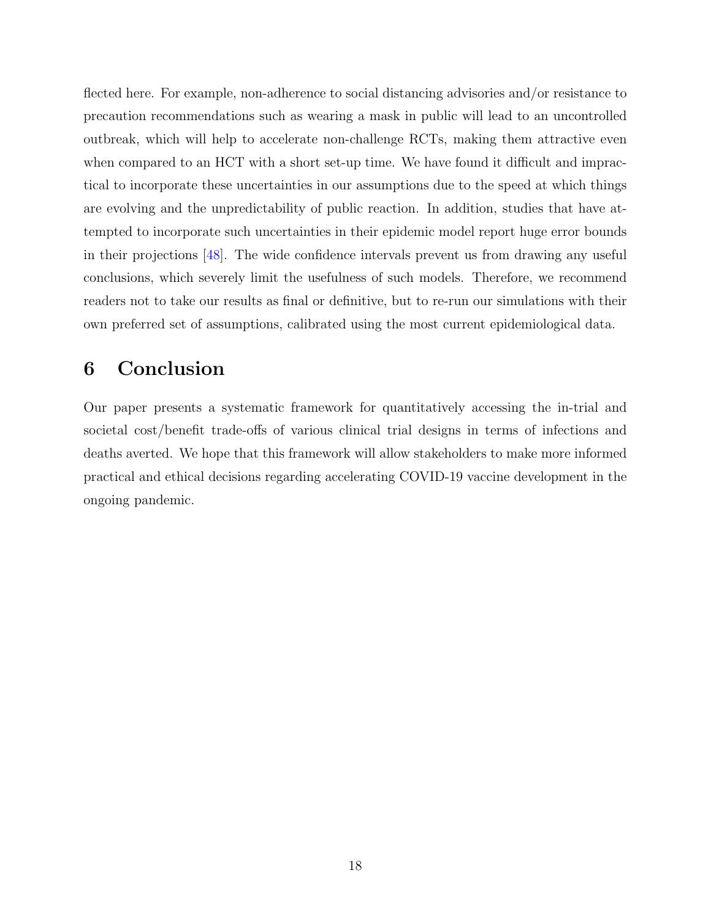flected here. For example, non-adherence to social distancing advisories and/or resistance to precaution recommendations such as wearing a mask in public will lead to an uncontrolled outbreak, which will help to accelerate non-challenge RCTs, making them attractive even when compared to an HCT with a short set-up time. We have found it difficult and impractical to incorporate these uncertainties in our assumptions due to the speed at which things are evolving and the unpredictability of public reaction. In addition, studies that have attempted to incorporate such uncertainties in their epidemic model report huge error bounds in their projections [\[48\]](#page-25-12). The wide confidence intervals prevent us from drawing any useful conclusions, which severely limit the usefulness of such models. Therefore, we recommend readers not to take our results as final or definitive, but to re-run our simulations with their own preferred set of assumptions, calibrated using the most current epidemiological data.

## <span id="page-20-0"></span>6 Conclusion

Our paper presents a systematic framework for quantitatively accessing the in-trial and societal cost/benefit trade-offs of various clinical trial designs in terms of infections and deaths averted. We hope that this framework will allow stakeholders to make more informed practical and ethical decisions regarding accelerating COVID-19 vaccine development in the ongoing pandemic.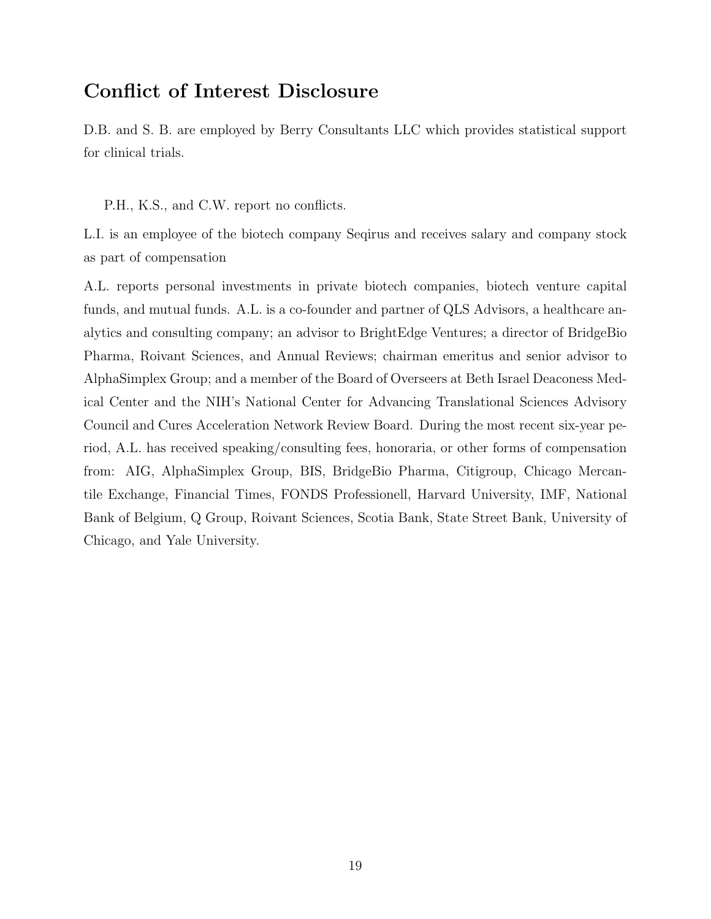## <span id="page-21-0"></span>Conflict of Interest Disclosure

D.B. and S. B. are employed by Berry Consultants LLC which provides statistical support for clinical trials.

P.H., K.S., and C.W. report no conflicts.

L.I. is an employee of the biotech company Seqirus and receives salary and company stock as part of compensation

A.L. reports personal investments in private biotech companies, biotech venture capital funds, and mutual funds. A.L. is a co-founder and partner of QLS Advisors, a healthcare analytics and consulting company; an advisor to BrightEdge Ventures; a director of BridgeBio Pharma, Roivant Sciences, and Annual Reviews; chairman emeritus and senior advisor to AlphaSimplex Group; and a member of the Board of Overseers at Beth Israel Deaconess Medical Center and the NIH's National Center for Advancing Translational Sciences Advisory Council and Cures Acceleration Network Review Board. During the most recent six-year period, A.L. has received speaking/consulting fees, honoraria, or other forms of compensation from: AIG, AlphaSimplex Group, BIS, BridgeBio Pharma, Citigroup, Chicago Mercantile Exchange, Financial Times, FONDS Professionell, Harvard University, IMF, National Bank of Belgium, Q Group, Roivant Sciences, Scotia Bank, State Street Bank, University of Chicago, and Yale University.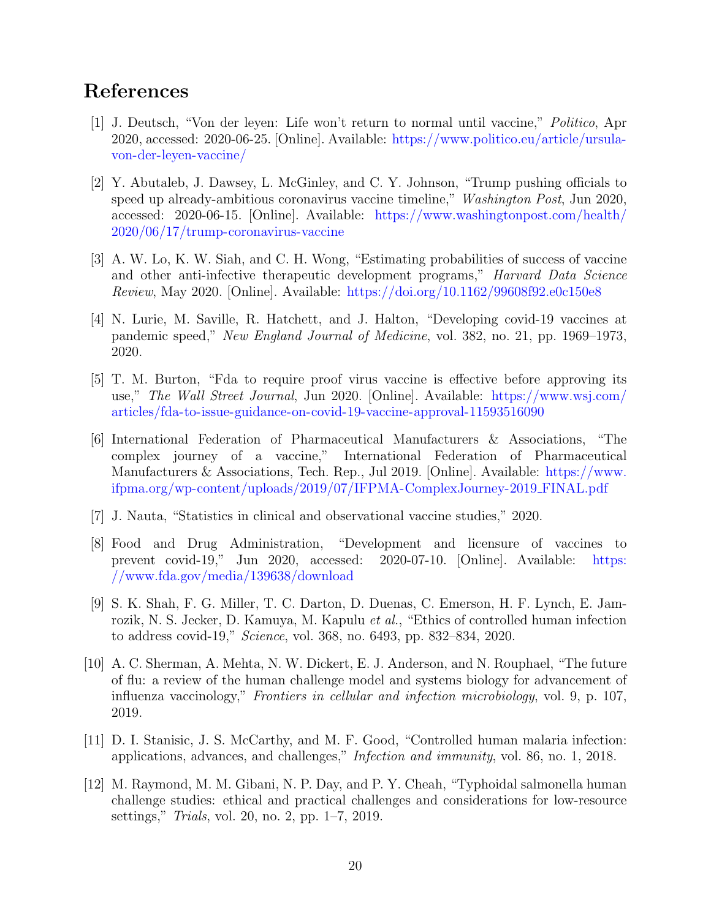## References

- <span id="page-22-0"></span>[1] J. Deutsch, "Von der leyen: Life won't return to normal until vaccine," Politico, Apr 2020, accessed: 2020-06-25. [Online]. Available: [https://www.politico.eu/article/ursula](https://www.politico.eu/article/ursula-von-der-leyen-vaccine/)[von-der-leyen-vaccine/](https://www.politico.eu/article/ursula-von-der-leyen-vaccine/)
- <span id="page-22-1"></span>[2] Y. Abutaleb, J. Dawsey, L. McGinley, and C. Y. Johnson, "Trump pushing officials to speed up already-ambitious coronavirus vaccine timeline," Washington Post, Jun 2020, accessed: 2020-06-15. [Online]. Available: [https://www.washingtonpost.com/health/](https://www.washingtonpost.com/health/2020/06/17/trump-coronavirus-vaccine) [2020/06/17/trump-coronavirus-vaccine](https://www.washingtonpost.com/health/2020/06/17/trump-coronavirus-vaccine)
- <span id="page-22-2"></span>[3] A. W. Lo, K. W. Siah, and C. H. Wong, "Estimating probabilities of success of vaccine and other anti-infective therapeutic development programs," *Harvard Data Science* Review, May 2020. [Online]. Available: <https://doi.org/10.1162/99608f92.e0c150e8>
- <span id="page-22-3"></span>[4] N. Lurie, M. Saville, R. Hatchett, and J. Halton, "Developing covid-19 vaccines at pandemic speed," New England Journal of Medicine, vol. 382, no. 21, pp. 1969–1973, 2020.
- <span id="page-22-4"></span>[5] T. M. Burton, "Fda to require proof virus vaccine is effective before approving its use," The Wall Street Journal, Jun 2020. [Online]. Available: [https://www.wsj.com/](https://www.wsj.com/articles/fda-to-issue-guidance-on-covid-19-vaccine-approval-11593516090) [articles/fda-to-issue-guidance-on-covid-19-vaccine-approval-11593516090](https://www.wsj.com/articles/fda-to-issue-guidance-on-covid-19-vaccine-approval-11593516090)
- <span id="page-22-5"></span>[6] International Federation of Pharmaceutical Manufacturers & Associations, "The complex journey of a vaccine," International Federation of Pharmaceutical Manufacturers & Associations, Tech. Rep., Jul 2019. [Online]. Available: [https://www.](https://www.ifpma.org/wp-content/uploads/2019/07/IFPMA-ComplexJourney-2019_FINAL.pdf) [ifpma.org/wp-content/uploads/2019/07/IFPMA-ComplexJourney-2019](https://www.ifpma.org/wp-content/uploads/2019/07/IFPMA-ComplexJourney-2019_FINAL.pdf) FINAL.pdf
- <span id="page-22-6"></span>[7] J. Nauta, "Statistics in clinical and observational vaccine studies," 2020.
- <span id="page-22-7"></span>[8] Food and Drug Administration, "Development and licensure of vaccines to prevent covid-19," Jun 2020, accessed: 2020-07-10. [Online]. Available: [https:](https://www.fda.gov/media/139638/download) [//www.fda.gov/media/139638/download](https://www.fda.gov/media/139638/download)
- <span id="page-22-8"></span>[9] S. K. Shah, F. G. Miller, T. C. Darton, D. Duenas, C. Emerson, H. F. Lynch, E. Jamrozik, N. S. Jecker, D. Kamuya, M. Kapulu *et al.*, "Ethics of controlled human infection to address covid-19," Science, vol. 368, no. 6493, pp. 832–834, 2020.
- <span id="page-22-9"></span>[10] A. C. Sherman, A. Mehta, N. W. Dickert, E. J. Anderson, and N. Rouphael, "The future of flu: a review of the human challenge model and systems biology for advancement of influenza vaccinology," Frontiers in cellular and infection microbiology, vol. 9, p. 107, 2019.
- <span id="page-22-10"></span>[11] D. I. Stanisic, J. S. McCarthy, and M. F. Good, "Controlled human malaria infection: applications, advances, and challenges," Infection and immunity, vol. 86, no. 1, 2018.
- <span id="page-22-11"></span>[12] M. Raymond, M. M. Gibani, N. P. Day, and P. Y. Cheah, "Typhoidal salmonella human challenge studies: ethical and practical challenges and considerations for low-resource settings," Trials, vol. 20, no. 2, pp. 1–7, 2019.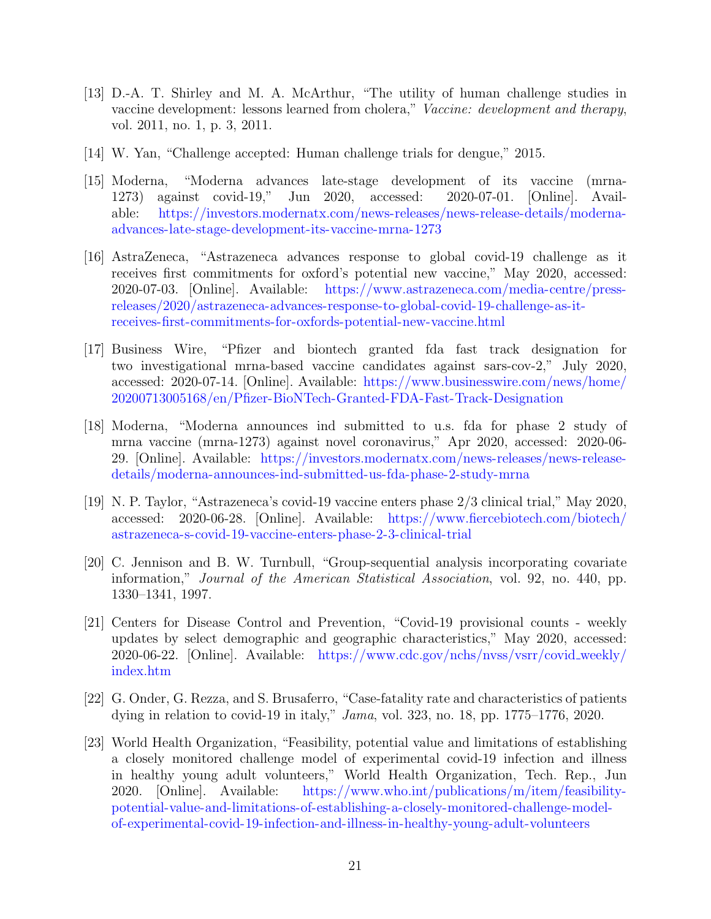- <span id="page-23-0"></span>[13] D.-A. T. Shirley and M. A. McArthur, "The utility of human challenge studies in vaccine development: lessons learned from cholera," Vaccine: development and therapy, vol. 2011, no. 1, p. 3, 2011.
- <span id="page-23-1"></span>[14] W. Yan, "Challenge accepted: Human challenge trials for dengue," 2015.
- <span id="page-23-2"></span>[15] Moderna, "Moderna advances late-stage development of its vaccine (mrna-1273) against covid-19," Jun 2020, accessed: 2020-07-01. [Online]. Available: [https://investors.modernatx.com/news-releases/news-release-details/moderna](https://investors.modernatx.com/news-releases/news-release-details/moderna-advances-late-stage-development-its-vaccine-mrna-1273)[advances-late-stage-development-its-vaccine-mrna-1273](https://investors.modernatx.com/news-releases/news-release-details/moderna-advances-late-stage-development-its-vaccine-mrna-1273)
- <span id="page-23-3"></span>[16] AstraZeneca, "Astrazeneca advances response to global covid-19 challenge as it receives first commitments for oxford's potential new vaccine," May 2020, accessed: 2020-07-03. [Online]. Available: [https://www.astrazeneca.com/media-centre/press](https://www.astrazeneca.com/media-centre/press-releases/2020/astrazeneca-advances-response-to-global-covid-19-challenge-as-it-receives-first-commitments-for-oxfords-potential-new-vaccine.html)[releases/2020/astrazeneca-advances-response-to-global-covid-19-challenge-as-it](https://www.astrazeneca.com/media-centre/press-releases/2020/astrazeneca-advances-response-to-global-covid-19-challenge-as-it-receives-first-commitments-for-oxfords-potential-new-vaccine.html)[receives-first-commitments-for-oxfords-potential-new-vaccine.html](https://www.astrazeneca.com/media-centre/press-releases/2020/astrazeneca-advances-response-to-global-covid-19-challenge-as-it-receives-first-commitments-for-oxfords-potential-new-vaccine.html)
- <span id="page-23-4"></span>[17] Business Wire, "Pfizer and biontech granted fda fast track designation for two investigational mrna-based vaccine candidates against sars-cov-2," July 2020, accessed: 2020-07-14. [Online]. Available: [https://www.businesswire.com/news/home/](https://www.businesswire.com/news/home/20200713005168/en/Pfizer-BioNTech-Granted-FDA-Fast-Track-Designation) [20200713005168/en/Pfizer-BioNTech-Granted-FDA-Fast-Track-Designation](https://www.businesswire.com/news/home/20200713005168/en/Pfizer-BioNTech-Granted-FDA-Fast-Track-Designation)
- <span id="page-23-5"></span>[18] Moderna, "Moderna announces ind submitted to u.s. fda for phase 2 study of mrna vaccine (mrna-1273) against novel coronavirus," Apr 2020, accessed: 2020-06- 29. [Online]. Available: [https://investors.modernatx.com/news-releases/news-release](https://investors.modernatx.com/news-releases/news-release-details/moderna-announces-ind-submitted-us-fda-phase-2-study-mrna)[details/moderna-announces-ind-submitted-us-fda-phase-2-study-mrna](https://investors.modernatx.com/news-releases/news-release-details/moderna-announces-ind-submitted-us-fda-phase-2-study-mrna)
- <span id="page-23-6"></span>[19] N. P. Taylor, "Astrazeneca's covid-19 vaccine enters phase 2/3 clinical trial," May 2020, accessed: 2020-06-28. [Online]. Available: [https://www.fiercebiotech.com/biotech/](https://www.fiercebiotech.com/biotech/astrazeneca-s-covid-19-vaccine-enters-phase-2-3-clinical-trial) [astrazeneca-s-covid-19-vaccine-enters-phase-2-3-clinical-trial](https://www.fiercebiotech.com/biotech/astrazeneca-s-covid-19-vaccine-enters-phase-2-3-clinical-trial)
- <span id="page-23-7"></span>[20] C. Jennison and B. W. Turnbull, "Group-sequential analysis incorporating covariate information," Journal of the American Statistical Association, vol. 92, no. 440, pp. 1330–1341, 1997.
- <span id="page-23-8"></span>[21] Centers for Disease Control and Prevention, "Covid-19 provisional counts - weekly updates by select demographic and geographic characteristics," May 2020, accessed: 2020-06-22. [Online]. Available: [https://www.cdc.gov/nchs/nvss/vsrr/covid](https://www.cdc.gov/nchs/nvss/vsrr/covid_weekly/index.htm) weekly/ [index.htm](https://www.cdc.gov/nchs/nvss/vsrr/covid_weekly/index.htm)
- <span id="page-23-9"></span>[22] G. Onder, G. Rezza, and S. Brusaferro, "Case-fatality rate and characteristics of patients dying in relation to covid-19 in italy," Jama, vol. 323, no. 18, pp. 1775–1776, 2020.
- <span id="page-23-10"></span>[23] World Health Organization, "Feasibility, potential value and limitations of establishing a closely monitored challenge model of experimental covid-19 infection and illness in healthy young adult volunteers," World Health Organization, Tech. Rep., Jun 2020. [Online]. Available: [https://www.who.int/publications/m/item/feasibility](https://www.who.int/publications/m/item/feasibility-potential-value-and-limitations-of-establishing-a-closely-monitored-challenge-model-of-experimental-covid-19-infection-and-illness-in-healthy-young-adult-volunteers)[potential-value-and-limitations-of-establishing-a-closely-monitored-challenge-model](https://www.who.int/publications/m/item/feasibility-potential-value-and-limitations-of-establishing-a-closely-monitored-challenge-model-of-experimental-covid-19-infection-and-illness-in-healthy-young-adult-volunteers)[of-experimental-covid-19-infection-and-illness-in-healthy-young-adult-volunteers](https://www.who.int/publications/m/item/feasibility-potential-value-and-limitations-of-establishing-a-closely-monitored-challenge-model-of-experimental-covid-19-infection-and-illness-in-healthy-young-adult-volunteers)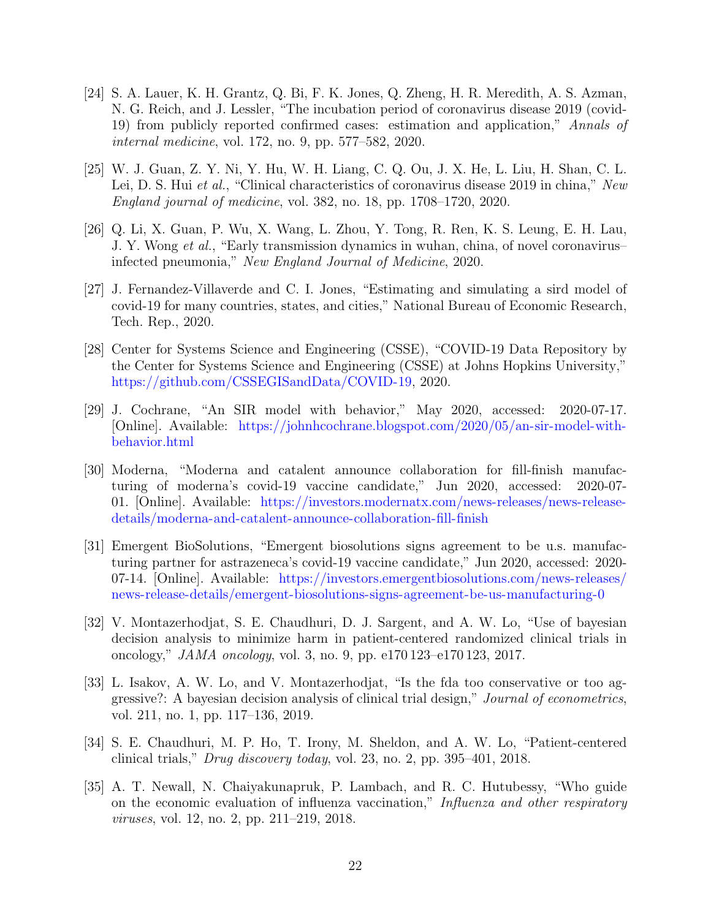- <span id="page-24-0"></span>[24] S. A. Lauer, K. H. Grantz, Q. Bi, F. K. Jones, Q. Zheng, H. R. Meredith, A. S. Azman, N. G. Reich, and J. Lessler, "The incubation period of coronavirus disease 2019 (covid-19) from publicly reported confirmed cases: estimation and application," Annals of internal medicine, vol. 172, no. 9, pp. 577–582, 2020.
- <span id="page-24-1"></span>[25] W. J. Guan, Z. Y. Ni, Y. Hu, W. H. Liang, C. Q. Ou, J. X. He, L. Liu, H. Shan, C. L. Lei, D. S. Hui et al., "Clinical characteristics of coronavirus disease 2019 in china," New England journal of medicine, vol. 382, no. 18, pp. 1708–1720, 2020.
- <span id="page-24-2"></span>[26] Q. Li, X. Guan, P. Wu, X. Wang, L. Zhou, Y. Tong, R. Ren, K. S. Leung, E. H. Lau, J. Y. Wong et al., "Early transmission dynamics in wuhan, china, of novel coronavirus– infected pneumonia," New England Journal of Medicine, 2020.
- <span id="page-24-3"></span>[27] J. Fernandez-Villaverde and C. I. Jones, "Estimating and simulating a sird model of covid-19 for many countries, states, and cities," National Bureau of Economic Research, Tech. Rep., 2020.
- <span id="page-24-4"></span>[28] Center for Systems Science and Engineering (CSSE), "COVID-19 Data Repository by the Center for Systems Science and Engineering (CSSE) at Johns Hopkins University," [https://github.com/CSSEGISandData/COVID-19,](https://github.com/CSSEGISandData/COVID-19) 2020.
- <span id="page-24-5"></span>[29] J. Cochrane, "An SIR model with behavior," May 2020, accessed: 2020-07-17. [Online]. Available: [https://johnhcochrane.blogspot.com/2020/05/an-sir-model-with](https://johnhcochrane.blogspot.com/2020/05/an-sir-model-with-behavior.html)[behavior.html](https://johnhcochrane.blogspot.com/2020/05/an-sir-model-with-behavior.html)
- <span id="page-24-6"></span>[30] Moderna, "Moderna and catalent announce collaboration for fill-finish manufacturing of moderna's covid-19 vaccine candidate," Jun 2020, accessed: 2020-07- 01. [Online]. Available: [https://investors.modernatx.com/news-releases/news-release](https://investors.modernatx.com/news-releases/news-release-details/moderna-and-catalent-announce-collaboration-fill-finish)[details/moderna-and-catalent-announce-collaboration-fill-finish](https://investors.modernatx.com/news-releases/news-release-details/moderna-and-catalent-announce-collaboration-fill-finish)
- <span id="page-24-7"></span>[31] Emergent BioSolutions, "Emergent biosolutions signs agreement to be u.s. manufacturing partner for astrazeneca's covid-19 vaccine candidate," Jun 2020, accessed: 2020- 07-14. [Online]. Available: [https://investors.emergentbiosolutions.com/news-releases/](https://investors.emergentbiosolutions.com/news-releases/news-release-details/emergent-biosolutions-signs-agreement-be-us-manufacturing-0) [news-release-details/emergent-biosolutions-signs-agreement-be-us-manufacturing-0](https://investors.emergentbiosolutions.com/news-releases/news-release-details/emergent-biosolutions-signs-agreement-be-us-manufacturing-0)
- <span id="page-24-8"></span>[32] V. Montazerhodjat, S. E. Chaudhuri, D. J. Sargent, and A. W. Lo, "Use of bayesian decision analysis to minimize harm in patient-centered randomized clinical trials in oncology,"  $JAMA$  oncology, vol. 3, no. 9, pp. e170 123–e170 123, 2017.
- <span id="page-24-9"></span>[33] L. Isakov, A. W. Lo, and V. Montazerhodjat, "Is the fda too conservative or too aggressive?: A bayesian decision analysis of clinical trial design," Journal of econometrics, vol. 211, no. 1, pp. 117–136, 2019.
- <span id="page-24-10"></span>[34] S. E. Chaudhuri, M. P. Ho, T. Irony, M. Sheldon, and A. W. Lo, "Patient-centered clinical trials," Drug discovery today, vol. 23, no. 2, pp. 395–401, 2018.
- <span id="page-24-11"></span>[35] A. T. Newall, N. Chaiyakunapruk, P. Lambach, and R. C. Hutubessy, "Who guide on the economic evaluation of influenza vaccination," Influenza and other respiratory viruses, vol. 12, no. 2, pp. 211–219, 2018.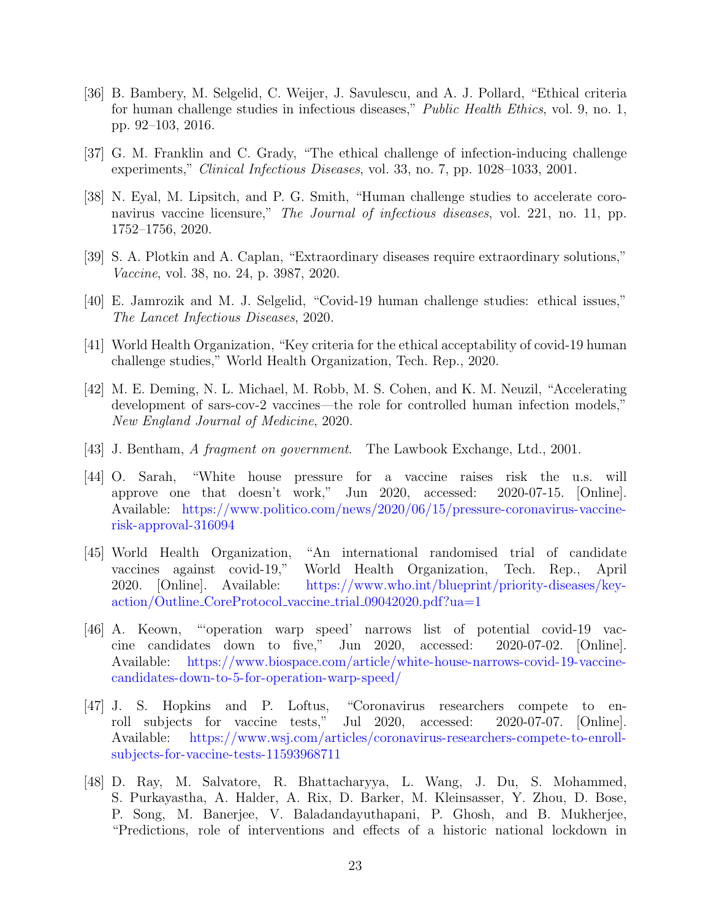- <span id="page-25-0"></span>[36] B. Bambery, M. Selgelid, C. Weijer, J. Savulescu, and A. J. Pollard, "Ethical criteria for human challenge studies in infectious diseases," *Public Health Ethics*, vol. 9, no. 1, pp. 92–103, 2016.
- <span id="page-25-1"></span>[37] G. M. Franklin and C. Grady, "The ethical challenge of infection-inducing challenge experiments," Clinical Infectious Diseases, vol. 33, no. 7, pp. 1028–1033, 2001.
- <span id="page-25-2"></span>[38] N. Eyal, M. Lipsitch, and P. G. Smith, "Human challenge studies to accelerate coronavirus vaccine licensure," The Journal of infectious diseases, vol. 221, no. 11, pp. 1752–1756, 2020.
- <span id="page-25-3"></span>[39] S. A. Plotkin and A. Caplan, "Extraordinary diseases require extraordinary solutions," Vaccine, vol. 38, no. 24, p. 3987, 2020.
- <span id="page-25-4"></span>[40] E. Jamrozik and M. J. Selgelid, "Covid-19 human challenge studies: ethical issues," The Lancet Infectious Diseases, 2020.
- <span id="page-25-5"></span>[41] World Health Organization, "Key criteria for the ethical acceptability of covid-19 human challenge studies," World Health Organization, Tech. Rep., 2020.
- <span id="page-25-6"></span>[42] M. E. Deming, N. L. Michael, M. Robb, M. S. Cohen, and K. M. Neuzil, "Accelerating development of sars-cov-2 vaccines—the role for controlled human infection models," New England Journal of Medicine, 2020.
- <span id="page-25-7"></span>[43] J. Bentham, A fragment on government. The Lawbook Exchange, Ltd., 2001.
- <span id="page-25-8"></span>[44] O. Sarah, "White house pressure for a vaccine raises risk the u.s. will approve one that doesn't work," Jun 2020, accessed: 2020-07-15. [Online]. Available: [https://www.politico.com/news/2020/06/15/pressure-coronavirus-vaccine](https://www.politico.com/news/2020/06/15/pressure-coronavirus-vaccine-risk-approval-316094)[risk-approval-316094](https://www.politico.com/news/2020/06/15/pressure-coronavirus-vaccine-risk-approval-316094)
- <span id="page-25-9"></span>[45] World Health Organization, "An international randomised trial of candidate vaccines against covid-19," World Health Organization, Tech. Rep., April 2020. [Online]. Available: [https://www.who.int/blueprint/priority-diseases/key](https://www.who.int/blueprint/priority-diseases/key-action/Outline_CoreProtocol_vaccine_trial_09042020.pdf?ua=1)action/Outline CoreProtocol vaccine trial [09042020.pdf?ua=1](https://www.who.int/blueprint/priority-diseases/key-action/Outline_CoreProtocol_vaccine_trial_09042020.pdf?ua=1)
- <span id="page-25-10"></span>[46] A. Keown, "'operation warp speed' narrows list of potential covid-19 vaccine candidates down to five," Jun 2020, accessed: 2020-07-02. [Online]. Available: [https://www.biospace.com/article/white-house-narrows-covid-19-vaccine](https://www.biospace.com/article/white-house-narrows-covid-19-vaccine-candidates-down-to-5-for-operation-warp-speed/)[candidates-down-to-5-for-operation-warp-speed/](https://www.biospace.com/article/white-house-narrows-covid-19-vaccine-candidates-down-to-5-for-operation-warp-speed/)
- <span id="page-25-11"></span>[47] J. S. Hopkins and P. Loftus, "Coronavirus researchers compete to enroll subjects for vaccine tests," Jul 2020, accessed: 2020-07-07. [Online]. Available: [https://www.wsj.com/articles/coronavirus-researchers-compete-to-enroll](https://www.wsj.com/articles/coronavirus-researchers-compete-to-enroll-subjects-for-vaccine-tests-11593968711)[subjects-for-vaccine-tests-11593968711](https://www.wsj.com/articles/coronavirus-researchers-compete-to-enroll-subjects-for-vaccine-tests-11593968711)
- <span id="page-25-12"></span>[48] D. Ray, M. Salvatore, R. Bhattacharyya, L. Wang, J. Du, S. Mohammed, S. Purkayastha, A. Halder, A. Rix, D. Barker, M. Kleinsasser, Y. Zhou, D. Bose, P. Song, M. Banerjee, V. Baladandayuthapani, P. Ghosh, and B. Mukherjee, "Predictions, role of interventions and effects of a historic national lockdown in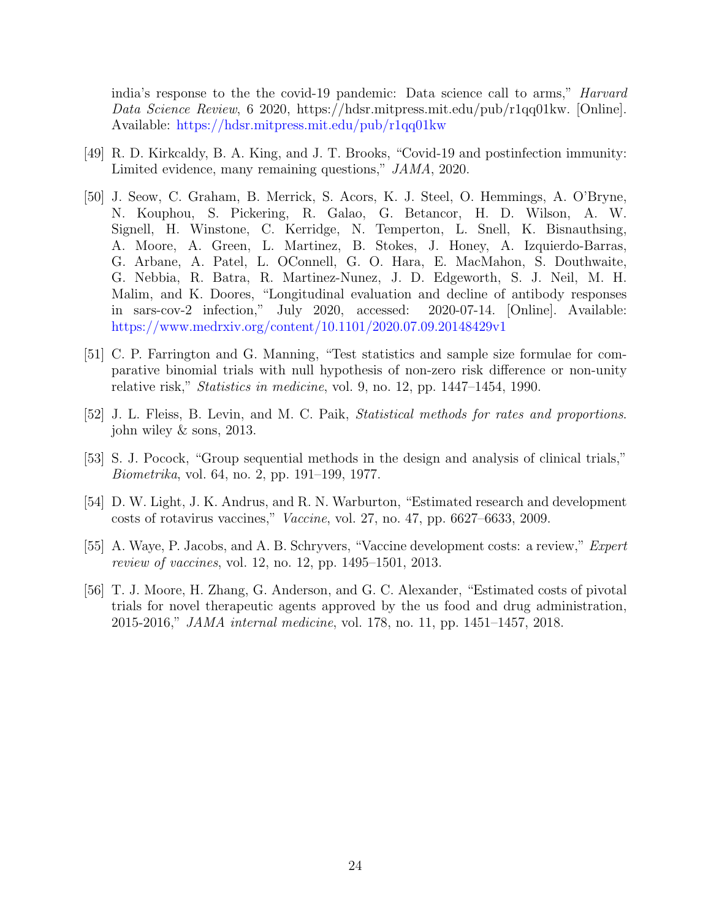india's response to the the covid-19 pandemic: Data science call to arms," Harvard Data Science Review, 6 2020, https://hdsr.mitpress.mit.edu/pub/r1qq01kw. [Online]. Available: <https://hdsr.mitpress.mit.edu/pub/r1qq01kw>

- <span id="page-26-0"></span>[49] R. D. Kirkcaldy, B. A. King, and J. T. Brooks, "Covid-19 and postinfection immunity: Limited evidence, many remaining questions," JAMA, 2020.
- <span id="page-26-1"></span>[50] J. Seow, C. Graham, B. Merrick, S. Acors, K. J. Steel, O. Hemmings, A. O'Bryne, N. Kouphou, S. Pickering, R. Galao, G. Betancor, H. D. Wilson, A. W. Signell, H. Winstone, C. Kerridge, N. Temperton, L. Snell, K. Bisnauthsing, A. Moore, A. Green, L. Martinez, B. Stokes, J. Honey, A. Izquierdo-Barras, G. Arbane, A. Patel, L. OConnell, G. O. Hara, E. MacMahon, S. Douthwaite, G. Nebbia, R. Batra, R. Martinez-Nunez, J. D. Edgeworth, S. J. Neil, M. H. Malim, and K. Doores, "Longitudinal evaluation and decline of antibody responses in sars-cov-2 infection," July 2020, accessed: 2020-07-14. [Online]. Available: <https://www.medrxiv.org/content/10.1101/2020.07.09.20148429v1>
- <span id="page-26-2"></span>[51] C. P. Farrington and G. Manning, "Test statistics and sample size formulae for comparative binomial trials with null hypothesis of non-zero risk difference or non-unity relative risk," *Statistics in medicine*, vol. 9, no. 12, pp. 1447–1454, 1990.
- <span id="page-26-3"></span>[52] J. L. Fleiss, B. Levin, and M. C. Paik, Statistical methods for rates and proportions. john wiley & sons, 2013.
- <span id="page-26-4"></span>[53] S. J. Pocock, "Group sequential methods in the design and analysis of clinical trials," Biometrika, vol. 64, no. 2, pp. 191–199, 1977.
- <span id="page-26-5"></span>[54] D. W. Light, J. K. Andrus, and R. N. Warburton, "Estimated research and development costs of rotavirus vaccines," Vaccine, vol. 27, no. 47, pp. 6627–6633, 2009.
- <span id="page-26-6"></span>[55] A. Waye, P. Jacobs, and A. B. Schryvers, "Vaccine development costs: a review," Expert review of vaccines, vol. 12, no. 12, pp. 1495–1501, 2013.
- <span id="page-26-7"></span>[56] T. J. Moore, H. Zhang, G. Anderson, and G. C. Alexander, "Estimated costs of pivotal trials for novel therapeutic agents approved by the us food and drug administration, 2015-2016," JAMA internal medicine, vol. 178, no. 11, pp. 1451–1457, 2018.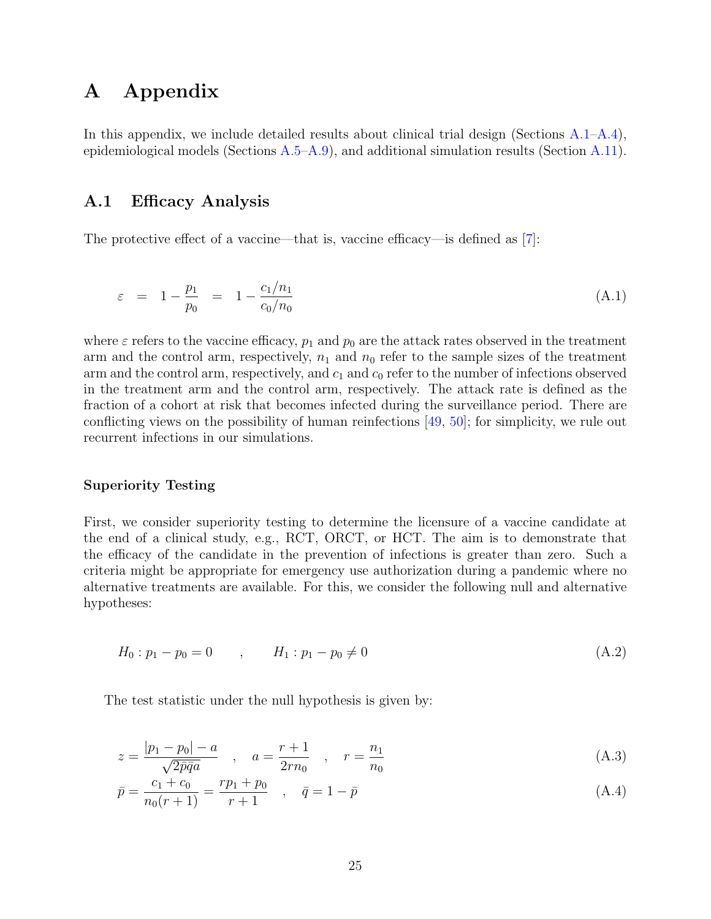## <span id="page-27-0"></span>A Appendix

In this appendix, we include detailed results about clinical trial design (Sections [A.1](#page-27-1)[–A.4\)](#page-33-0), epidemiological models (Sections [A.5](#page-34-0)[–A.9\)](#page-40-0), and additional simulation results (Section [A.11\)](#page-43-0).

### <span id="page-27-1"></span>A.1 Efficacy Analysis

<span id="page-27-2"></span>The protective effect of a vaccine—that is, vaccine efficacy—is defined as [\[7\]](#page-22-6):

$$
\varepsilon = 1 - \frac{p_1}{p_0} = 1 - \frac{c_1/n_1}{c_0/n_0} \tag{A.1}
$$

where  $\varepsilon$  refers to the vaccine efficacy,  $p_1$  and  $p_0$  are the attack rates observed in the treatment arm and the control arm, respectively,  $n_1$  and  $n_0$  refer to the sample sizes of the treatment arm and the control arm, respectively, and  $c_1$  and  $c_0$  refer to the number of infections observed in the treatment arm and the control arm, respectively. The attack rate is defined as the fraction of a cohort at risk that becomes infected during the surveillance period. There are conflicting views on the possibility of human reinfections [\[49,](#page-26-0) [50\]](#page-26-1); for simplicity, we rule out recurrent infections in our simulations.

#### Superiority Testing

First, we consider superiority testing to determine the licensure of a vaccine candidate at the end of a clinical study, e.g., RCT, ORCT, or HCT. The aim is to demonstrate that the efficacy of the candidate in the prevention of infections is greater than zero. Such a criteria might be appropriate for emergency use authorization during a pandemic where no alternative treatments are available. For this, we consider the following null and alternative hypotheses:

$$
H_0: p_1 - p_0 = 0 \t , \t H_1: p_1 - p_0 \neq 0 \t (A.2)
$$

The test statistic under the null hypothesis is given by:

$$
z = \frac{|p_1 - p_0| - a}{\sqrt{2\bar{p}\bar{q}a}} , \quad a = \frac{r+1}{2rn_0} , \quad r = \frac{n_1}{n_0}
$$
 (A.3)

$$
\bar{p} = \frac{c_1 + c_0}{n_0(r+1)} = \frac{rp_1 + p_0}{r+1} \quad , \quad \bar{q} = 1 - \bar{p} \tag{A.4}
$$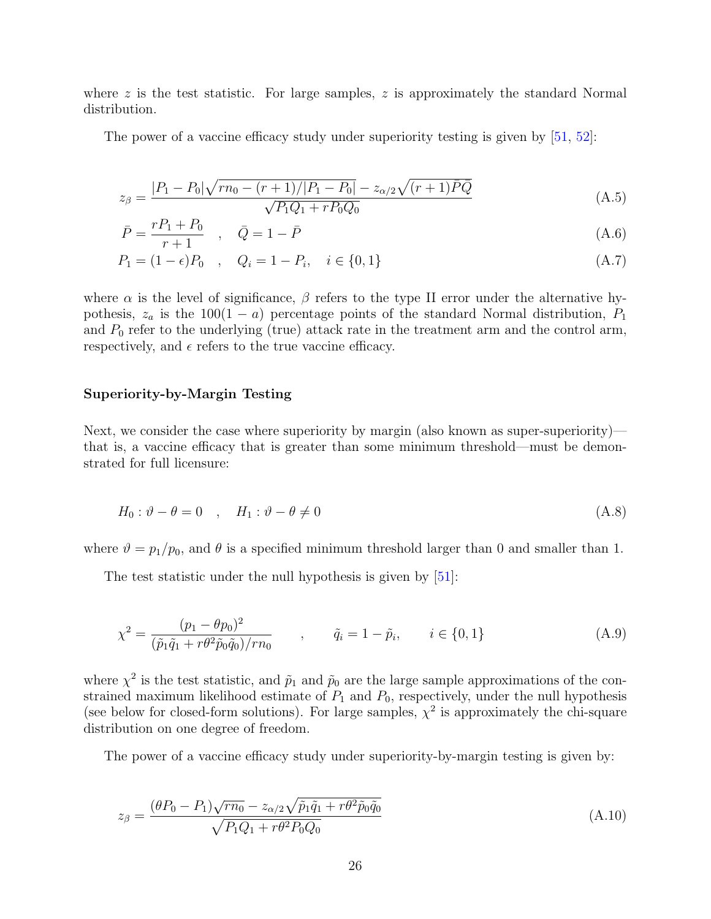where  $z$  is the test statistic. For large samples,  $z$  is approximately the standard Normal distribution.

The power of a vaccine efficacy study under superiority testing is given by [\[51,](#page-26-2) [52\]](#page-26-3):

$$
z_{\beta} = \frac{|P_1 - P_0|\sqrt{rn_0 - (r+1)/|P_1 - P_0|} - z_{\alpha/2}\sqrt{(r+1)\bar{P}\bar{Q}}}{\sqrt{P_1Q_1 + rP_0Q_0}}
$$
(A.5)

$$
\bar{P} = \frac{rP_1 + P_0}{r+1} \quad , \quad \bar{Q} = 1 - \bar{P} \tag{A.6}
$$

$$
P_1 = (1 - \epsilon)P_0 \quad , \quad Q_i = 1 - P_i, \quad i \in \{0, 1\} \tag{A.7}
$$

where  $\alpha$  is the level of significance,  $\beta$  refers to the type II error under the alternative hypothesis,  $z_a$  is the 100(1 − a) percentage points of the standard Normal distribution,  $P_1$ and  $P_0$  refer to the underlying (true) attack rate in the treatment arm and the control arm, respectively, and  $\epsilon$  refers to the true vaccine efficacy.

#### Superiority-by-Margin Testing

Next, we consider the case where superiority by margin (also known as super-superiority) that is, a vaccine efficacy that is greater than some minimum threshold—must be demonstrated for full licensure:

$$
H_0: \vartheta - \theta = 0 \quad , \quad H_1: \vartheta - \theta \neq 0 \tag{A.8}
$$

where  $\vartheta = p_1/p_0$ , and  $\theta$  is a specified minimum threshold larger than 0 and smaller than 1.

The test statistic under the null hypothesis is given by [\[51\]](#page-26-2):

$$
\chi^2 = \frac{(p_1 - \theta p_0)^2}{(\tilde{p}_1 \tilde{q}_1 + r\theta^2 \tilde{p}_0 \tilde{q}_0)/rn_0}, \qquad \tilde{q}_i = 1 - \tilde{p}_i, \qquad i \in \{0, 1\}
$$
\n(A.9)

where  $\chi^2$  is the test statistic, and  $\tilde{p}_1$  and  $\tilde{p}_0$  are the large sample approximations of the constrained maximum likelihood estimate of  $P_1$  and  $P_0$ , respectively, under the null hypothesis (see below for closed-form solutions). For large samples,  $\chi^2$  is approximately the chi-square distribution on one degree of freedom.

The power of a vaccine efficacy study under superiority-by-margin testing is given by:

$$
z_{\beta} = \frac{(\theta P_0 - P_1)\sqrt{rn_0} - z_{\alpha/2}\sqrt{\tilde{p}_1 \tilde{q}_1 + r\theta^2 \tilde{p}_0 \tilde{q}_0}}{\sqrt{P_1 Q_1 + r\theta^2 P_0 Q_0}}
$$
(A.10)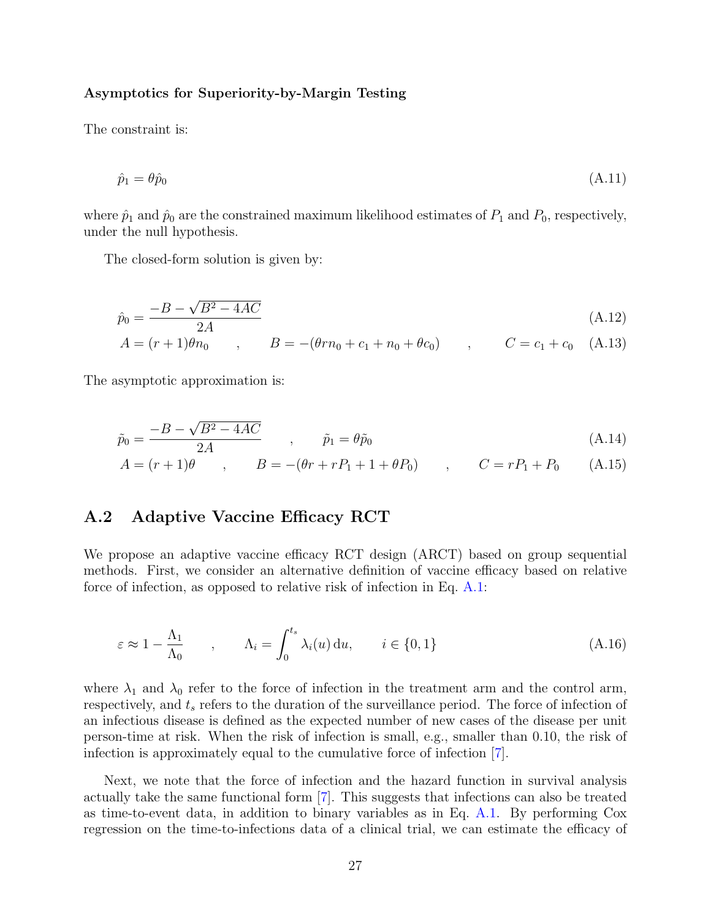#### Asymptotics for Superiority-by-Margin Testing

The constraint is:

$$
\hat{p}_1 = \theta \hat{p}_0 \tag{A.11}
$$

where  $\hat{p}_1$  and  $\hat{p}_0$  are the constrained maximum likelihood estimates of  $P_1$  and  $P_0$ , respectively, under the null hypothesis.

The closed-form solution is given by:

$$
\hat{p}_0 = \frac{-B - \sqrt{B^2 - 4AC}}{2A} \tag{A.12}
$$

$$
A = (r+1)\theta n_0 , \qquad B = -(\theta r n_0 + c_1 + n_0 + \theta c_0 ) , \qquad C = c_1 + c_0
$$
 (A.13)

The asymptotic approximation is:

$$
\tilde{p}_0 = \frac{-B - \sqrt{B^2 - 4AC}}{2A} \qquad , \qquad \tilde{p}_1 = \theta \tilde{p}_0 \tag{A.14}
$$

$$
A = (r+1)\theta \qquad , \qquad B = -(\theta r + rP_1 + 1 + \theta P_0) \qquad , \qquad C = rP_1 + P_0 \qquad (A.15)
$$

### <span id="page-29-0"></span>A.2 Adaptive Vaccine Efficacy RCT

We propose an adaptive vaccine efficacy RCT design (ARCT) based on group sequential methods. First, we consider an alternative definition of vaccine efficacy based on relative force of infection, as opposed to relative risk of infection in Eq. [A.1:](#page-27-2)

$$
\varepsilon \approx 1 - \frac{\Lambda_1}{\Lambda_0} \qquad , \qquad \Lambda_i = \int_0^{t_s} \lambda_i(u) \, \mathrm{d}u, \qquad i \in \{0, 1\} \tag{A.16}
$$

where  $\lambda_1$  and  $\lambda_0$  refer to the force of infection in the treatment arm and the control arm, respectively, and  $t_s$  refers to the duration of the surveillance period. The force of infection of an infectious disease is defined as the expected number of new cases of the disease per unit person-time at risk. When the risk of infection is small, e.g., smaller than 0.10, the risk of infection is approximately equal to the cumulative force of infection [\[7\]](#page-22-6).

Next, we note that the force of infection and the hazard function in survival analysis actually take the same functional form [\[7\]](#page-22-6). This suggests that infections can also be treated as time-to-event data, in addition to binary variables as in Eq. [A.1.](#page-27-2) By performing Cox regression on the time-to-infections data of a clinical trial, we can estimate the efficacy of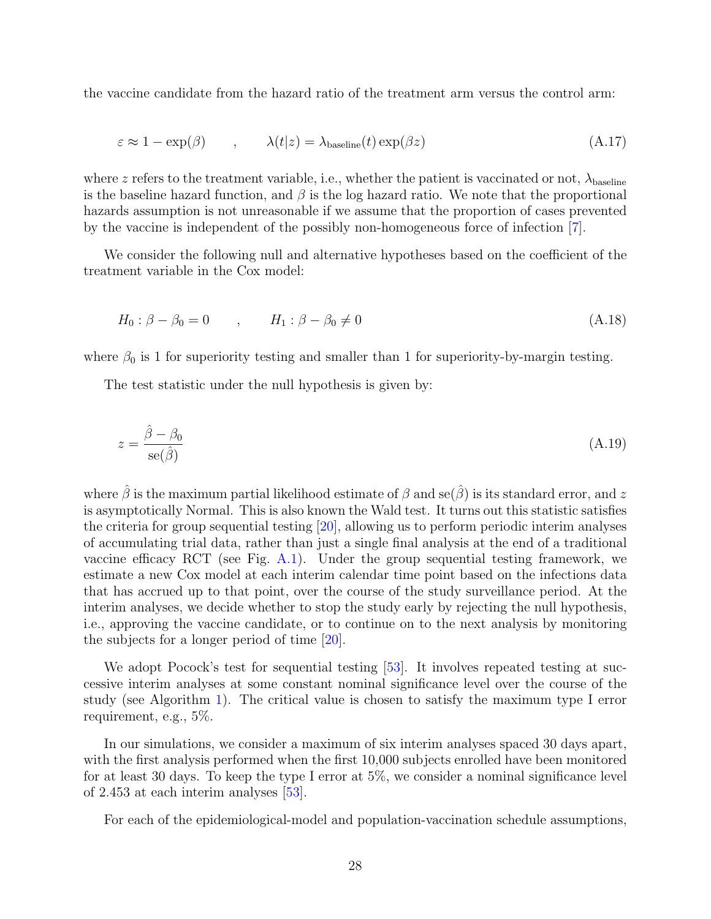the vaccine candidate from the hazard ratio of the treatment arm versus the control arm:

$$
\varepsilon \approx 1 - \exp(\beta) \qquad , \qquad \lambda(t|z) = \lambda_{\text{baseline}}(t) \exp(\beta z) \tag{A.17}
$$

where z refers to the treatment variable, i.e., whether the patient is vaccinated or not,  $\lambda_{\text{baseline}}$ is the baseline hazard function, and  $\beta$  is the log hazard ratio. We note that the proportional hazards assumption is not unreasonable if we assume that the proportion of cases prevented by the vaccine is independent of the possibly non-homogeneous force of infection [\[7\]](#page-22-6).

We consider the following null and alternative hypotheses based on the coefficient of the treatment variable in the Cox model:

$$
H_0: \beta - \beta_0 = 0 \qquad , \qquad H_1: \beta - \beta_0 \neq 0 \tag{A.18}
$$

where  $\beta_0$  is 1 for superiority testing and smaller than 1 for superiority-by-margin testing.

The test statistic under the null hypothesis is given by:

$$
z = \frac{\hat{\beta} - \beta_0}{\text{se}(\hat{\beta})} \tag{A.19}
$$

where  $\hat{\beta}$  is the maximum partial likelihood estimate of  $\beta$  and se( $\hat{\beta}$ ) is its standard error, and z is asymptotically Normal. This is also known the Wald test. It turns out this statistic satisfies the criteria for group sequential testing [\[20\]](#page-23-7), allowing us to perform periodic interim analyses of accumulating trial data, rather than just a single final analysis at the end of a traditional vaccine efficacy RCT (see Fig. [A.1\)](#page-31-0). Under the group sequential testing framework, we estimate a new Cox model at each interim calendar time point based on the infections data that has accrued up to that point, over the course of the study surveillance period. At the interim analyses, we decide whether to stop the study early by rejecting the null hypothesis, i.e., approving the vaccine candidate, or to continue on to the next analysis by monitoring the subjects for a longer period of time [\[20\]](#page-23-7).

We adopt Pocock's test for sequential testing [\[53\]](#page-26-4). It involves repeated testing at successive interim analyses at some constant nominal significance level over the course of the study (see Algorithm [1\)](#page-31-1). The critical value is chosen to satisfy the maximum type I error requirement, e.g., 5%.

In our simulations, we consider a maximum of six interim analyses spaced 30 days apart, with the first analysis performed when the first 10,000 subjects enrolled have been monitored for at least 30 days. To keep the type I error at 5%, we consider a nominal significance level of 2.453 at each interim analyses [\[53\]](#page-26-4).

For each of the epidemiological-model and population-vaccination schedule assumptions,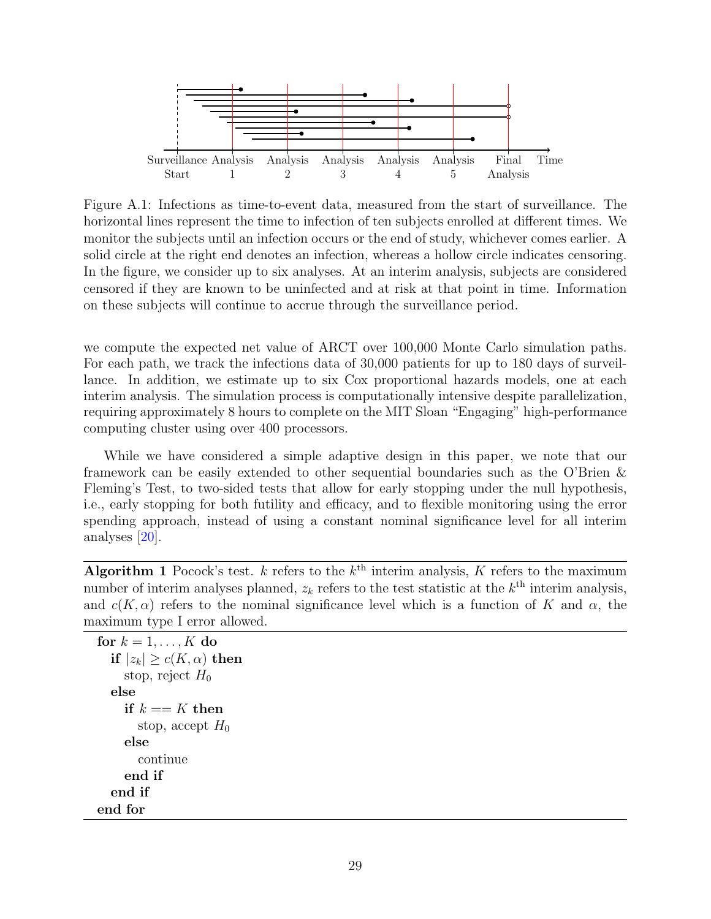<span id="page-31-0"></span>

Figure A.1: Infections as time-to-event data, measured from the start of surveillance. The horizontal lines represent the time to infection of ten subjects enrolled at different times. We monitor the subjects until an infection occurs or the end of study, whichever comes earlier. A solid circle at the right end denotes an infection, whereas a hollow circle indicates censoring. In the figure, we consider up to six analyses. At an interim analysis, subjects are considered censored if they are known to be uninfected and at risk at that point in time. Information on these subjects will continue to accrue through the surveillance period.

we compute the expected net value of ARCT over 100,000 Monte Carlo simulation paths. For each path, we track the infections data of 30,000 patients for up to 180 days of surveillance. In addition, we estimate up to six Cox proportional hazards models, one at each interim analysis. The simulation process is computationally intensive despite parallelization, requiring approximately 8 hours to complete on the MIT Sloan "Engaging" high-performance computing cluster using over 400 processors.

While we have considered a simple adaptive design in this paper, we note that our framework can be easily extended to other sequential boundaries such as the O'Brien & Fleming's Test, to two-sided tests that allow for early stopping under the null hypothesis, i.e., early stopping for both futility and efficacy, and to flexible monitoring using the error spending approach, instead of using a constant nominal significance level for all interim analyses [\[20\]](#page-23-7).

<span id="page-31-1"></span>Algorithm 1 Pocock's test. k refers to the  $k^{\text{th}}$  interim analysis, K refers to the maximum number of interim analyses planned,  $z_k$  refers to the test statistic at the  $k^{\text{th}}$  interim analysis, and  $c(K, \alpha)$  refers to the nominal significance level which is a function of K and  $\alpha$ , the maximum type I error allowed.

```
for k = 1, \ldots, K do
  if |z_k| \ge c(K, \alpha) then
    stop, reject H_0else
    if k == K then
       stop, accept H_0else
       continue
    end if
  end if
end for
```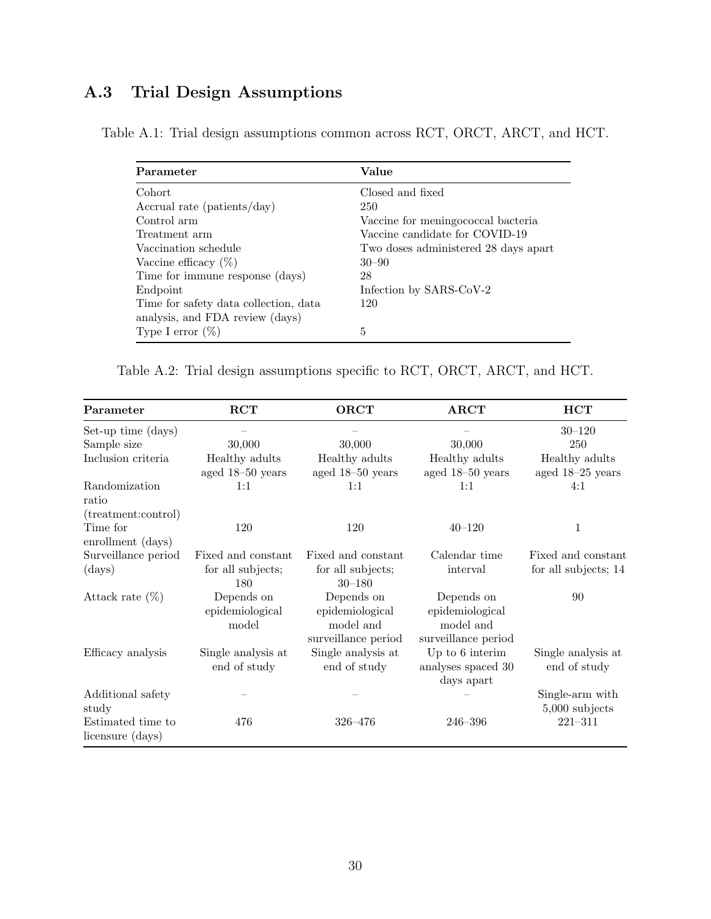# <span id="page-32-0"></span>A.3 Trial Design Assumptions

| Parameter                             | Value                                |
|---------------------------------------|--------------------------------------|
| Cohort                                | Closed and fixed                     |
| Accrual rate (patients/day)           | 250                                  |
| Control arm                           | Vaccine for meningococcal bacteria   |
| Treatment arm                         | Vaccine candidate for COVID-19       |
| Vaccination schedule                  | Two doses administered 28 days apart |
| Vaccine efficacy $(\%)$               | $30 - 90$                            |
| Time for immune response (days)       | 28                                   |
| Endpoint                              | Infection by SARS-CoV-2              |
| Time for safety data collection, data | 120                                  |
| analysis, and FDA review (days)       |                                      |
| Type I error $(\%)$                   | 5                                    |

Table A.1: Trial design assumptions common across RCT, ORCT, ARCT, and HCT.

Table A.2: Trial design assumptions specific to RCT, ORCT, ARCT, and HCT.

| Parameter                             | $\bf{RCT}$                             | <b>ORCT</b>                                                       | <b>ARCT</b>                                                       | <b>HCT</b>                          |
|---------------------------------------|----------------------------------------|-------------------------------------------------------------------|-------------------------------------------------------------------|-------------------------------------|
| Set-up time (days)                    |                                        |                                                                   |                                                                   | $30 - 120$                          |
| Sample size                           | 30,000                                 | 30,000                                                            | 30,000                                                            | 250                                 |
| Inclusion criteria                    | Healthy adults<br>aged 18-50 years     | Healthy adults<br>aged 18-50 years                                | Healthy adults<br>aged 18-50 years                                | Healthy adults<br>aged 18-25 years  |
| Randomization<br>ratio                | 1:1                                    | 1:1                                                               | 1:1                                                               | 4:1                                 |
| (treatment:control)                   |                                        |                                                                   |                                                                   |                                     |
| Time for<br>enrollment (days)         | 120                                    | 120                                                               | $40 - 120$                                                        | $\mathbf{1}$                        |
| Surveillance period                   | Fixed and constant                     | Fixed and constant                                                | Calendar time                                                     | Fixed and constant                  |
| (days)                                | for all subjects;<br>180               | for all subjects;<br>$30 - 180$                                   | interval                                                          | for all subjects; 14                |
| Attack rate $(\%)$                    | Depends on<br>epidemiological<br>model | Depends on<br>epidemiological<br>model and<br>surveillance period | Depends on<br>epidemiological<br>model and<br>surveillance period | 90                                  |
| Efficacy analysis                     | Single analysis at<br>end of study     | Single analysis at<br>end of study                                | Up to 6 interim<br>analyses spaced 30<br>days apart               | Single analysis at<br>end of study  |
| Additional safety<br>study            |                                        |                                                                   |                                                                   | Single-arm with<br>$5,000$ subjects |
| Estimated time to<br>licensure (days) | 476                                    | 326-476                                                           | 246-396                                                           | $221 - 311$                         |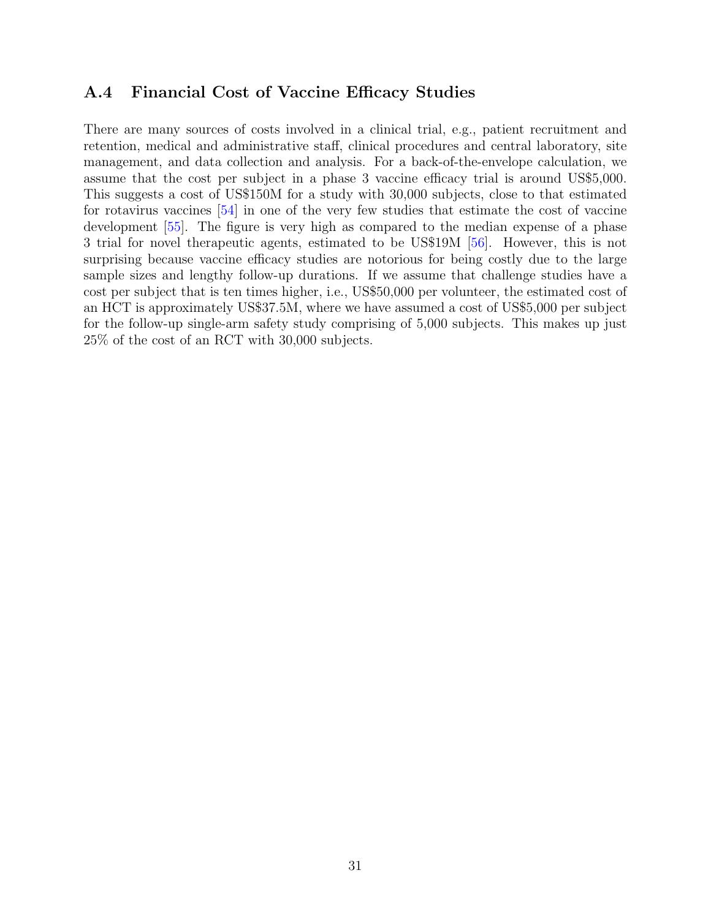### <span id="page-33-0"></span>A.4 Financial Cost of Vaccine Efficacy Studies

There are many sources of costs involved in a clinical trial, e.g., patient recruitment and retention, medical and administrative staff, clinical procedures and central laboratory, site management, and data collection and analysis. For a back-of-the-envelope calculation, we assume that the cost per subject in a phase 3 vaccine efficacy trial is around US\$5,000. This suggests a cost of US\$150M for a study with 30,000 subjects, close to that estimated for rotavirus vaccines [\[54\]](#page-26-5) in one of the very few studies that estimate the cost of vaccine development [\[55\]](#page-26-6). The figure is very high as compared to the median expense of a phase 3 trial for novel therapeutic agents, estimated to be US\$19M [\[56\]](#page-26-7). However, this is not surprising because vaccine efficacy studies are notorious for being costly due to the large sample sizes and lengthy follow-up durations. If we assume that challenge studies have a cost per subject that is ten times higher, i.e., US\$50,000 per volunteer, the estimated cost of an HCT is approximately US\$37.5M, where we have assumed a cost of US\$5,000 per subject for the follow-up single-arm safety study comprising of 5,000 subjects. This makes up just 25% of the cost of an RCT with 30,000 subjects.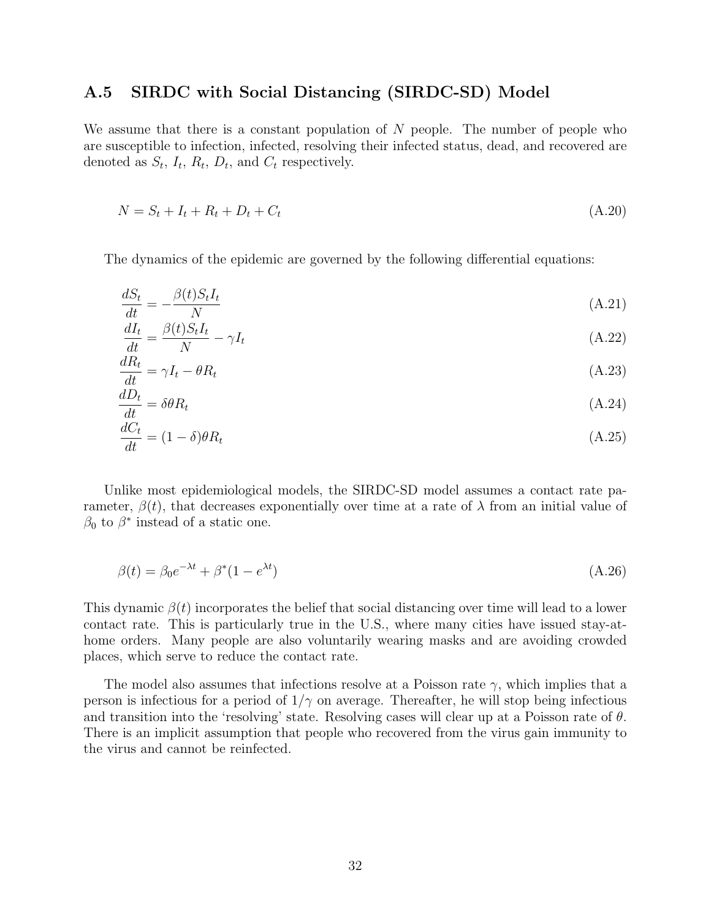### <span id="page-34-0"></span>A.5 SIRDC with Social Distancing (SIRDC-SD) Model

We assume that there is a constant population of  $N$  people. The number of people who are susceptible to infection, infected, resolving their infected status, dead, and recovered are denoted as  $S_t$ ,  $I_t$ ,  $R_t$ ,  $D_t$ , and  $C_t$  respectively.

$$
N = S_t + I_t + R_t + D_t + C_t \tag{A.20}
$$

The dynamics of the epidemic are governed by the following differential equations:

<span id="page-34-1"></span>
$$
\frac{dS_t}{dt} = -\frac{\beta(t)S_t I_t}{N} \tag{A.21}
$$

<span id="page-34-2"></span>
$$
\frac{dI_t}{dt} = \frac{\beta(t)S_tI_t}{N} - \gamma I_t
$$
\n(A.22)

$$
\frac{dR_t}{dt} = \gamma I_t - \theta R_t \tag{A.23}
$$

$$
\frac{dD_t}{dt} = \delta\theta R_t \tag{A.24}
$$

$$
\frac{dC_t}{dt} = (1 - \delta)\theta R_t \tag{A.25}
$$

Unlike most epidemiological models, the SIRDC-SD model assumes a contact rate parameter,  $\beta(t)$ , that decreases exponentially over time at a rate of  $\lambda$  from an initial value of  $\beta_0$  to  $\beta^*$  instead of a static one.

$$
\beta(t) = \beta_0 e^{-\lambda t} + \beta^*(1 - e^{\lambda t})
$$
\n(A.26)

This dynamic  $\beta(t)$  incorporates the belief that social distancing over time will lead to a lower contact rate. This is particularly true in the U.S., where many cities have issued stay-athome orders. Many people are also voluntarily wearing masks and are avoiding crowded places, which serve to reduce the contact rate.

The model also assumes that infections resolve at a Poisson rate  $\gamma$ , which implies that a person is infectious for a period of  $1/\gamma$  on average. Thereafter, he will stop being infectious and transition into the 'resolving' state. Resolving cases will clear up at a Poisson rate of  $\theta$ . There is an implicit assumption that people who recovered from the virus gain immunity to the virus and cannot be reinfected.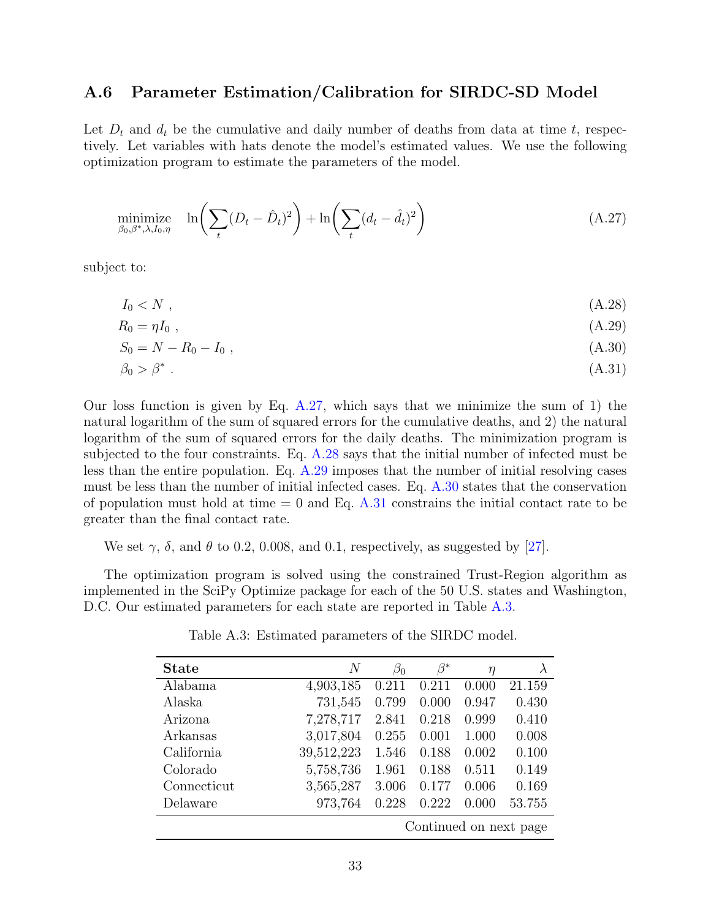### <span id="page-35-0"></span>A.6 Parameter Estimation/Calibration for SIRDC-SD Model

<span id="page-35-2"></span>Let  $D_t$  and  $d_t$  be the cumulative and daily number of deaths from data at time t, respectively. Let variables with hats denote the model's estimated values. We use the following optimization program to estimate the parameters of the model.

$$
\underset{\beta_0, \beta^*, \lambda, I_0, \eta}{\text{minimize}} \quad \ln \left( \sum_t (D_t - \hat{D}_t)^2 \right) + \ln \left( \sum_t (d_t - \hat{d}_t)^2 \right) \tag{A.27}
$$

subject to:

<span id="page-35-4"></span><span id="page-35-3"></span>
$$
I_0 < N \tag{A.28}
$$

$$
R_0 = \eta I_0 \tag{A.29}
$$

<span id="page-35-5"></span>
$$
S_0 = N - R_0 - I_0 \t\t( A.30)
$$

<span id="page-35-6"></span>
$$
\beta_0 > \beta^* \tag{A.31}
$$

Our loss function is given by Eq.  $A.27$ , which says that we minimize the sum of 1) the natural logarithm of the sum of squared errors for the cumulative deaths, and 2) the natural logarithm of the sum of squared errors for the daily deaths. The minimization program is subjected to the four constraints. Eq. [A.28](#page-35-3) says that the initial number of infected must be less than the entire population. Eq. [A.29](#page-35-4) imposes that the number of initial resolving cases must be less than the number of initial infected cases. Eq. [A.30](#page-35-5) states that the conservation of population must hold at time  $= 0$  and Eq. [A.31](#page-35-6) constrains the initial contact rate to be greater than the final contact rate.

We set  $\gamma$ ,  $\delta$ , and  $\theta$  to 0.2, 0.008, and 0.1, respectively, as suggested by [\[27\]](#page-24-3).

<span id="page-35-1"></span>The optimization program is solved using the constrained Trust-Region algorithm as implemented in the SciPy Optimize package for each of the 50 U.S. states and Washington, D.C. Our estimated parameters for each state are reported in Table [A.3.](#page-35-1)

| <b>State</b>           | N          | $\beta_0$ | $\beta^*$ | η     | $\lambda$ |  |  |  |  |
|------------------------|------------|-----------|-----------|-------|-----------|--|--|--|--|
| Alabama                | 4,903,185  | 0.211     | 0.211     | 0.000 | 21.159    |  |  |  |  |
| Alaska                 | 731,545    | 0.799     | 0.000     | 0.947 | 0.430     |  |  |  |  |
| Arizona                | 7,278,717  | 2.841     | 0.218     | 0.999 | 0.410     |  |  |  |  |
| Arkansas               | 3,017,804  | 0.255     | 0.001     | 1.000 | 0.008     |  |  |  |  |
| California             | 39,512,223 | 1.546     | 0.188     | 0.002 | 0.100     |  |  |  |  |
| Colorado               | 5,758,736  | 1.961     | 0.188     | 0.511 | 0.149     |  |  |  |  |
| Connecticut            | 3,565,287  | 3.006     | 0.177     | 0.006 | 0.169     |  |  |  |  |
| Delaware               | 973,764    | 0.228     | 0.222     | 0.000 | 53.755    |  |  |  |  |
| Continued on next page |            |           |           |       |           |  |  |  |  |

Table A.3: Estimated parameters of the SIRDC model.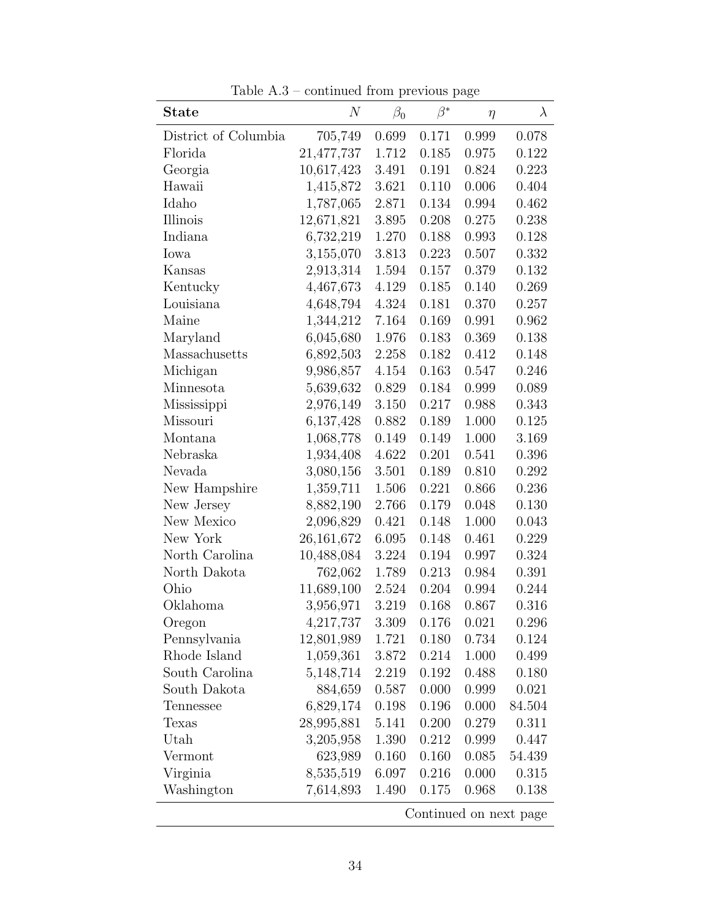| Table $A.3$ – continued from previous page |  |  |
|--------------------------------------------|--|--|

| <b>State</b>         | $\,N$      | $\beta_0$ | $\beta^*$ | $\eta$ | $\lambda$              |
|----------------------|------------|-----------|-----------|--------|------------------------|
| District of Columbia | 705,749    | 0.699     | 0.171     | 0.999  | 0.078                  |
| Florida              | 21,477,737 | 1.712     | 0.185     | 0.975  | 0.122                  |
| Georgia              | 10,617,423 | 3.491     | 0.191     | 0.824  | 0.223                  |
| Hawaii               | 1,415,872  | 3.621     | 0.110     | 0.006  | 0.404                  |
| Idaho                | 1,787,065  | 2.871     | 0.134     | 0.994  | 0.462                  |
| Illinois             | 12,671,821 | 3.895     | 0.208     | 0.275  | 0.238                  |
| Indiana              | 6,732,219  | 1.270     | 0.188     | 0.993  | 0.128                  |
| Iowa                 | 3,155,070  | 3.813     | 0.223     | 0.507  | 0.332                  |
| Kansas               | 2,913,314  | 1.594     | 0.157     | 0.379  | 0.132                  |
| Kentucky             | 4,467,673  | 4.129     | 0.185     | 0.140  | 0.269                  |
| Louisiana            | 4,648,794  | 4.324     | 0.181     | 0.370  | 0.257                  |
| Maine                | 1,344,212  | 7.164     | 0.169     | 0.991  | 0.962                  |
| Maryland             | 6,045,680  | 1.976     | 0.183     | 0.369  | 0.138                  |
| Massachusetts        | 6,892,503  | 2.258     | 0.182     | 0.412  | 0.148                  |
| Michigan             | 9,986,857  | 4.154     | 0.163     | 0.547  | 0.246                  |
| Minnesota            | 5,639,632  | 0.829     | 0.184     | 0.999  | 0.089                  |
| Mississippi          | 2,976,149  | 3.150     | 0.217     | 0.988  | 0.343                  |
| Missouri             | 6,137,428  | 0.882     | 0.189     | 1.000  | 0.125                  |
| Montana              | 1,068,778  | 0.149     | 0.149     | 1.000  | 3.169                  |
| Nebraska             | 1,934,408  | 4.622     | 0.201     | 0.541  | 0.396                  |
| Nevada               | 3,080,156  | 3.501     | 0.189     | 0.810  | 0.292                  |
| New Hampshire        | 1,359,711  | 1.506     | 0.221     | 0.866  | 0.236                  |
| New Jersey           | 8,882,190  | 2.766     | 0.179     | 0.048  | 0.130                  |
| New Mexico           | 2,096,829  | 0.421     | 0.148     | 1.000  | 0.043                  |
| New York             | 26,161,672 | 6.095     | 0.148     | 0.461  | 0.229                  |
| North Carolina       | 10,488,084 | 3.224     | 0.194     | 0.997  | 0.324                  |
| North Dakota         | 762,062    | 1.789     | 0.213     | 0.984  | 0.391                  |
| Ohio                 | 11,689,100 | 2.524     | 0.204     | 0.994  | 0.244                  |
| Oklahoma             | 3,956,971  | 3.219     | 0.168     | 0.867  | 0.316                  |
| Oregon               | 4,217,737  | 3.309     | 0.176     | 0.021  | 0.296                  |
| Pennsylvania         | 12,801,989 | 1.721     | 0.180     | 0.734  | 0.124                  |
| Rhode Island         | 1,059,361  | 3.872     | 0.214     | 1.000  | 0.499                  |
| South Carolina       | 5,148,714  | 2.219     | 0.192     | 0.488  | 0.180                  |
| South Dakota         | 884,659    | 0.587     | 0.000     | 0.999  | 0.021                  |
| Tennessee            | 6,829,174  | 0.198     | 0.196     | 0.000  | 84.504                 |
| Texas                | 28,995,881 | 5.141     | 0.200     | 0.279  | 0.311                  |
| Utah                 | 3,205,958  | 1.390     | 0.212     | 0.999  | 0.447                  |
| Vermont              | 623,989    | 0.160     | 0.160     | 0.085  | 54.439                 |
| Virginia             | 8,535,519  | 6.097     | 0.216     | 0.000  | 0.315                  |
| Washington           | 7,614,893  | 1.490     | 0.175     | 0.968  | 0.138                  |
|                      |            |           |           |        | Continued on next page |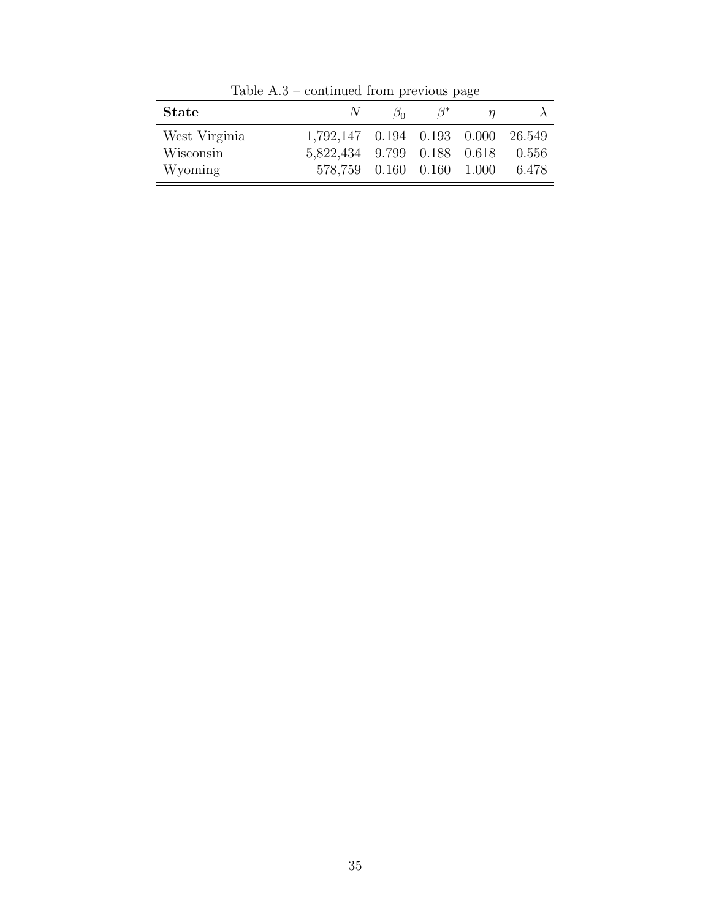| <b>State</b>  | $N_{\perp}$                            | $\beta_0$ | $\beta^*$ |       |
|---------------|----------------------------------------|-----------|-----------|-------|
| West Virginia | 1,792,147  0.194  0.193  0.000  26.549 |           |           |       |
| Wisconsin     | 5,822,434 9.799 0.188 0.618 0.556      |           |           |       |
| Wyoming       | 578,759  0.160  0.160  1.000           |           |           | 6.478 |

Table A.3 – continued from previous page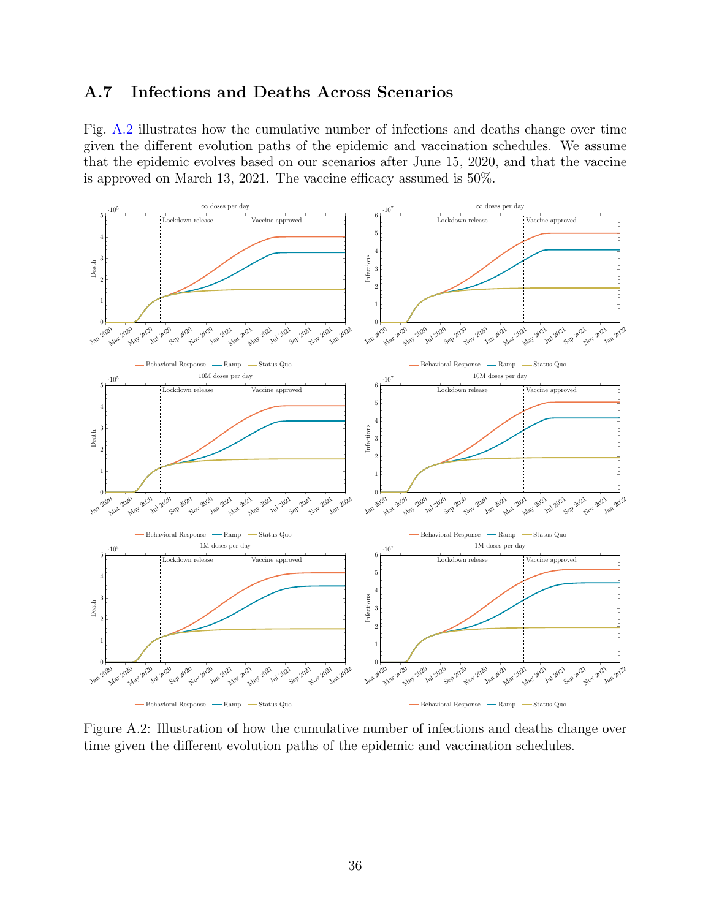### <span id="page-38-0"></span>A.7 Infections and Deaths Across Scenarios

Fig. [A.2](#page-38-1) illustrates how the cumulative number of infections and deaths change over time given the different evolution paths of the epidemic and vaccination schedules. We assume that the epidemic evolves based on our scenarios after June 15, 2020, and that the vaccine is approved on March 13, 2021. The vaccine efficacy assumed is 50%.

<span id="page-38-1"></span>

Figure A.2: Illustration of how the cumulative number of infections and deaths change over time given the different evolution paths of the epidemic and vaccination schedules.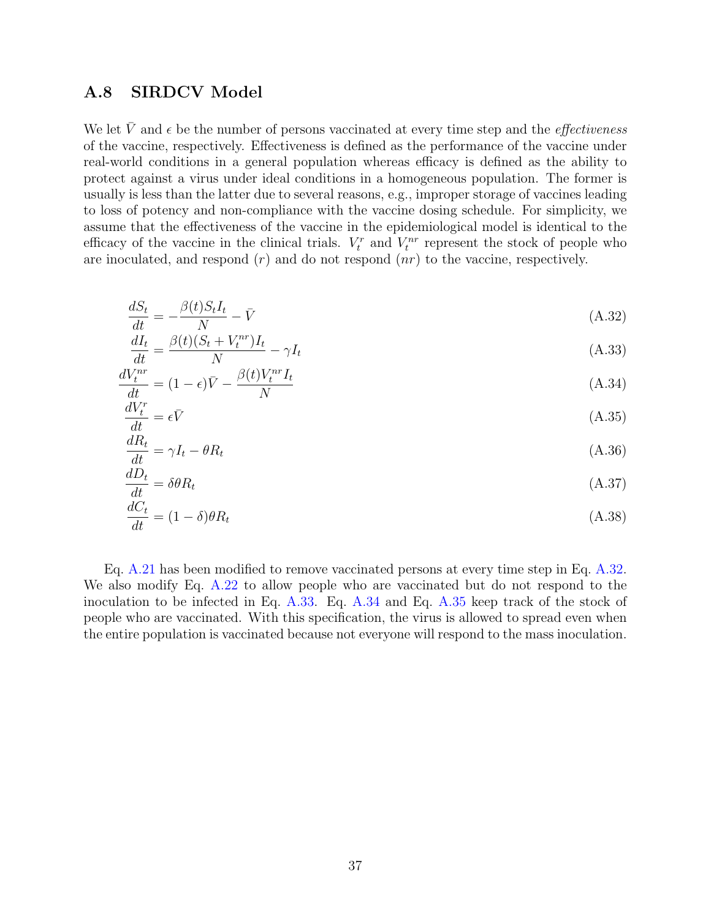### <span id="page-39-0"></span>A.8 SIRDCV Model

We let  $\bar{V}$  and  $\epsilon$  be the number of persons vaccinated at every time step and the *effectiveness* of the vaccine, respectively. Effectiveness is defined as the performance of the vaccine under real-world conditions in a general population whereas efficacy is defined as the ability to protect against a virus under ideal conditions in a homogeneous population. The former is usually is less than the latter due to several reasons, e.g., improper storage of vaccines leading to loss of potency and non-compliance with the vaccine dosing schedule. For simplicity, we assume that the effectiveness of the vaccine in the epidemiological model is identical to the efficacy of the vaccine in the clinical trials.  $V_t^r$  and  $V_t^{nr}$  represent the stock of people who are inoculated, and respond  $(r)$  and do not respond  $(nr)$  to the vaccine, respectively.

<span id="page-39-3"></span><span id="page-39-1"></span>
$$
\frac{dS_t}{dt} = -\frac{\beta(t)S_t I_t}{N} - \bar{V} \tag{A.32}
$$

$$
\frac{dI_t}{dt} = \frac{\beta(t)(S_t + V_t^{nr})I_t}{N} - \gamma I_t
$$
\n(A.33)

$$
\frac{dV_t^{nr}}{dt} = (1 - \epsilon)\bar{V} - \frac{\beta(t)V_t^{nr}I_t}{N}
$$
\n(A.34)

<span id="page-39-5"></span><span id="page-39-4"></span>
$$
\frac{dV_t^r}{dt} = \epsilon \bar{V} \tag{A.35}
$$

$$
\frac{dR_t}{dt} = \gamma I_t - \theta R_t \tag{A.36}
$$

$$
\frac{dD_t}{dt} = \delta\theta R_t \tag{A.37}
$$

<span id="page-39-2"></span>
$$
\frac{dC_t}{dt} = (1 - \delta)\theta R_t \tag{A.38}
$$

Eq. [A.21](#page-34-1) has been modified to remove vaccinated persons at every time step in Eq. [A.32.](#page-39-1) We also modify Eq. [A.22](#page-34-2) to allow people who are vaccinated but do not respond to the inoculation to be infected in Eq. [A.33.](#page-39-3) Eq. [A.34](#page-39-4) and Eq. [A.35](#page-39-5) keep track of the stock of people who are vaccinated. With this specification, the virus is allowed to spread even when the entire population is vaccinated because not everyone will respond to the mass inoculation.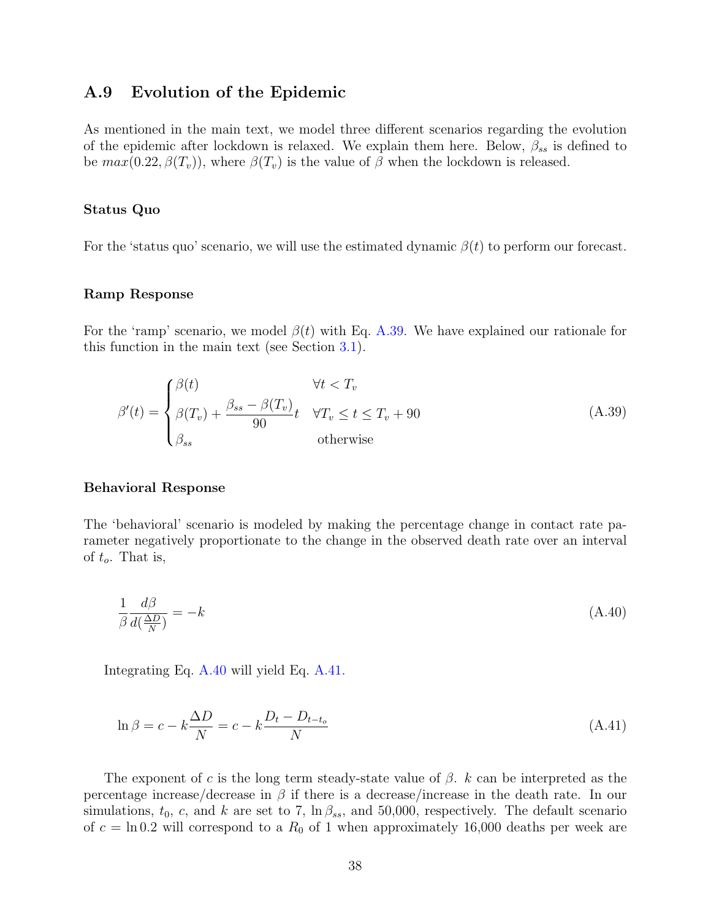### <span id="page-40-0"></span>A.9 Evolution of the Epidemic

As mentioned in the main text, we model three different scenarios regarding the evolution of the epidemic after lockdown is relaxed. We explain them here. Below,  $\beta_{ss}$  is defined to be  $max(0.22, \beta(T_v))$ , where  $\beta(T_v)$  is the value of  $\beta$  when the lockdown is released.

#### Status Quo

For the 'status quo' scenario, we will use the estimated dynamic  $\beta(t)$  to perform our forecast.

#### Ramp Response

For the 'ramp' scenario, we model  $\beta(t)$  with Eq. [A.39.](#page-40-1) We have explained our rationale for this function in the main text (see Section [3.1\)](#page-10-1).

<span id="page-40-1"></span>
$$
\beta'(t) = \begin{cases} \beta(t) & \forall t < T_v \\ \beta(T_v) + \frac{\beta_{ss} - \beta(T_v)}{90}t & \forall T_v \le t \le T_v + 90 \\ \beta_{ss} & \text{otherwise} \end{cases}
$$
(A.39)

#### Behavioral Response

<span id="page-40-2"></span>The 'behavioral' scenario is modeled by making the percentage change in contact rate parameter negatively proportionate to the change in the observed death rate over an interval of  $t_o$ . That is,

$$
\frac{1}{\beta} \frac{d\beta}{d(\frac{\Delta D}{N})} = -k \tag{A.40}
$$

<span id="page-40-3"></span>Integrating Eq. [A.40](#page-40-2) will yield Eq. [A.41.](#page-40-3)

$$
\ln \beta = c - k \frac{\Delta D}{N} = c - k \frac{D_t - D_{t-t_o}}{N}
$$
\n(A.41)

The exponent of c is the long term steady-state value of  $\beta$ . k can be interpreted as the percentage increase/decrease in  $\beta$  if there is a decrease/increase in the death rate. In our simulations,  $t_0$ , c, and k are set to 7,  $\ln \beta_{ss}$ , and 50,000, respectively. The default scenario of  $c = \ln 0.2$  will correspond to a  $R_0$  of 1 when approximately 16,000 deaths per week are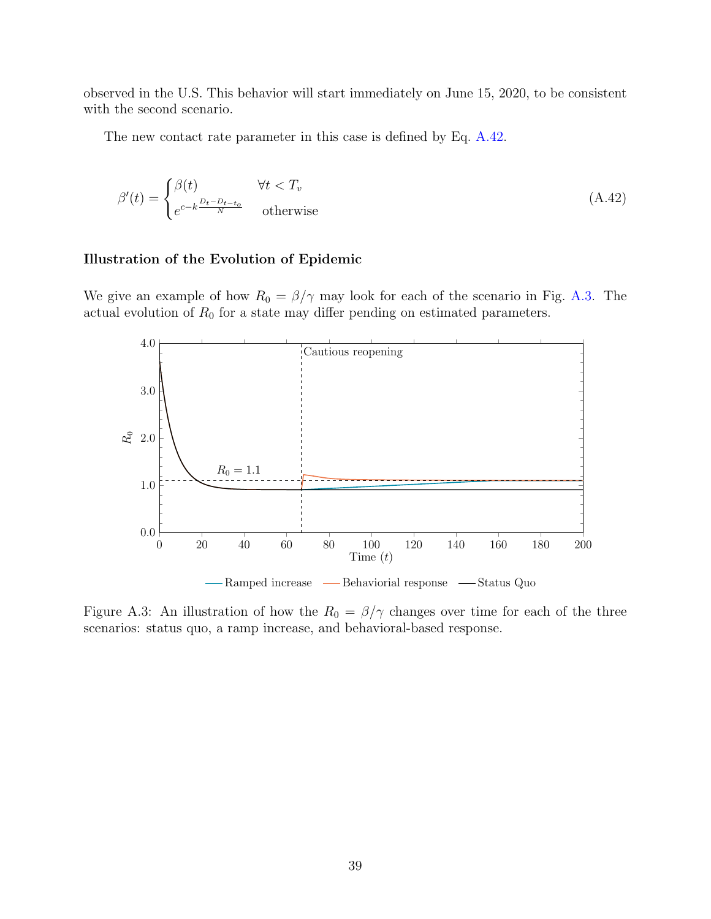observed in the U.S. This behavior will start immediately on June 15, 2020, to be consistent with the second scenario.

The new contact rate parameter in this case is defined by Eq. [A.42.](#page-41-0)

<span id="page-41-0"></span>
$$
\beta'(t) = \begin{cases} \beta(t) & \forall t < T_v \\ e^{c - k \frac{D_t - D_{t - t_o}}{N}} & \text{otherwise} \end{cases}
$$
 (A.42)

#### Illustration of the Evolution of Epidemic

We give an example of how  $R_0 = \frac{\beta}{\gamma}$  may look for each of the scenario in Fig. [A.3.](#page-41-1) The actual evolution of  $R_0$  for a state may differ pending on estimated parameters.

<span id="page-41-1"></span>

Figure A.3: An illustration of how the  $R_0 = \frac{\beta}{\gamma}$  changes over time for each of the three scenarios: status quo, a ramp increase, and behavioral-based response.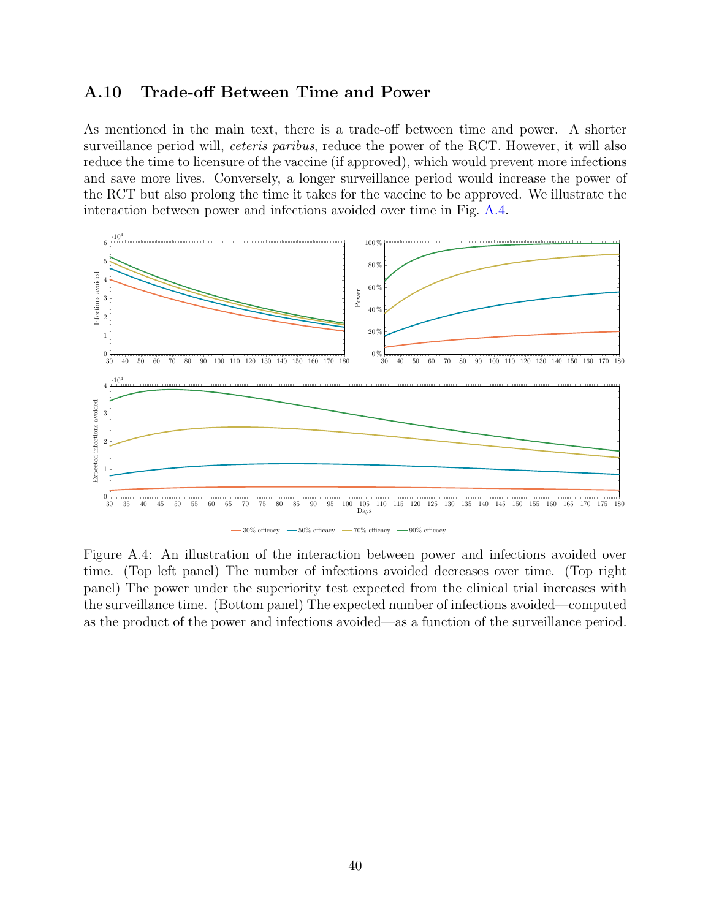### <span id="page-42-0"></span>A.10 Trade-off Between Time and Power

As mentioned in the main text, there is a trade-off between time and power. A shorter surveillance period will, *ceteris paribus*, reduce the power of the RCT. However, it will also reduce the time to licensure of the vaccine (if approved), which would prevent more infections and save more lives. Conversely, a longer surveillance period would increase the power of the RCT but also prolong the time it takes for the vaccine to be approved. We illustrate the interaction between power and infections avoided over time in Fig. [A.4.](#page-42-1)

<span id="page-42-1"></span>

Figure A.4: An illustration of the interaction between power and infections avoided over time. (Top left panel) The number of infections avoided decreases over time. (Top right panel) The power under the superiority test expected from the clinical trial increases with the surveillance time. (Bottom panel) The expected number of infections avoided—computed as the product of the power and infections avoided—as a function of the surveillance period.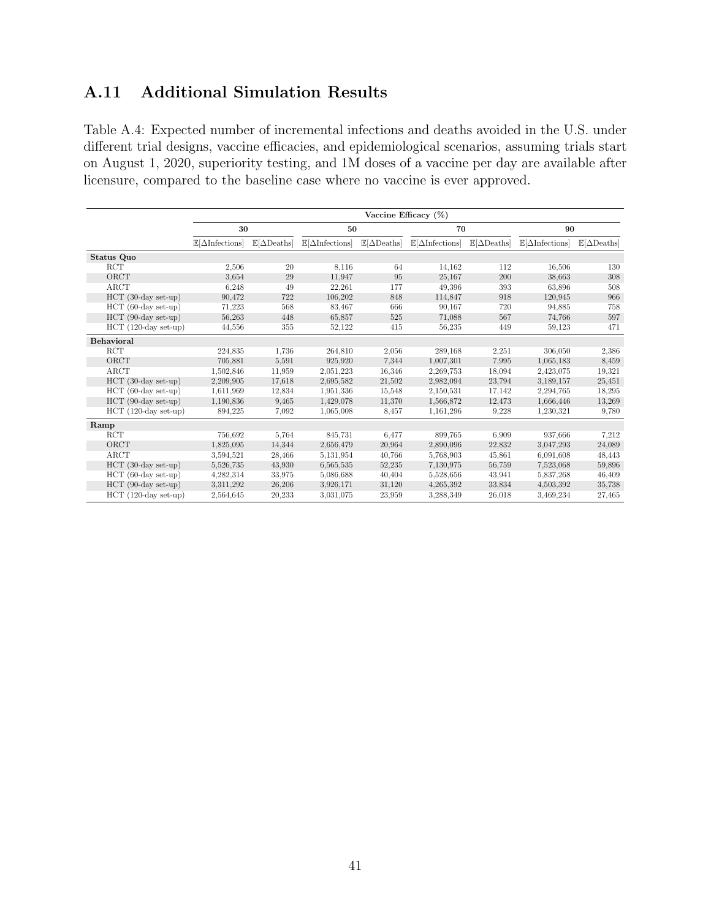## <span id="page-43-0"></span>A.11 Additional Simulation Results

Table A.4: Expected number of incremental infections and deaths avoided in the U.S. under different trial designs, vaccine efficacies, and epidemiological scenarios, assuming trials start on August 1, 2020, superiority testing, and 1M doses of a vaccine per day are available after licensure, compared to the baseline case where no vaccine is ever approved.

|                        | Vaccine Efficacy (%)                  |                                    |                                       |                                    |                                       |                                    |                                       |                                    |
|------------------------|---------------------------------------|------------------------------------|---------------------------------------|------------------------------------|---------------------------------------|------------------------------------|---------------------------------------|------------------------------------|
|                        | 30                                    |                                    | 50                                    |                                    | 70                                    |                                    | 90                                    |                                    |
|                        | $\mathbb{E}[\Delta\text{Infections}]$ | $\mathbb{E}[\Delta \text{Deaths}]$ | $\mathbb{E}[\Delta\text{Infections}]$ | $\mathbb{E}[\Delta \text{Deaths}]$ | $\mathbb{E}[\Delta\text{Infections}]$ | $\mathbb{E}[\Delta \text{Deaths}]$ | $\mathbb{E}[\Delta\text{Infections}]$ | $\mathbb{E}[\Delta \text{Deaths}]$ |
| Status Quo             |                                       |                                    |                                       |                                    |                                       |                                    |                                       |                                    |
| RCT                    | 2,506                                 | 20                                 | 8,116                                 | 64                                 | 14.162                                | 112                                | 16,506                                | 130                                |
| ORCT                   | 3.654                                 | 29                                 | 11,947                                | 95                                 | 25,167                                | 200                                | 38,663                                | 308                                |
| ARCT                   | 6,248                                 | 49                                 | 22,261                                | 177                                | 49,396                                | 393                                | 63,896                                | 508                                |
| $HCT$ (30-day set-up)  | 90,472                                | 722                                | 106,202                               | 848                                | 114,847                               | 918                                | 120,945                               | 966                                |
| $HCT$ (60-day set-up)  | 71,223                                | 568                                | 83,467                                | 666                                | 90,167                                | 720                                | 94,885                                | 758                                |
| $HCT$ (90-day set-up)  | 56,263                                | 448                                | 65,857                                | 525                                | 71,088                                | 567                                | 74,766                                | 597                                |
| $HCT$ (120-day set-up) | 44,556                                | 355                                | 52,122                                | 415                                | 56,235                                | 449                                | 59,123                                | 471                                |
| <b>Behavioral</b>      |                                       |                                    |                                       |                                    |                                       |                                    |                                       |                                    |
| <b>RCT</b>             | 224,835                               | 1,736                              | 264,810                               | 2,056                              | 289,168                               | 2,251                              | 306,050                               | 2,386                              |
| ORCT                   | 705,881                               | 5,591                              | 925,920                               | 7,344                              | 1,007,301                             | 7,995                              | 1,065,183                             | 8,459                              |
| ARCT                   | 1,502,846                             | 11,959                             | 2,051,223                             | 16,346                             | 2,269,753                             | 18,094                             | 2,423,075                             | 19,321                             |
| $HCT$ (30-day set-up)  | 2,209,905                             | 17,618                             | 2,695,582                             | 21,502                             | 2,982,094                             | 23,794                             | 3,189,157                             | 25,451                             |
| $HCT$ (60-day set-up)  | 1,611,969                             | 12,834                             | 1,951,336                             | 15,548                             | 2,150,531                             | 17,142                             | 2,294,765                             | 18,295                             |
| $HCT$ (90-day set-up)  | 1,190,836                             | 9,465                              | 1,429,078                             | 11,370                             | 1,566,872                             | 12,473                             | 1,666,446                             | 13,269                             |
| $HCT$ (120-day set-up) | 894,225                               | 7.092                              | 1,065,008                             | 8,457                              | 1,161,296                             | 9,228                              | 1,230,321                             | 9,780                              |
| Ramp                   |                                       |                                    |                                       |                                    |                                       |                                    |                                       |                                    |
| RCT                    | 756,692                               | 5,764                              | 845,731                               | 6,477                              | 899,765                               | 6,909                              | 937,666                               | 7,212                              |
| ORCT                   | 1,825,095                             | 14,344                             | 2,656,479                             | 20.964                             | 2,890,096                             | 22,832                             | 3,047,293                             | 24,089                             |
| ARCT                   | 3.594.521                             | 28,466                             | 5,131,954                             | 40,766                             | 5,768,903                             | 45,861                             | 6,091,608                             | 48,443                             |
| $HCT$ (30-day set-up)  | 5,526,735                             | 43,930                             | 6,565,535                             | 52,235                             | 7,130,975                             | 56,759                             | 7,523,068                             | 59,896                             |
| $HCT$ (60-day set-up)  | 4,282,314                             | 33,975                             | 5,086,688                             | 40,404                             | 5,528,656                             | 43,941                             | 5,837,268                             | 46,409                             |
| $HCT$ (90-day set-up)  | 3.311.292                             | 26,206                             | 3.926,171                             | 31,120                             | 4,265,392                             | 33,834                             | 4,503,392                             | 35,738                             |
| $HCT$ (120-day set-up) | 2,564,645                             | 20,233                             | 3,031,075                             | 23,959                             | 3,288,349                             | 26,018                             | 3,469,234                             | 27,465                             |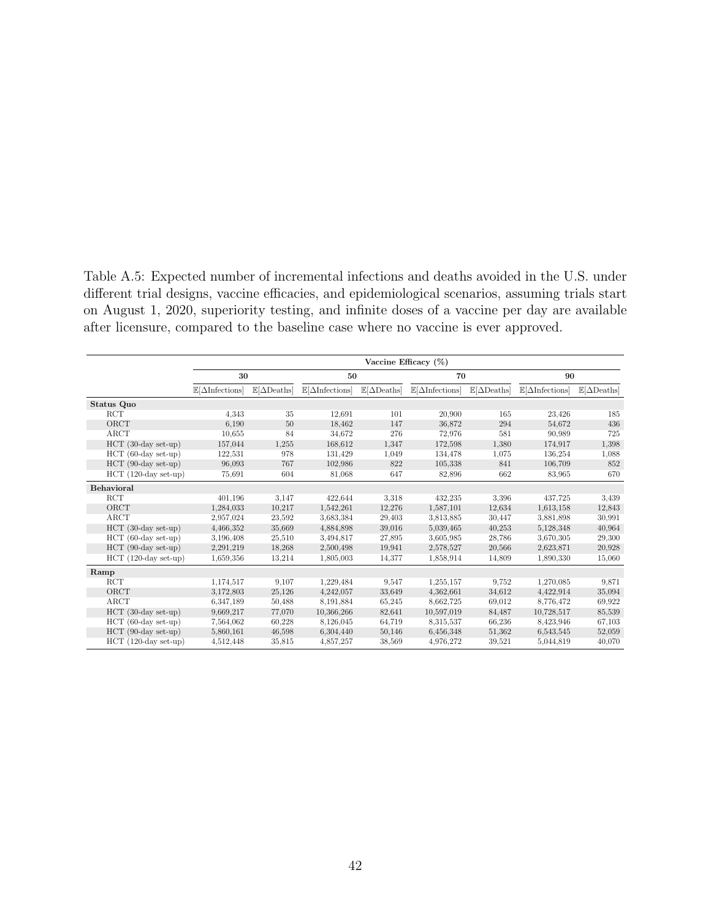Table A.5: Expected number of incremental infections and deaths avoided in the U.S. under different trial designs, vaccine efficacies, and epidemiological scenarios, assuming trials start on August 1, 2020, superiority testing, and infinite doses of a vaccine per day are available after licensure, compared to the baseline case where no vaccine is ever approved.

|                        | Vaccine Efficacy $(\%)$               |                                    |                                       |                                    |                                       |                                    |                                       |                                    |
|------------------------|---------------------------------------|------------------------------------|---------------------------------------|------------------------------------|---------------------------------------|------------------------------------|---------------------------------------|------------------------------------|
|                        | 30                                    |                                    | 50                                    |                                    | 70                                    |                                    | 90                                    |                                    |
|                        | $\mathbb{E}[\Delta\text{Infections}]$ | $\mathbb{E}[\Delta \text{Deaths}]$ | $\mathbb{E}[\Delta\text{Infections}]$ | $\mathbb{E}[\Delta \text{Deaths}]$ | $\mathbb{E}[\Delta\text{Infections}]$ | $\mathbb{E}[\Delta \text{Deaths}]$ | $\mathbb{E}[\Delta\text{Infections}]$ | $\mathbb{E}[\Delta \text{Deaths}]$ |
| Status Quo             |                                       |                                    |                                       |                                    |                                       |                                    |                                       |                                    |
| RCT                    | 4.343                                 | 35                                 | 12,691                                | 101                                | 20,900                                | 165                                | 23,426                                | 185                                |
| ORCT                   | 6.190                                 | 50                                 | 18.462                                | 147                                | 36,872                                | 294                                | 54.672                                | 436                                |
| ARCT                   | 10.655                                | 84                                 | 34,672                                | 276                                | 72,976                                | 581                                | 90,989                                | 725                                |
| $HCT$ (30-day set-up)  | 157,044                               | 1,255                              | 168.612                               | 1,347                              | 172,598                               | 1,380                              | 174,917                               | 1,398                              |
| $HCT$ (60-day set-up)  | 122,531                               | 978                                | 131,429                               | 1,049                              | 134,478                               | 1,075                              | 136,254                               | 1,088                              |
| $HCT$ (90-day set-up)  | 96,093                                | 767                                | 102,986                               | 822                                | 105,338                               | 841                                | 106,709                               | 852                                |
| $HCT$ (120-day set-up) | 75,691                                | 604                                | 81,068                                | 647                                | 82,896                                | 662                                | 83,965                                | 670                                |
| Behavioral             |                                       |                                    |                                       |                                    |                                       |                                    |                                       |                                    |
| <b>RCT</b>             | 401,196                               | 3,147                              | 422,644                               | 3.318                              | 432,235                               | 3.396                              | 437,725                               | 3,439                              |
| ORCT                   | 1,284,033                             | 10,217                             | 1,542,261                             | 12,276                             | 1,587,101                             | 12,634                             | 1,613,158                             | 12,843                             |
| ARCT                   | 2,957,024                             | 23,592                             | 3.683.384                             | 29,403                             | 3.813.885                             | 30,447                             | 3,881,898                             | 30,991                             |
| $HCT$ (30-day set-up)  | 4,466,352                             | 35,669                             | 4,884,898                             | 39,016                             | 5,039,465                             | 40,253                             | 5,128,348                             | 40,964                             |
| $HCT$ (60-day set-up)  | 3,196,408                             | 25,510                             | 3,494,817                             | 27,895                             | 3.605.985                             | 28,786                             | 3,670,305                             | 29,300                             |
| $HCT$ (90-day set-up)  | 2,291,219                             | 18,268                             | 2,500,498                             | 19,941                             | 2,578,527                             | 20,566                             | 2,623,871                             | 20,928                             |
| $HCT$ (120-day set-up) | 1,659,356                             | 13,214                             | 1,805,003                             | 14,377                             | 1,858,914                             | 14,809                             | 1,890,330                             | 15,060                             |
| Ramp                   |                                       |                                    |                                       |                                    |                                       |                                    |                                       |                                    |
| RCT                    | 1,174,517                             | 9,107                              | 1,229,484                             | 9,547                              | 1,255,157                             | 9.752                              | 1,270,085                             | 9,871                              |
| ORCT                   | 3,172,803                             | 25,126                             | 4,242,057                             | 33,649                             | 4,362,661                             | 34,612                             | 4,422,914                             | 35,094                             |
| ARCT                   | 6.347,189                             | 50,488                             | 8,191,884                             | 65,245                             | 8.662,725                             | 69,012                             | 8,776,472                             | 69,922                             |
| $HCT$ (30-day set-up)  | 9,669,217                             | 77,070                             | 10.366,266                            | 82,641                             | 10,597,019                            | 84,487                             | 10,728,517                            | 85,539                             |
| $HCT$ (60-day set-up)  | 7.564.062                             | 60,228                             | 8,126,045                             | 64,719                             | 8.315.537                             | 66,236                             | 8,423,946                             | 67,103                             |
| $HCT$ (90-day set-up)  | 5,860,161                             | 46,598                             | 6,304,440                             | 50,146                             | 6,456,348                             | 51,362                             | 6,543,545                             | 52,059                             |
| $HCT$ (120-day set-up) | 4,512,448                             | 35,815                             | 4,857,257                             | 38,569                             | 4,976,272                             | 39,521                             | 5,044,819                             | 40,070                             |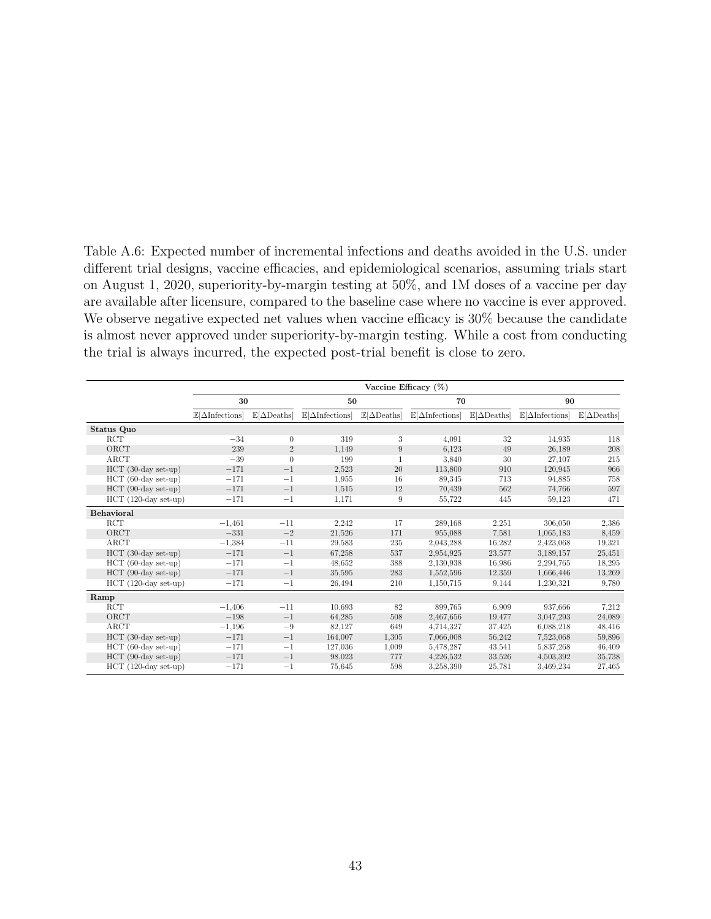Table A.6: Expected number of incremental infections and deaths avoided in the U.S. under different trial designs, vaccine efficacies, and epidemiological scenarios, assuming trials start on August 1, 2020, superiority-by-margin testing at 50%, and 1M doses of a vaccine per day are available after licensure, compared to the baseline case where no vaccine is ever approved. We observe negative expected net values when vaccine efficacy is 30% because the candidate is almost never approved under superiority-by-margin testing. While a cost from conducting the trial is always incurred, the expected post-trial benefit is close to zero.

|                        | Vaccine Efficacy $(\%)$               |                                    |                                       |                                    |                                       |                                    |                                       |                                    |
|------------------------|---------------------------------------|------------------------------------|---------------------------------------|------------------------------------|---------------------------------------|------------------------------------|---------------------------------------|------------------------------------|
|                        | 30                                    |                                    | 50                                    |                                    | 70                                    |                                    | 90                                    |                                    |
|                        | $\mathbb{E}[\Delta\text{Infections}]$ | $\mathbb{E}[\Delta \text{Deaths}]$ | $\mathbb{E}[\Delta\text{Infections}]$ | $\mathbb{E}[\Delta \text{Deaths}]$ | $\mathbb{E}[\Delta\text{Infections}]$ | $\mathbb{E}[\Delta \text{Deaths}]$ | $\mathbb{E}[\Delta\text{Infections}]$ | $\mathbb{E}[\Delta \text{Deaths}]$ |
| Status Quo             |                                       |                                    |                                       |                                    |                                       |                                    |                                       |                                    |
| RCT                    | $-34$                                 | $\theta$                           | 319                                   | 3                                  | 4,091                                 | 32                                 | 14,935                                | 118                                |
| ORCT                   | 239                                   | $\sqrt{2}$                         | 1,149                                 | 9                                  | 6.123                                 | 49                                 | 26,189                                | 208                                |
| ARCT                   | $-39$                                 | $\theta$                           | 199                                   |                                    | 3,840                                 | 30                                 | 27,107                                | 215                                |
| $HCT$ (30-day set-up)  | $-171$                                | $-1$                               | 2,523                                 | 20                                 | 113,800                               | 910                                | 120,945                               | 966                                |
| $HCT$ (60-day set-up)  | $-171$                                | $^{-1}$                            | 1,955                                 | 16                                 | 89,345                                | 713                                | 94,885                                | 758                                |
| $HCT$ (90-day set-up)  | $-171$                                | $-1$                               | 1,515                                 | 12                                 | 70,439                                | 562                                | 74,766                                | 597                                |
| $HCT$ (120-day set-up) | $-171$                                | $^{-1}$                            | 1,171                                 | 9                                  | 55,722                                | 445                                | 59,123                                | 471                                |
| Behavioral             |                                       |                                    |                                       |                                    |                                       |                                    |                                       |                                    |
| <b>RCT</b>             | $-1,461$                              | $-11$                              | 2,242                                 | 17                                 | 289,168                               | 2,251                              | 306,050                               | 2,386                              |
| ORCT                   | $-331$                                | $-2$                               | 21,526                                | 171                                | 955,088                               | 7,581                              | 1,065,183                             | 8,459                              |
| ARCT                   | $-1,384$                              | $-11$                              | 29,583                                | 235                                | 2,043,288                             | 16,282                             | 2,423,068                             | 19,321                             |
| $HCT$ (30-day set-up)  | $-171$                                | $-1$                               | 67,258                                | 537                                | 2,954,925                             | 23,577                             | 3,189,157                             | 25,451                             |
| $HCT$ (60-day set-up)  | $-171$                                | $^{-1}$                            | 48,652                                | 388                                | 2,130,938                             | 16,986                             | 2,294,765                             | 18,295                             |
| $HCT$ (90-day set-up)  | $-171$                                | $-1$                               | 35,595                                | 283                                | 1,552,596                             | 12,359                             | 1,666,446                             | 13,269                             |
| $HCT$ (120-day set-up) | $-171$                                | $^{-1}$                            | 26,494                                | 210                                | 1,150,715                             | 9,144                              | 1,230,321                             | 9,780                              |
| Ramp                   |                                       |                                    |                                       |                                    |                                       |                                    |                                       |                                    |
| RCT                    | $-1,406$                              | $-11$                              | 10.693                                | 82                                 | 899,765                               | 6,909                              | 937,666                               | 7,212                              |
| ORCT                   | $-198$                                | $-1$                               | 64,285                                | 508                                | 2,467,656                             | 19,477                             | 3,047,293                             | 24,089                             |
| ARCT                   | $-1,196$                              | $-9$                               | 82,127                                | 649                                | 4,714,327                             | 37,425                             | 6,088,218                             | 48,416                             |
| $HCT$ (30-day set-up)  | $-171$                                | $-1$                               | 164,007                               | 1,305                              | 7,066,008                             | 56,242                             | 7,523,068                             | 59,896                             |
| $HCT$ (60-day set-up)  | $-171$                                | $^{-1}$                            | 127,036                               | 1,009                              | 5,478,287                             | 43,541                             | 5,837,268                             | 46,409                             |
| HCT (90-day set-up)    | $-171$                                | $-1$                               | 98,023                                | 777                                | 4,226,532                             | 33,526                             | 4,503,392                             | 35,738                             |
| $HCT$ (120-day set-up) | $-171$                                | $^{-1}$                            | 75,645                                | 598                                | 3,258,390                             | 25,781                             | 3,469,234                             | 27,465                             |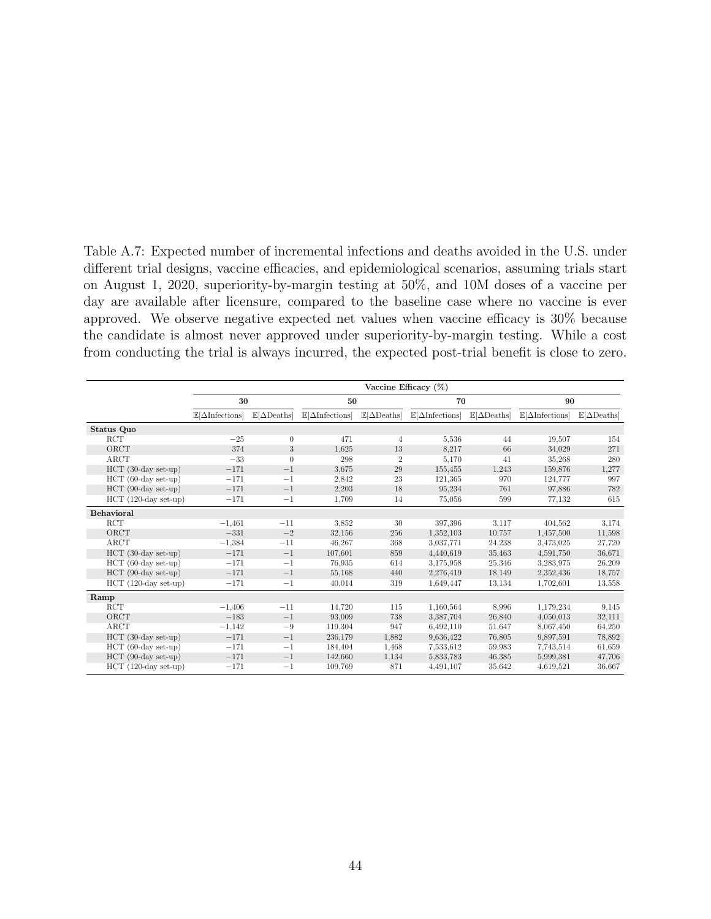Table A.7: Expected number of incremental infections and deaths avoided in the U.S. under different trial designs, vaccine efficacies, and epidemiological scenarios, assuming trials start on August 1, 2020, superiority-by-margin testing at 50%, and 10M doses of a vaccine per day are available after licensure, compared to the baseline case where no vaccine is ever approved. We observe negative expected net values when vaccine efficacy is 30% because the candidate is almost never approved under superiority-by-margin testing. While a cost from conducting the trial is always incurred, the expected post-trial benefit is close to zero.

|                        | Vaccine Efficacy (%)                  |                                    |                                       |                                   |                                       |                                    |                                       |                                    |  |
|------------------------|---------------------------------------|------------------------------------|---------------------------------------|-----------------------------------|---------------------------------------|------------------------------------|---------------------------------------|------------------------------------|--|
|                        | 30                                    |                                    | 50                                    |                                   | 70                                    |                                    | 90                                    |                                    |  |
|                        | $\mathbb{E}[\Delta\text{Infections}]$ | $\mathbb{E}[\Delta \text{Deaths}]$ | $\mathbb{E}[\Delta\text{Infections}]$ | $\mathbb{E}[\Delta\text{Deaths}]$ | $\mathbb{E}[\Delta\text{Infections}]$ | $\mathbb{E}[\Delta \text{Deaths}]$ | $\mathbb{E}[\Delta\text{Infections}]$ | $\mathbb{E}[\Delta \text{Deaths}]$ |  |
| Status Quo             |                                       |                                    |                                       |                                   |                                       |                                    |                                       |                                    |  |
| RCT                    | $-25$                                 | $\theta$                           | 471                                   | $\overline{4}$                    | 5,536                                 | 44                                 | 19,507                                | 154                                |  |
| ORCT                   | 374                                   | 3                                  | 1,625                                 | 13                                | 8.217                                 | 66                                 | 34,029                                | 271                                |  |
| ARCT                   | $-33$                                 | $\theta$                           | 298                                   | $\overline{2}$                    | 5,170                                 | 41                                 | 35,268                                | 280                                |  |
| $HCT$ (30-day set-up)  | $-171$                                | $-1$                               | 3.675                                 | 29                                | 155,455                               | 1,243                              | 159,876                               | 1,277                              |  |
| $HCT$ (60-day set-up)  | $-171$                                | $-1$                               | 2,842                                 | 23                                | 121,365                               | 970                                | 124,777                               | 997                                |  |
| $HCT$ (90-day set-up)  | $-171$                                | $-1$                               | 2,203                                 | 18                                | 95,234                                | 761                                | 97,886                                | 782                                |  |
| $HCT$ (120-day set-up) | $-171$                                | $-1$                               | 1,709                                 | 14                                | 75,056                                | 599                                | 77,132                                | 615                                |  |
| <b>Behavioral</b>      |                                       |                                    |                                       |                                   |                                       |                                    |                                       |                                    |  |
| <b>RCT</b>             | $-1,461$                              | $-11$                              | 3.852                                 | 30                                | 397,396                               | 3.117                              | 404,562                               | 3,174                              |  |
| ORCT                   | $-331$                                | $-2$                               | 32,156                                | 256                               | 1,352,103                             | 10,757                             | 1,457,500                             | 11,598                             |  |
| ARCT                   | $-1,384$                              | $-11$                              | 46,267                                | 368                               | 3.037.771                             | 24,238                             | 3,473,025                             | 27,720                             |  |
| $HCT$ (30-day set-up)  | $-171$                                | $-1$                               | 107,601                               | 859                               | 4,440,619                             | 35,463                             | 4,591,750                             | 36,671                             |  |
| $HCT$ (60-day set-up)  | $-171$                                | $^{-1}$                            | 76.935                                | 614                               | 3,175,958                             | 25,346                             | 3,283,975                             | 26,209                             |  |
| $HCT$ (90-day set-up)  | $-171$                                | $-1$                               | 55,168                                | 440                               | 2,276,419                             | 18,149                             | 2,352,436                             | 18,757                             |  |
| $HCT$ (120-day set-up) | $-171$                                | $^{-1}$                            | 40,014                                | 319                               | 1,649,447                             | 13,134                             | 1,702,601                             | 13,558                             |  |
| Ramp                   |                                       |                                    |                                       |                                   |                                       |                                    |                                       |                                    |  |
| RCT                    | $-1.406$                              | $-11$                              | 14,720                                | 115                               | 1,160,564                             | 8.996                              | 1,179,234                             | 9,145                              |  |
| ORCT                   | $-183$                                | $-1$                               | 93,009                                | 738                               | 3,387,704                             | 26,840                             | 4,050,013                             | 32,111                             |  |
| ARCT                   | $-1,142$                              | $-9$                               | 119,304                               | 947                               | 6,492,110                             | 51,647                             | 8,067,450                             | 64,250                             |  |
| $HCT$ (30-day set-up)  | $-171$                                | $-1$                               | 236,179                               | 1,882                             | 9.636,422                             | 76,805                             | 9,897,591                             | 78,892                             |  |
| $HCT$ (60-day set-up)  | $-171$                                | $^{-1}$                            | 184,404                               | 1,468                             | 7,533,612                             | 59,983                             | 7,743,514                             | 61,659                             |  |
| $HCT$ (90-day set-up)  | $-171$                                | $-1$                               | 142,660                               | 1,134                             | 5,833,783                             | 46,385                             | 5,999,381                             | 47,706                             |  |
| $HCT$ (120-day set-up) | $-171$                                | $^{-1}$                            | 109,769                               | 871                               | 4,491,107                             | 35,642                             | 4,619,521                             | 36,667                             |  |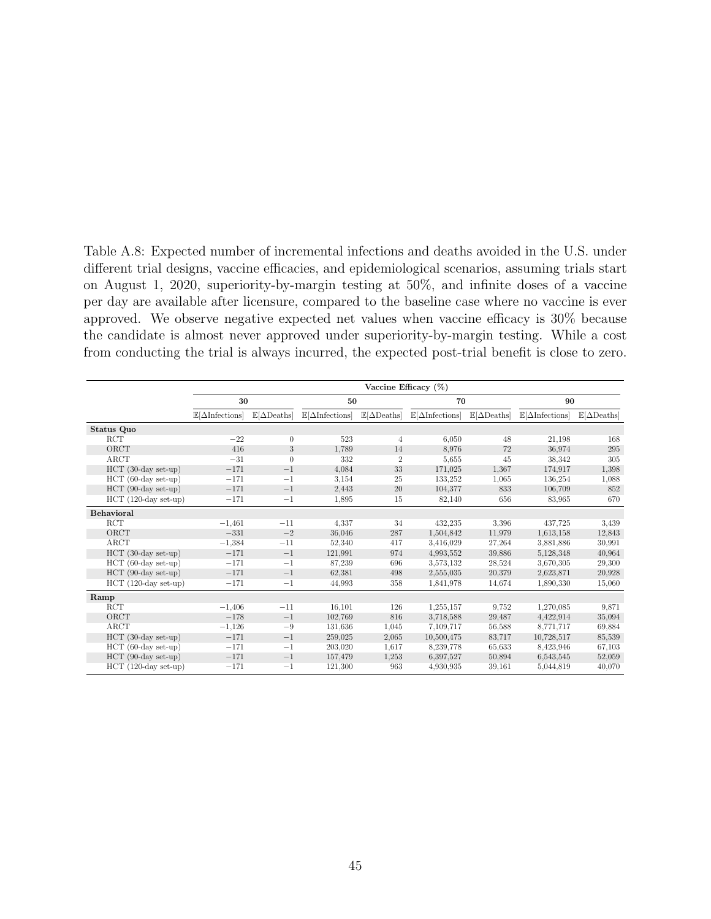Table A.8: Expected number of incremental infections and deaths avoided in the U.S. under different trial designs, vaccine efficacies, and epidemiological scenarios, assuming trials start on August 1, 2020, superiority-by-margin testing at 50%, and infinite doses of a vaccine per day are available after licensure, compared to the baseline case where no vaccine is ever approved. We observe negative expected net values when vaccine efficacy is 30% because the candidate is almost never approved under superiority-by-margin testing. While a cost from conducting the trial is always incurred, the expected post-trial benefit is close to zero.

|                        | Vaccine Efficacy $(\%)$               |                                    |                                       |                                    |                                       |                                    |                                       |                                    |  |
|------------------------|---------------------------------------|------------------------------------|---------------------------------------|------------------------------------|---------------------------------------|------------------------------------|---------------------------------------|------------------------------------|--|
|                        | 30                                    |                                    | 50                                    |                                    | 70                                    |                                    | 90                                    |                                    |  |
|                        | $\mathbb{E}[\Delta\text{Infections}]$ | $\mathbb{E}[\Delta \text{Deaths}]$ | $\mathbb{E}[\Delta\text{Infections}]$ | $\mathbb{E}[\Delta \text{Deaths}]$ | $\mathbb{E}[\Delta\text{Infections}]$ | $\mathbb{E}[\Delta \text{Deaths}]$ | $\mathbb{E}[\Delta\text{Infections}]$ | $\mathbb{E}[\Delta \text{Deaths}]$ |  |
| Status Quo             |                                       |                                    |                                       |                                    |                                       |                                    |                                       |                                    |  |
| RCT                    | $-22$                                 | $\theta$                           | 523                                   | 4                                  | 6,050                                 | 48                                 | 21,198                                | 168                                |  |
| ORCT                   | 416                                   | 3                                  | 1,789                                 | 14                                 | 8,976                                 | 72                                 | 36,974                                | 295                                |  |
| ARCT                   | $-31$                                 | $\theta$                           | 332                                   | $\overline{2}$                     | 5,655                                 | 45                                 | 38.342                                | 305                                |  |
| $HCT$ (30-day set-up)  | $-171$                                | $-1$                               | 4,084                                 | 33                                 | 171,025                               | 1,367                              | 174,917                               | 1,398                              |  |
| $HCT$ (60-day set-up)  | $-171$                                | $^{-1}$                            | 3,154                                 | 25                                 | 133,252                               | 1,065                              | 136,254                               | 1,088                              |  |
| HCT (90-day set-up)    | $-171$                                | $-1$                               | 2,443                                 | 20                                 | 104.377                               | 833                                | 106,709                               | 852                                |  |
| $HCT$ (120-day set-up) | $-171$                                | $^{-1}$                            | 1,895                                 | 15                                 | 82,140                                | 656                                | 83,965                                | 670                                |  |
| Behavioral             |                                       |                                    |                                       |                                    |                                       |                                    |                                       |                                    |  |
| <b>RCT</b>             | $-1,461$                              | $-11$                              | 4,337                                 | 34                                 | 432,235                               | 3.396                              | 437,725                               | 3,439                              |  |
| ORCT                   | $-331$                                | $-2$                               | 36,046                                | 287                                | 1,504,842                             | 11,979                             | 1,613,158                             | 12,843                             |  |
| ARCT                   | $-1,384$                              | $-11$                              | 52,340                                | 417                                | 3,416,029                             | 27,264                             | 3,881,886                             | 30,991                             |  |
| $HCT$ (30-day set-up)  | $-171$                                | $-1$                               | 121,991                               | 974                                | 4.993.552                             | 39,886                             | 5,128,348                             | 40,964                             |  |
| $HCT$ (60-day set-up)  | $-171$                                | $^{-1}$                            | 87,239                                | 696                                | 3.573.132                             | 28,524                             | 3,670,305                             | 29,300                             |  |
| $HCT$ (90-day set-up)  | $-171$                                | $^{-1}$                            | 62,381                                | 498                                | 2,555,035                             | 20,379                             | 2,623,871                             | 20,928                             |  |
| $HCT$ (120-day set-up) | $-171$                                | $-1$                               | 44,993                                | 358                                | 1,841,978                             | 14,674                             | 1,890,330                             | 15,060                             |  |
| Ramp                   |                                       |                                    |                                       |                                    |                                       |                                    |                                       |                                    |  |
| <b>RCT</b>             | $-1,406$                              | $-11$                              | 16,101                                | 126                                | 1,255,157                             | 9,752                              | 1,270,085                             | 9,871                              |  |
| ORCT                   | $-178$                                | $-1$                               | 102,769                               | 816                                | 3,718,588                             | 29,487                             | 4,422,914                             | 35,094                             |  |
| ARCT                   | $-1,126$                              | $-9$                               | 131,636                               | 1,045                              | 7,109,717                             | 56,588                             | 8,771,717                             | 69,884                             |  |
| $HCT$ (30-day set-up)  | $-171$                                | $-1$                               | 259,025                               | 2,065                              | 10,500,475                            | 83,717                             | 10,728,517                            | 85,539                             |  |
| $HCT$ (60-day set-up)  | $-171$                                | $^{-1}$                            | 203,020                               | 1,617                              | 8,239,778                             | 65,633                             | 8,423,946                             | 67,103                             |  |
| HCT (90-day set-up)    | $-171$                                | $^{-1}$                            | 157,479                               | 1,253                              | 6.397.527                             | 50,894                             | 6,543,545                             | 52,059                             |  |
| $HCT$ (120-day set-up) | $-171$                                | $-1$                               | 121,300                               | 963                                | 4.930.935                             | 39,161                             | 5,044,819                             | 40,070                             |  |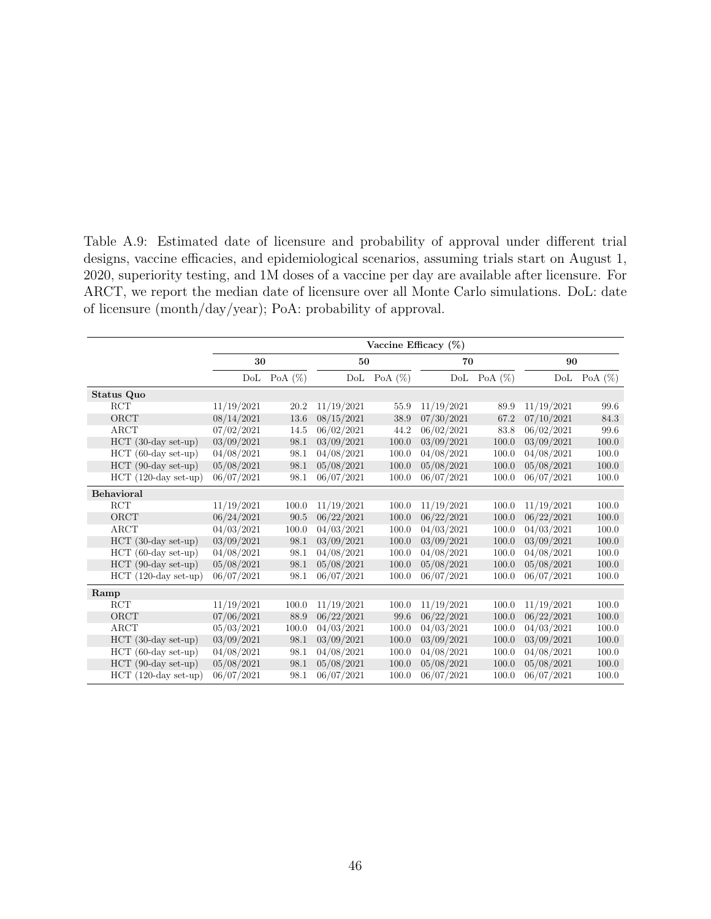Table A.9: Estimated date of licensure and probability of approval under different trial designs, vaccine efficacies, and epidemiological scenarios, assuming trials start on August 1, 2020, superiority testing, and 1M doses of a vaccine per day are available after licensure. For ARCT, we report the median date of licensure over all Monte Carlo simulations. DoL: date of licensure (month/day/year); PoA: probability of approval.

|                        | Vaccine Efficacy $(\%)$ |            |            |            |            |            |            |            |
|------------------------|-------------------------|------------|------------|------------|------------|------------|------------|------------|
|                        | 30                      |            | 50         |            | 70         |            | 90         |            |
|                        | DoL                     | PoA $(\%)$ | DoL        | PoA $(\%)$ | DoL        | PoA $(\%)$ | DoL        | PoA $(\%)$ |
| Status Quo             |                         |            |            |            |            |            |            |            |
| <b>RCT</b>             | 11/19/2021              | 20.2       | 11/19/2021 | 55.9       | 11/19/2021 | 89.9       | 11/19/2021 | 99.6       |
| ORCT                   | 08/14/2021              | 13.6       | 08/15/2021 | 38.9       | 07/30/2021 | 67.2       | 07/10/2021 | 84.3       |
| ARCT                   | 07/02/2021              | 14.5       | 06/02/2021 | 44.2       | 06/02/2021 | 83.8       | 06/02/2021 | 99.6       |
| $HCT$ (30-day set-up)  | 03/09/2021              | 98.1       | 03/09/2021 | 100.0      | 03/09/2021 | 100.0      | 03/09/2021 | 100.0      |
| $HCT$ (60-day set-up)  | 04/08/2021              | 98.1       | 04/08/2021 | 100.0      | 04/08/2021 | 100.0      | 04/08/2021 | 100.0      |
| $HCT$ (90-day set-up)  | 05/08/2021              | 98.1       | 05/08/2021 | 100.0      | 05/08/2021 | 100.0      | 05/08/2021 | 100.0      |
| $HCT$ (120-day set-up) | 06/07/2021              | 98.1       | 06/07/2021 | 100.0      | 06/07/2021 | 100.0      | 06/07/2021 | 100.0      |
| <b>Behavioral</b>      |                         |            |            |            |            |            |            |            |
| <b>RCT</b>             | 11/19/2021              | 100.0      | 11/19/2021 | 100.0      | 11/19/2021 | 100.0      | 11/19/2021 | 100.0      |
| ORCT                   | 06/24/2021              | 90.5       | 06/22/2021 | 100.0      | 06/22/2021 | 100.0      | 06/22/2021 | 100.0      |
| <b>ARCT</b>            | 04/03/2021              | 100.0      | 04/03/2021 | 100.0      | 04/03/2021 | 100.0      | 04/03/2021 | 100.0      |
| HCT (30-day set-up)    | 03/09/2021              | 98.1       | 03/09/2021 | 100.0      | 03/09/2021 | 100.0      | 03/09/2021 | 100.0      |
| $HCT$ (60-day set-up)  | 04/08/2021              | 98.1       | 04/08/2021 | 100.0      | 04/08/2021 | 100.0      | 04/08/2021 | 100.0      |
| $HCT$ (90-day set-up)  | 05/08/2021              | 98.1       | 05/08/2021 | 100.0      | 05/08/2021 | 100.0      | 05/08/2021 | 100.0      |
| $HCT$ (120-day set-up) | 06/07/2021              | 98.1       | 06/07/2021 | 100.0      | 06/07/2021 | 100.0      | 06/07/2021 | 100.0      |
| Ramp                   |                         |            |            |            |            |            |            |            |
| <b>RCT</b>             | 11/19/2021              | 100.0      | 11/19/2021 | 100.0      | 11/19/2021 | 100.0      | 11/19/2021 | 100.0      |
| ORCT                   | 07/06/2021              | 88.9       | 06/22/2021 | 99.6       | 06/22/2021 | 100.0      | 06/22/2021 | 100.0      |
| ARCT                   | 05/03/2021              | 100.0      | 04/03/2021 | 100.0      | 04/03/2021 | 100.0      | 04/03/2021 | 100.0      |
| $HCT$ (30-day set-up)  | 03/09/2021              | 98.1       | 03/09/2021 | 100.0      | 03/09/2021 | 100.0      | 03/09/2021 | 100.0      |
| HCT (60-day set-up)    | 04/08/2021              | 98.1       | 04/08/2021 | 100.0      | 04/08/2021 | 100.0      | 04/08/2021 | 100.0      |
| $HCT$ (90-day set-up)  | 05/08/2021              | 98.1       | 05/08/2021 | 100.0      | 05/08/2021 | 100.0      | 05/08/2021 | 100.0      |
| $HCT$ (120-day set-up) | 06/07/2021              | 98.1       | 06/07/2021 | 100.0      | 06/07/2021 | 100.0      | 06/07/2021 | 100.0      |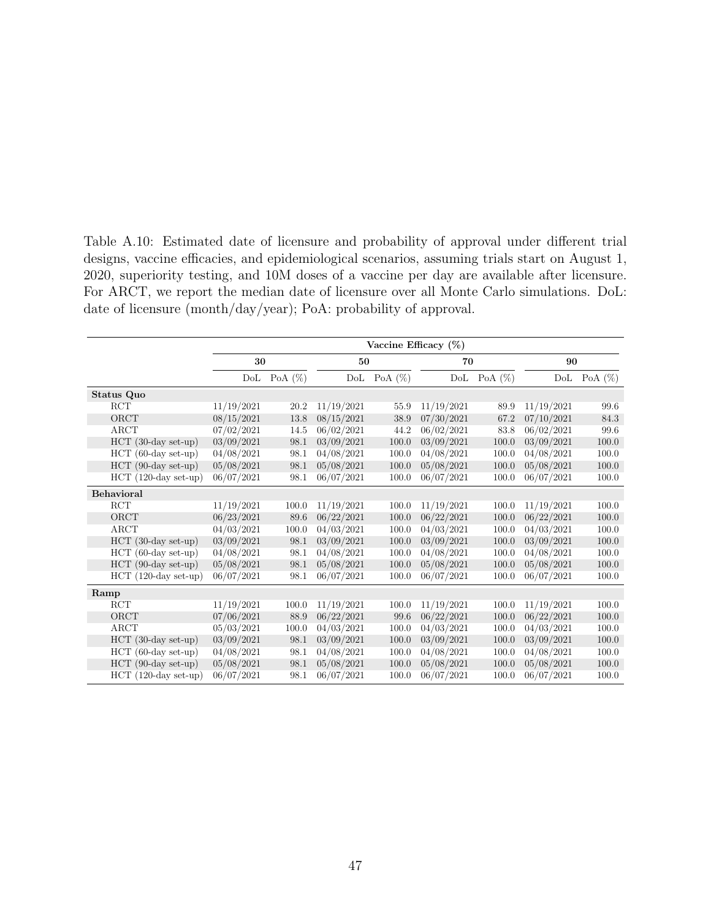Table A.10: Estimated date of licensure and probability of approval under different trial designs, vaccine efficacies, and epidemiological scenarios, assuming trials start on August 1, 2020, superiority testing, and 10M doses of a vaccine per day are available after licensure. For ARCT, we report the median date of licensure over all Monte Carlo simulations. DoL: date of licensure (month/day/year); PoA: probability of approval.

|                        | Vaccine Efficacy $(\%)$ |            |            |            |            |            |            |            |
|------------------------|-------------------------|------------|------------|------------|------------|------------|------------|------------|
|                        | 30                      |            |            | 50         |            | 70         | 90         |            |
|                        | DoL                     | PoA $(\%)$ | DoL        | PoA $(\%)$ | DoL        | PoA $(\%)$ | DoL        | PoA $(\%)$ |
| Status Quo             |                         |            |            |            |            |            |            |            |
| <b>RCT</b>             | 11/19/2021              | 20.2       | 11/19/2021 | 55.9       | 11/19/2021 | 89.9       | 11/19/2021 | 99.6       |
| ORCT                   | 08/15/2021              | 13.8       | 08/15/2021 | 38.9       | 07/30/2021 | 67.2       | 07/10/2021 | 84.3       |
| ARCT                   | 07/02/2021              | 14.5       | 06/02/2021 | 44.2       | 06/02/2021 | 83.8       | 06/02/2021 | 99.6       |
| $HCT$ (30-day set-up)  | 03/09/2021              | 98.1       | 03/09/2021 | 100.0      | 03/09/2021 | 100.0      | 03/09/2021 | 100.0      |
| $HCT$ (60-day set-up)  | 04/08/2021              | 98.1       | 04/08/2021 | 100.0      | 04/08/2021 | 100.0      | 04/08/2021 | 100.0      |
| $HCT$ (90-day set-up)  | 05/08/2021              | 98.1       | 05/08/2021 | 100.0      | 05/08/2021 | 100.0      | 05/08/2021 | 100.0      |
| $HCT$ (120-day set-up) | 06/07/2021              | 98.1       | 06/07/2021 | 100.0      | 06/07/2021 | 100.0      | 06/07/2021 | 100.0      |
| <b>Behavioral</b>      |                         |            |            |            |            |            |            |            |
| <b>RCT</b>             | 11/19/2021              | 100.0      | 11/19/2021 | 100.0      | 11/19/2021 | 100.0      | 11/19/2021 | 100.0      |
| ORCT                   | 06/23/2021              | 89.6       | 06/22/2021 | 100.0      | 06/22/2021 | 100.0      | 06/22/2021 | 100.0      |
| <b>ARCT</b>            | 04/03/2021              | 100.0      | 04/03/2021 | 100.0      | 04/03/2021 | 100.0      | 04/03/2021 | 100.0      |
| HCT (30-day set-up)    | 03/09/2021              | 98.1       | 03/09/2021 | 100.0      | 03/09/2021 | 100.0      | 03/09/2021 | 100.0      |
| $HCT$ (60-day set-up)  | 04/08/2021              | 98.1       | 04/08/2021 | 100.0      | 04/08/2021 | 100.0      | 04/08/2021 | 100.0      |
| $HCT$ (90-day set-up)  | 05/08/2021              | 98.1       | 05/08/2021 | 100.0      | 05/08/2021 | 100.0      | 05/08/2021 | 100.0      |
| $HCT$ (120-day set-up) | 06/07/2021              | 98.1       | 06/07/2021 | 100.0      | 06/07/2021 | 100.0      | 06/07/2021 | 100.0      |
| Ramp                   |                         |            |            |            |            |            |            |            |
| <b>RCT</b>             | 11/19/2021              | 100.0      | 11/19/2021 | 100.0      | 11/19/2021 | 100.0      | 11/19/2021 | 100.0      |
| ORCT                   | 07/06/2021              | 88.9       | 06/22/2021 | 99.6       | 06/22/2021 | 100.0      | 06/22/2021 | 100.0      |
| ARCT                   | 05/03/2021              | 100.0      | 04/03/2021 | 100.0      | 04/03/2021 | 100.0      | 04/03/2021 | 100.0      |
| $HCT$ (30-day set-up)  | 03/09/2021              | 98.1       | 03/09/2021 | 100.0      | 03/09/2021 | 100.0      | 03/09/2021 | 100.0      |
| HCT (60-day set-up)    | 04/08/2021              | 98.1       | 04/08/2021 | 100.0      | 04/08/2021 | 100.0      | 04/08/2021 | 100.0      |
| $HCT$ (90-day set-up)  | 05/08/2021              | 98.1       | 05/08/2021 | 100.0      | 05/08/2021 | 100.0      | 05/08/2021 | 100.0      |
| $HCT$ (120-day set-up) | 06/07/2021              | 98.1       | 06/07/2021 | 100.0      | 06/07/2021 | 100.0      | 06/07/2021 | 100.0      |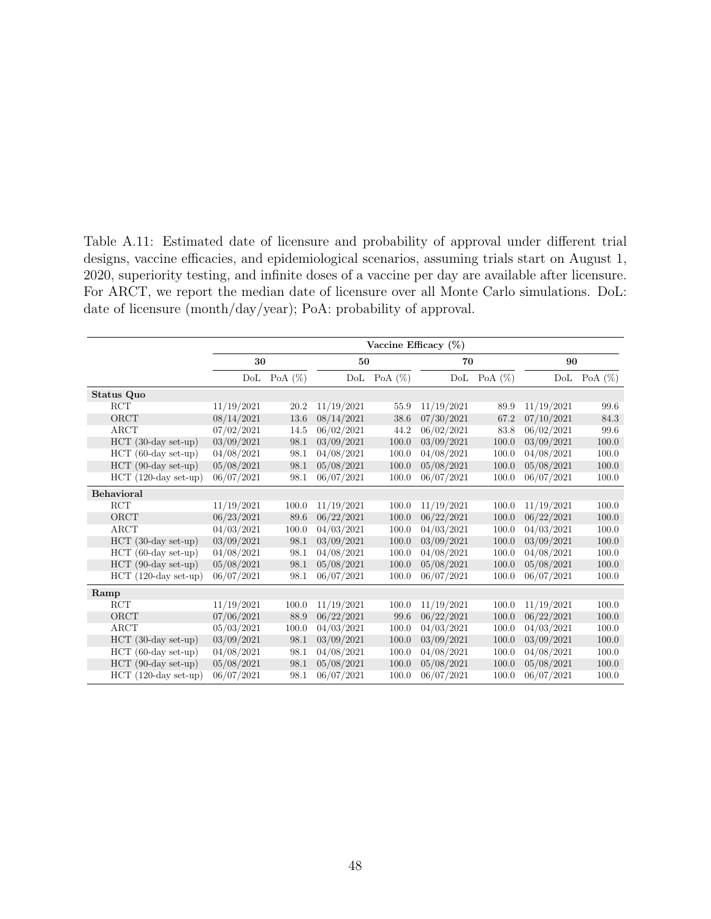Table A.11: Estimated date of licensure and probability of approval under different trial designs, vaccine efficacies, and epidemiological scenarios, assuming trials start on August 1, 2020, superiority testing, and infinite doses of a vaccine per day are available after licensure. For ARCT, we report the median date of licensure over all Monte Carlo simulations. DoL: date of licensure (month/day/year); PoA: probability of approval.

|                        |            | Vaccine Efficacy (%) |            |            |            |            |            |            |  |
|------------------------|------------|----------------------|------------|------------|------------|------------|------------|------------|--|
|                        | 30         |                      |            | 50         |            | 70         | 90         |            |  |
|                        | DoL        | PoA $(\%)$           | DoL        | PoA $(\%)$ | DoL        | PoA $(\%)$ | DoL        | PoA $(\%)$ |  |
| Status Quo             |            |                      |            |            |            |            |            |            |  |
| <b>RCT</b>             | 11/19/2021 | 20.2                 | 11/19/2021 | 55.9       | 11/19/2021 | 89.9       | 11/19/2021 | 99.6       |  |
| ORCT                   | 08/14/2021 | 13.6                 | 08/14/2021 | 38.6       | 07/30/2021 | 67.2       | 07/10/2021 | 84.3       |  |
| ARCT                   | 07/02/2021 | 14.5                 | 06/02/2021 | 44.2       | 06/02/2021 | 83.8       | 06/02/2021 | 99.6       |  |
| $HCT$ (30-day set-up)  | 03/09/2021 | 98.1                 | 03/09/2021 | 100.0      | 03/09/2021 | 100.0      | 03/09/2021 | 100.0      |  |
| $HCT$ (60-day set-up)  | 04/08/2021 | 98.1                 | 04/08/2021 | 100.0      | 04/08/2021 | 100.0      | 04/08/2021 | 100.0      |  |
| $HCT$ (90-day set-up)  | 05/08/2021 | 98.1                 | 05/08/2021 | 100.0      | 05/08/2021 | 100.0      | 05/08/2021 | 100.0      |  |
| $HCT$ (120-day set-up) | 06/07/2021 | 98.1                 | 06/07/2021 | 100.0      | 06/07/2021 | 100.0      | 06/07/2021 | 100.0      |  |
| <b>Behavioral</b>      |            |                      |            |            |            |            |            |            |  |
| <b>RCT</b>             | 11/19/2021 | 100.0                | 11/19/2021 | 100.0      | 11/19/2021 | 100.0      | 11/19/2021 | 100.0      |  |
| ORCT                   | 06/23/2021 | 89.6                 | 06/22/2021 | 100.0      | 06/22/2021 | 100.0      | 06/22/2021 | 100.0      |  |
| ARCT                   | 04/03/2021 | 100.0                | 04/03/2021 | 100.0      | 04/03/2021 | 100.0      | 04/03/2021 | 100.0      |  |
| $HCT$ (30-day set-up)  | 03/09/2021 | 98.1                 | 03/09/2021 | 100.0      | 03/09/2021 | 100.0      | 03/09/2021 | 100.0      |  |
| $HCT$ (60-day set-up)  | 04/08/2021 | 98.1                 | 04/08/2021 | 100.0      | 04/08/2021 | 100.0      | 04/08/2021 | 100.0      |  |
| $HCT$ (90-day set-up)  | 05/08/2021 | 98.1                 | 05/08/2021 | 100.0      | 05/08/2021 | 100.0      | 05/08/2021 | 100.0      |  |
| $HCT$ (120-day set-up) | 06/07/2021 | 98.1                 | 06/07/2021 | 100.0      | 06/07/2021 | 100.0      | 06/07/2021 | 100.0      |  |
| Ramp                   |            |                      |            |            |            |            |            |            |  |
| $\operatorname{RCT}$   | 11/19/2021 | 100.0                | 11/19/2021 | 100.0      | 11/19/2021 | 100.0      | 11/19/2021 | 100.0      |  |
| ORCT                   | 07/06/2021 | 88.9                 | 06/22/2021 | 99.6       | 06/22/2021 | 100.0      | 06/22/2021 | 100.0      |  |
| ARCT                   | 05/03/2021 | 100.0                | 04/03/2021 | 100.0      | 04/03/2021 | 100.0      | 04/03/2021 | 100.0      |  |
| $HCT$ (30-day set-up)  | 03/09/2021 | 98.1                 | 03/09/2021 | 100.0      | 03/09/2021 | 100.0      | 03/09/2021 | 100.0      |  |
| $HCT$ (60-day set-up)  | 04/08/2021 | 98.1                 | 04/08/2021 | 100.0      | 04/08/2021 | 100.0      | 04/08/2021 | 100.0      |  |
| $HCT$ (90-day set-up)  | 05/08/2021 | 98.1                 | 05/08/2021 | 100.0      | 05/08/2021 | 100.0      | 05/08/2021 | 100.0      |  |
| $HCT$ (120-day set-up) | 06/07/2021 | 98.1                 | 06/07/2021 | 100.0      | 06/07/2021 | 100.0      | 06/07/2021 | 100.0      |  |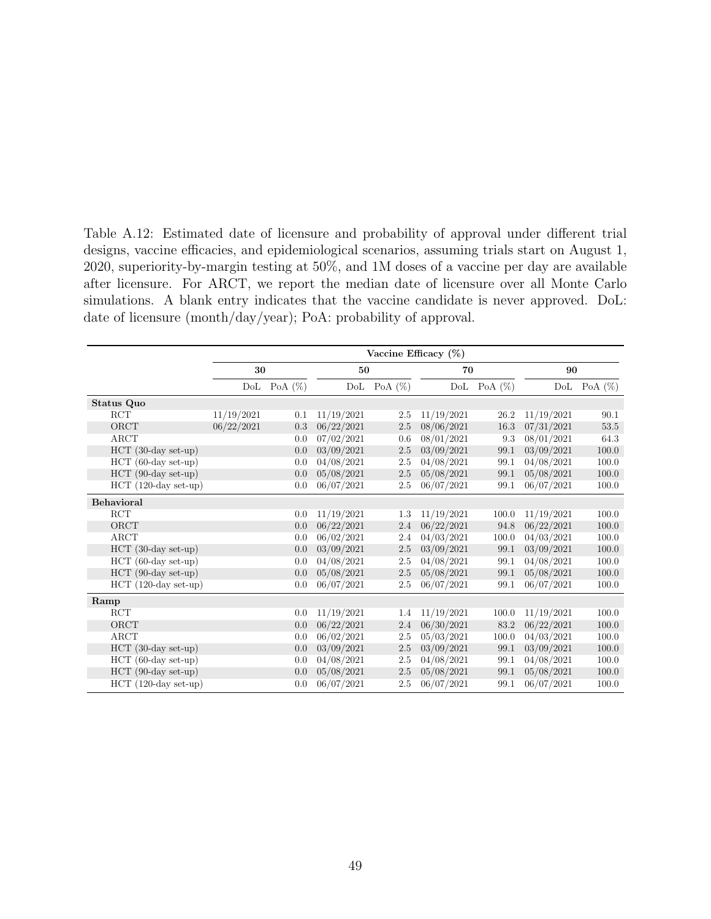Table A.12: Estimated date of licensure and probability of approval under different trial designs, vaccine efficacies, and epidemiological scenarios, assuming trials start on August 1, 2020, superiority-by-margin testing at 50%, and 1M doses of a vaccine per day are available after licensure. For ARCT, we report the median date of licensure over all Monte Carlo simulations. A blank entry indicates that the vaccine candidate is never approved. DoL: date of licensure (month/day/year); PoA: probability of approval.

|                        | Vaccine Efficacy $(\%)$ |            |            |            |            |            |            |            |
|------------------------|-------------------------|------------|------------|------------|------------|------------|------------|------------|
|                        | 30                      |            | 50         |            | 70         |            | 90         |            |
|                        | DoL                     | PoA $(\%)$ | DoL        | PoA $(\%)$ | DoL        | PoA $(\%)$ | DoL        | PoA $(\%)$ |
| Status Quo             |                         |            |            |            |            |            |            |            |
| <b>RCT</b>             | 11/19/2021              | 0.1        | 11/19/2021 | 2.5        | 11/19/2021 | 26.2       | 11/19/2021 | 90.1       |
| ORCT                   | 06/22/2021              | 0.3        | 06/22/2021 | 2.5        | 08/06/2021 | 16.3       | 07/31/2021 | 53.5       |
| ARCT                   |                         | 0.0        | 07/02/2021 | 0.6        | 08/01/2021 | 9.3        | 08/01/2021 | 64.3       |
| $HCT$ (30-day set-up)  |                         | 0.0        | 03/09/2021 | 2.5        | 03/09/2021 | 99.1       | 03/09/2021 | 100.0      |
| $HCT$ (60-day set-up)  |                         | 0.0        | 04/08/2021 | 2.5        | 04/08/2021 | 99.1       | 04/08/2021 | 100.0      |
| $HCT$ (90-day set-up)  |                         | 0.0        | 05/08/2021 | 2.5        | 05/08/2021 | 99.1       | 05/08/2021 | 100.0      |
| $HCT$ (120-day set-up) |                         | 0.0        | 06/07/2021 | 2.5        | 06/07/2021 | 99.1       | 06/07/2021 | 100.0      |
| <b>Behavioral</b>      |                         |            |            |            |            |            |            |            |
| $\operatorname{RCT}$   |                         | 0.0        | 11/19/2021 | 1.3        | 11/19/2021 | 100.0      | 11/19/2021 | 100.0      |
| ORCT                   |                         | 0.0        | 06/22/2021 | 2.4        | 06/22/2021 | 94.8       | 06/22/2021 | 100.0      |
| ARCT                   |                         | 0.0        | 06/02/2021 | 2.4        | 04/03/2021 | 100.0      | 04/03/2021 | 100.0      |
| HCT (30-day set-up)    |                         | 0.0        | 03/09/2021 | 2.5        | 03/09/2021 | 99.1       | 03/09/2021 | 100.0      |
| $HCT$ (60-day set-up)  |                         | 0.0        | 04/08/2021 | 2.5        | 04/08/2021 | 99.1       | 04/08/2021 | 100.0      |
| $HCT$ (90-day set-up)  |                         | 0.0        | 05/08/2021 | 2.5        | 05/08/2021 | 99.1       | 05/08/2021 | 100.0      |
| $HCT$ (120-day set-up) |                         | 0.0        | 06/07/2021 | 2.5        | 06/07/2021 | 99.1       | 06/07/2021 | 100.0      |
| Ramp                   |                         |            |            |            |            |            |            |            |
| $\operatorname{RCT}$   |                         | 0.0        | 11/19/2021 | 1.4        | 11/19/2021 | 100.0      | 11/19/2021 | 100.0      |
| ORCT                   |                         | 0.0        | 06/22/2021 | 2.4        | 06/30/2021 | 83.2       | 06/22/2021 | 100.0      |
| ARCT                   |                         | 0.0        | 06/02/2021 | 2.5        | 05/03/2021 | 100.0      | 04/03/2021 | 100.0      |
| $HCT$ (30-day set-up)  |                         | 0.0        | 03/09/2021 | 2.5        | 03/09/2021 | 99.1       | 03/09/2021 | 100.0      |
| $HCT$ (60-day set-up)  |                         | 0.0        | 04/08/2021 | 2.5        | 04/08/2021 | 99.1       | 04/08/2021 | 100.0      |
| $HCT$ (90-day set-up)  |                         | 0.0        | 05/08/2021 | 2.5        | 05/08/2021 | 99.1       | 05/08/2021 | 100.0      |
| $HCT$ (120-day set-up) |                         | 0.0        | 06/07/2021 | 2.5        | 06/07/2021 | 99.1       | 06/07/2021 | 100.0      |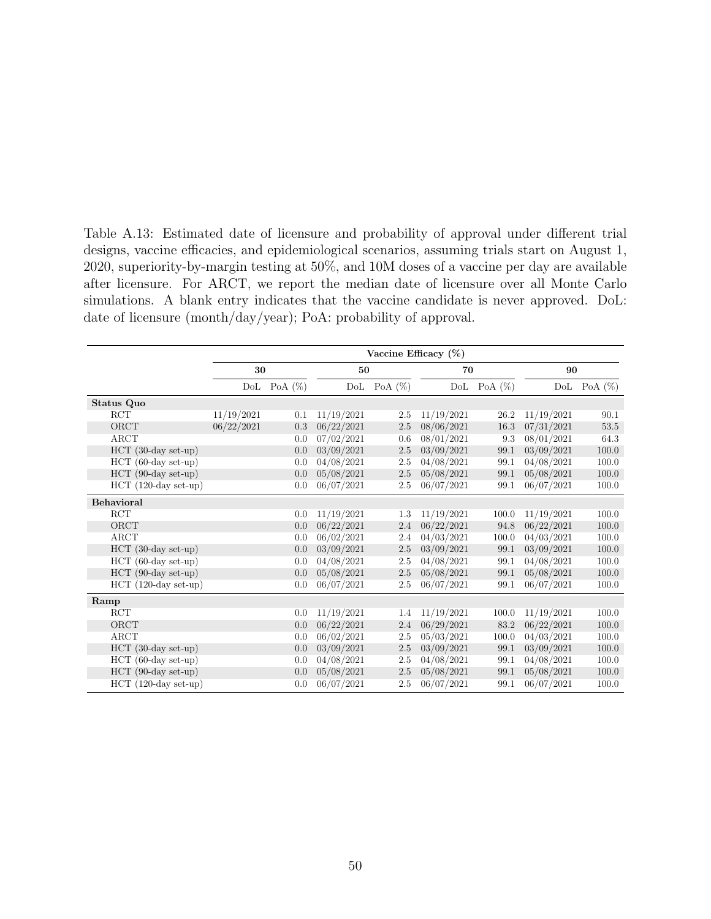Table A.13: Estimated date of licensure and probability of approval under different trial designs, vaccine efficacies, and epidemiological scenarios, assuming trials start on August 1, 2020, superiority-by-margin testing at 50%, and 10M doses of a vaccine per day are available after licensure. For ARCT, we report the median date of licensure over all Monte Carlo simulations. A blank entry indicates that the vaccine candidate is never approved. DoL: date of licensure (month/day/year); PoA: probability of approval.

|                        |            | Vaccine Efficacy $(\%)$ |            |            |            |            |            |            |  |
|------------------------|------------|-------------------------|------------|------------|------------|------------|------------|------------|--|
|                        | 30         |                         | 50         |            | 70         |            | 90         |            |  |
|                        | DoL        | PoA $(\%)$              | DoL        | PoA $(\%)$ | DoL        | PoA $(\%)$ | DoL        | PoA $(\%)$ |  |
| Status Quo             |            |                         |            |            |            |            |            |            |  |
| $\operatorname{RCT}$   | 11/19/2021 | 0.1                     | 11/19/2021 | 2.5        | 11/19/2021 | 26.2       | 11/19/2021 | 90.1       |  |
| ${\rm ORCT}$           | 06/22/2021 | 0.3                     | 06/22/2021 | 2.5        | 08/06/2021 | 16.3       | 07/31/2021 | 53.5       |  |
| ARCT                   |            | 0.0                     | 07/02/2021 | 0.6        | 08/01/2021 | 9.3        | 08/01/2021 | 64.3       |  |
| $HCT$ (30-day set-up)  |            | 0.0                     | 03/09/2021 | $2.5\,$    | 03/09/2021 | 99.1       | 03/09/2021 | 100.0      |  |
| $HCT$ (60-day set-up)  |            | 0.0                     | 04/08/2021 | 2.5        | 04/08/2021 | 99.1       | 04/08/2021 | 100.0      |  |
| $HCT$ (90-day set-up)  |            | 0.0                     | 05/08/2021 | $2.5\,$    | 05/08/2021 | 99.1       | 05/08/2021 | 100.0      |  |
| $HCT$ (120-day set-up) |            | 0.0                     | 06/07/2021 | 2.5        | 06/07/2021 | 99.1       | 06/07/2021 | 100.0      |  |
| <b>Behavioral</b>      |            |                         |            |            |            |            |            |            |  |
| RCT                    |            | 0.0                     | 11/19/2021 | 1.3        | 11/19/2021 | 100.0      | 11/19/2021 | 100.0      |  |
| ORCT                   |            | 0.0                     | 06/22/2021 | 2.4        | 06/22/2021 | 94.8       | 06/22/2021 | 100.0      |  |
| $\rm{ARCT}$            |            | 0.0                     | 06/02/2021 | 2.4        | 04/03/2021 | 100.0      | 04/03/2021 | 100.0      |  |
| $HCT$ (30-day set-up)  |            | 0.0                     | 03/09/2021 | 2.5        | 03/09/2021 | 99.1       | 03/09/2021 | 100.0      |  |
| $HCT$ (60-day set-up)  |            | 0.0                     | 04/08/2021 | 2.5        | 04/08/2021 | 99.1       | 04/08/2021 | 100.0      |  |
| $HCT$ (90-day set-up)  |            | 0.0                     | 05/08/2021 | 2.5        | 05/08/2021 | 99.1       | 05/08/2021 | 100.0      |  |
| $HCT$ (120-day set-up) |            | 0.0                     | 06/07/2021 | 2.5        | 06/07/2021 | 99.1       | 06/07/2021 | 100.0      |  |
| Ramp                   |            |                         |            |            |            |            |            |            |  |
| RCT                    |            | 0.0                     | 11/19/2021 | 1.4        | 11/19/2021 | 100.0      | 11/19/2021 | 100.0      |  |
| ORCT                   |            | 0.0                     | 06/22/2021 | 2.4        | 06/29/2021 | 83.2       | 06/22/2021 | 100.0      |  |
| <b>ARCT</b>            |            | 0.0                     | 06/02/2021 | 2.5        | 05/03/2021 | 100.0      | 04/03/2021 | 100.0      |  |
| $HCT$ (30-day set-up)  |            | 0.0                     | 03/09/2021 | 2.5        | 03/09/2021 | 99.1       | 03/09/2021 | 100.0      |  |
| $HCT$ (60-day set-up)  |            | 0.0                     | 04/08/2021 | 2.5        | 04/08/2021 | 99.1       | 04/08/2021 | 100.0      |  |
| HCT (90-day set-up)    |            | 0.0                     | 05/08/2021 | 2.5        | 05/08/2021 | 99.1       | 05/08/2021 | 100.0      |  |
| $HCT$ (120-day set-up) |            | 0.0                     | 06/07/2021 | 2.5        | 06/07/2021 | 99.1       | 06/07/2021 | 100.0      |  |